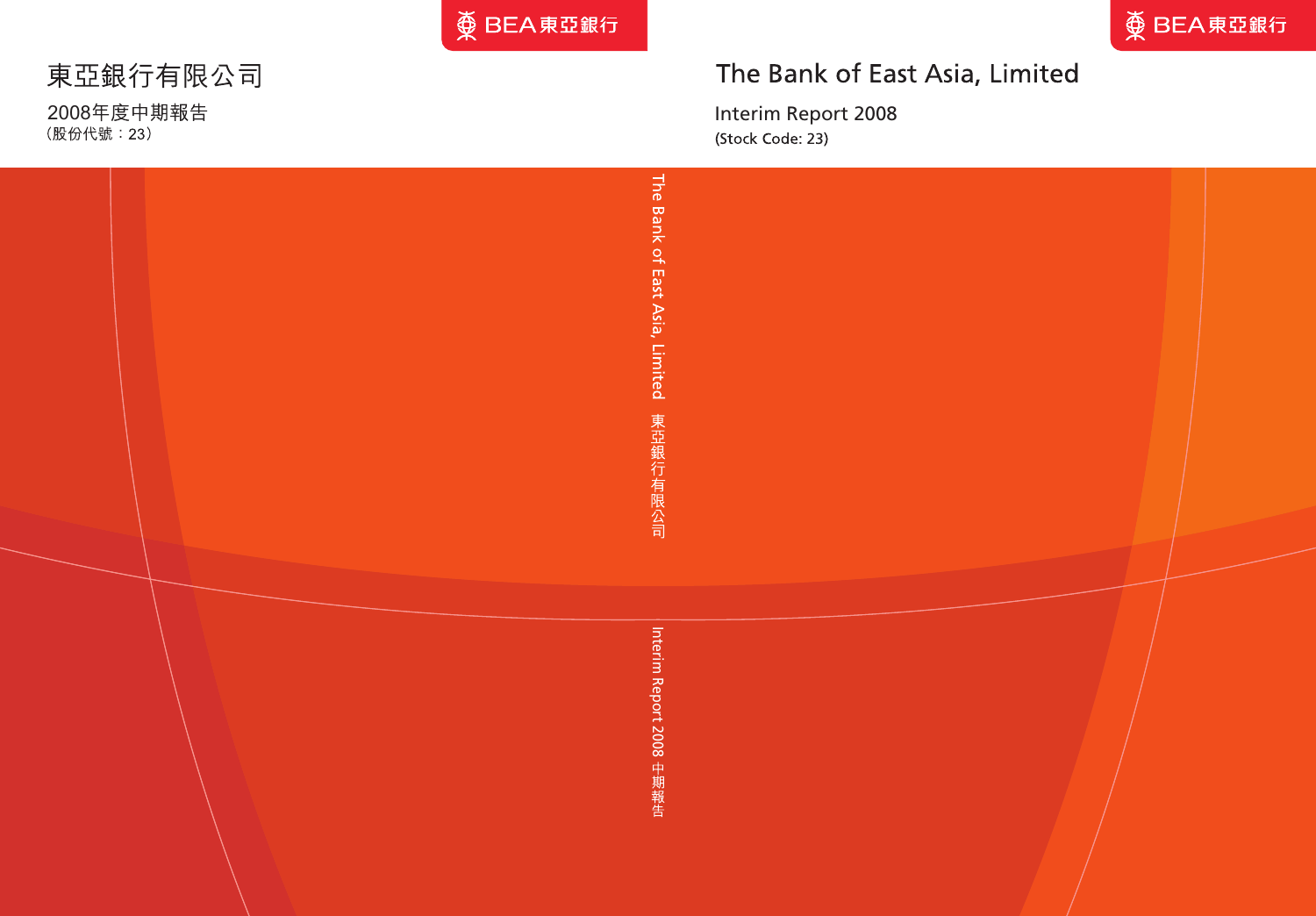

# The Bank of East Asia, Limited

Interim Report 2008 (Stock Code: 23)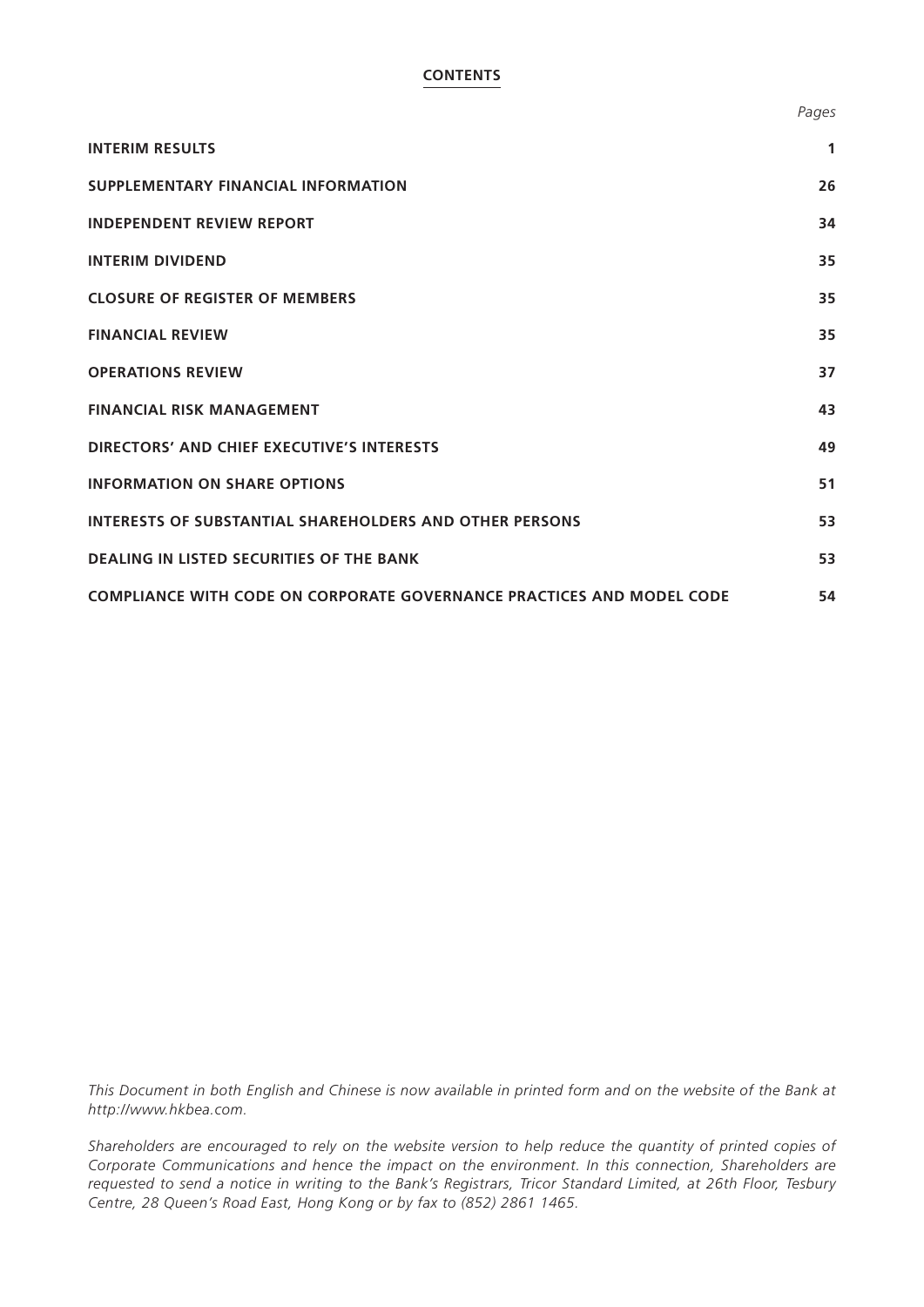## **CONTENTS**

|                                     | $\cdot$ = $\cdot$ = $\cdot$ |
|-------------------------------------|-----------------------------|
| <b>INTERIM RESULTS</b>              |                             |
| SUPPLEMENTARY FINANCIAL INFORMATION | 26                          |
| <b>INDEPENDENT REVIEW REPORT</b>    | 34                          |
|                                     |                             |

| <b>INTERIM DIVIDEND</b>               | 35 |
|---------------------------------------|----|
| <b>CLOSURE OF REGISTER OF MEMBERS</b> | 35 |
| <b>FINANCIAL REVIEW</b>               | 35 |

| <b>OPERATIONS REVIEW</b>                                                     | 37 |
|------------------------------------------------------------------------------|----|
| <b>FINANCIAL RISK MANAGEMENT</b>                                             | 43 |
| DIRECTORS' AND CHIEF EXECUTIVE'S INTERESTS                                   | 49 |
| <b>INFORMATION ON SHARE OPTIONS</b>                                          | 51 |
| <b>INTERESTS OF SUBSTANTIAL SHAREHOLDERS AND OTHER PERSONS</b>               | 53 |
| <b>DEALING IN LISTED SECURITIES OF THE BANK</b>                              | 53 |
| <b>COMPLIANCE WITH CODE ON CORPORATE GOVERNANCE PRACTICES AND MODEL CODE</b> | 54 |

*This Document in both English and Chinese is now available in printed form and on the website of the Bank at http://www.hkbea.com.*

*Shareholders are encouraged to rely on the website version to help reduce the quantity of printed copies of Corporate Communications and hence the impact on the environment. In this connection, Shareholders are requested to send a notice in writing to the Bank's Registrars, Tricor Standard Limited, at 26th Floor, Tesbury Centre, 28 Queen's Road East, Hong Kong or by fax to (852) 2861 1465.*

*Pages*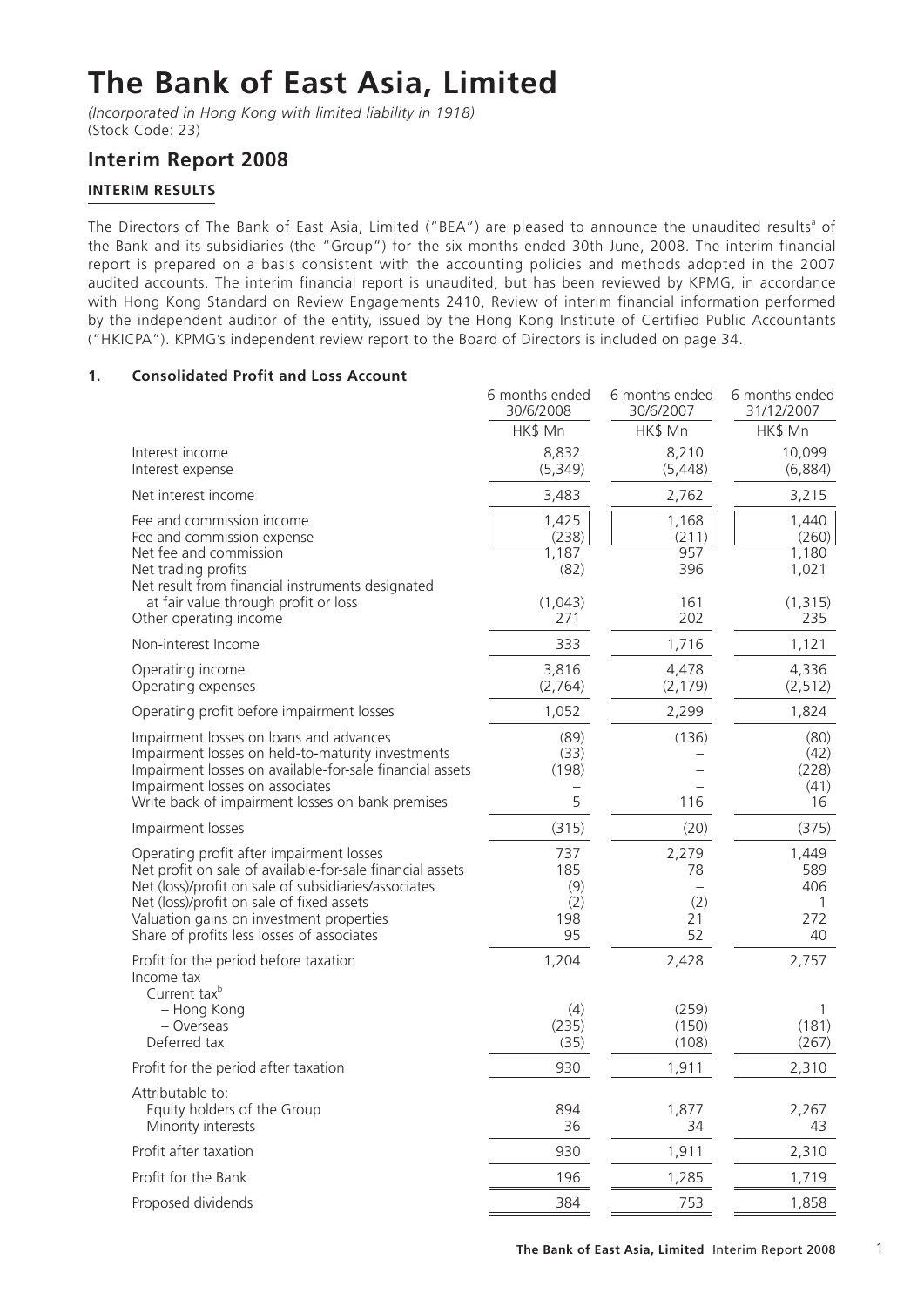# **The Bank of East Asia, Limited**

*(Incorporated in Hong Kong with limited liability in 1918)* (Stock Code: 23)

## **Interim Report 2008**

## **INTERIM RESULTS**

The Directors of The Bank of East Asia, Limited ("BEA") are pleased to announce the unaudited results<sup>a</sup> of the Bank and its subsidiaries (the "Group") for the six months ended 30th June, 2008. The interim financial report is prepared on a basis consistent with the accounting policies and methods adopted in the 2007 audited accounts. The interim financial report is unaudited, but has been reviewed by KPMG, in accordance with Hong Kong Standard on Review Engagements 2410, Review of interim financial information performed by the independent auditor of the entity, issued by the Hong Kong Institute of Certified Public Accountants ("HKICPA"). KPMG's independent review report to the Board of Directors is included on page 34.

## **1. Consolidated Profit and Loss Account**

|                                                                                                                                                                                                                                                                                                      | 6 months ended<br>30/6/2008                            | 6 months ended<br>30/6/2007                | 6 months ended<br>31/12/2007                        |
|------------------------------------------------------------------------------------------------------------------------------------------------------------------------------------------------------------------------------------------------------------------------------------------------------|--------------------------------------------------------|--------------------------------------------|-----------------------------------------------------|
|                                                                                                                                                                                                                                                                                                      | HK\$ Mn                                                | HK\$ Mn                                    | HK\$ Mn                                             |
| Interest income<br>Interest expense                                                                                                                                                                                                                                                                  | 8,832<br>(5, 349)                                      | 8,210<br>(5, 448)                          | 10,099<br>(6,884)                                   |
| Net interest income                                                                                                                                                                                                                                                                                  | 3,483                                                  | 2,762                                      | 3,215                                               |
| Fee and commission income<br>Fee and commission expense<br>Net fee and commission<br>Net trading profits<br>Net result from financial instruments designated<br>at fair value through profit or loss                                                                                                 | 1,425<br>(238)<br>1,187<br>(82)<br>(1,043)<br>271      | 1,168<br>(211)<br>957<br>396<br>161<br>202 | 1,440<br>(260)<br>1,180<br>1,021<br>(1, 315)<br>235 |
| Other operating income<br>Non-interest Income                                                                                                                                                                                                                                                        | 333                                                    | 1,716                                      | 1,121                                               |
| Operating income<br>Operating expenses                                                                                                                                                                                                                                                               | 3,816<br>(2,764)                                       | 4,478<br>(2, 179)                          | 4,336<br>(2, 512)                                   |
| Operating profit before impairment losses                                                                                                                                                                                                                                                            | 1,052                                                  | 2,299                                      | 1,824                                               |
| Impairment losses on loans and advances<br>Impairment losses on held-to-maturity investments<br>Impairment losses on available-for-sale financial assets<br>Impairment losses on associates<br>Write back of impairment losses on bank premises                                                      | (89)<br>(33)<br>(198)<br>$\overline{\phantom{0}}$<br>5 | (136)<br>116                               | (80)<br>(42)<br>(228)<br>(41)<br>16                 |
| Impairment losses                                                                                                                                                                                                                                                                                    | (315)                                                  | (20)                                       | (375)                                               |
| Operating profit after impairment losses<br>Net profit on sale of available-for-sale financial assets<br>Net (loss)/profit on sale of subsidiaries/associates<br>Net (loss)/profit on sale of fixed assets<br>Valuation gains on investment properties<br>Share of profits less losses of associates | 737<br>185<br>(9)<br>(2)<br>198<br>95                  | 2,279<br>78<br>(2)<br>21<br>52             | 1,449<br>589<br>406<br>1<br>272<br>40               |
| Profit for the period before taxation<br>Income tax<br>Current tax <sup>b</sup><br>- Hong Kong<br>- Overseas<br>Deferred tax                                                                                                                                                                         | 1,204<br>(4)<br>(235)<br>(35)                          | 2,428<br>(259)<br>(150)<br>(108)           | 2,757<br>(181)<br>(267)                             |
| Profit for the period after taxation                                                                                                                                                                                                                                                                 | 930                                                    | 1,911                                      | 2,310                                               |
| Attributable to:<br>Equity holders of the Group<br>Minority interests                                                                                                                                                                                                                                | 894<br>36                                              | 1,877<br>34                                | 2,267<br>43                                         |
| Profit after taxation                                                                                                                                                                                                                                                                                | 930                                                    | 1,911                                      | 2,310                                               |
| Profit for the Bank                                                                                                                                                                                                                                                                                  | 196                                                    | 1,285                                      | 1,719                                               |
| Proposed dividends                                                                                                                                                                                                                                                                                   | 384                                                    | 753                                        | 1,858                                               |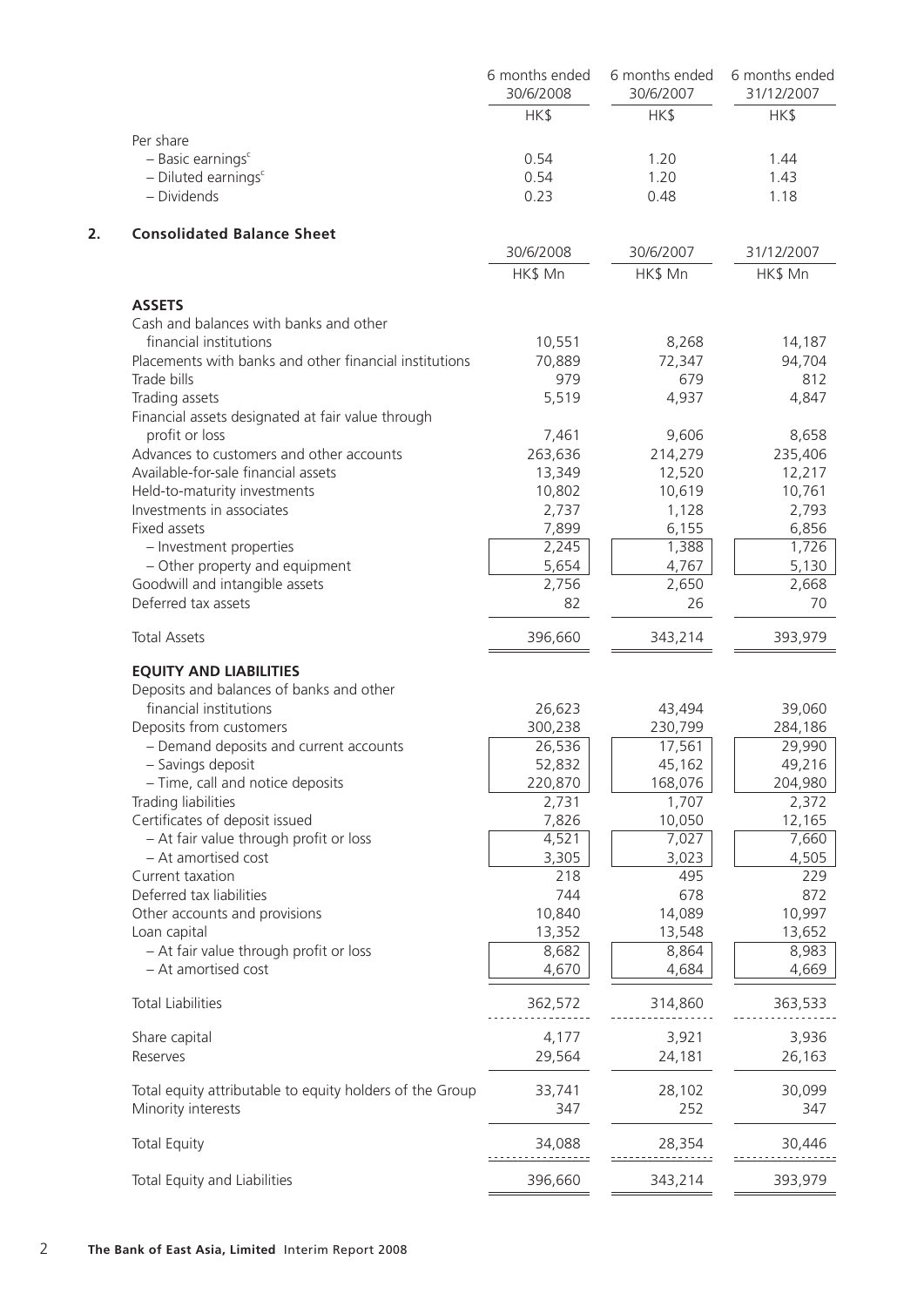|    |                                                                  | 6 months ended<br>30/6/2008 | 6 months ended<br>30/6/2007 | 6 months ended<br>31/12/2007 |
|----|------------------------------------------------------------------|-----------------------------|-----------------------------|------------------------------|
|    |                                                                  | HK\$                        | HK\$                        | HK\$                         |
|    | Per share                                                        |                             |                             |                              |
|    | $-$ Basic earnings $c$                                           | 0.54                        | 1.20                        | 1.44                         |
|    | $-$ Diluted earnings <sup>c</sup>                                | 0.54                        | 1.20                        | 1.43                         |
|    | - Dividends                                                      | 0.23                        | 0.48                        | 1.18                         |
| 2. | <b>Consolidated Balance Sheet</b>                                |                             |                             |                              |
|    |                                                                  | 30/6/2008                   | 30/6/2007                   | 31/12/2007                   |
|    |                                                                  | HK\$ Mn                     | HK\$ Mn                     | HK\$ Mn                      |
|    | <b>ASSETS</b>                                                    |                             |                             |                              |
|    | Cash and balances with banks and other<br>financial institutions | 10,551                      | 8,268                       | 14,187                       |
|    | Placements with banks and other financial institutions           | 70,889                      | 72,347                      | 94,704                       |
|    | Trade bills                                                      | 979                         | 679                         | 812                          |
|    | Trading assets                                                   | 5,519                       | 4,937                       | 4,847                        |
|    | Financial assets designated at fair value through                |                             |                             |                              |
|    | profit or loss                                                   | 7,461                       | 9,606                       | 8,658                        |
|    | Advances to customers and other accounts                         | 263,636                     | 214,279                     | 235,406                      |
|    | Available-for-sale financial assets                              | 13,349                      | 12,520                      | 12,217                       |
|    | Held-to-maturity investments                                     | 10,802                      | 10,619                      | 10,761                       |
|    | Investments in associates                                        | 2,737                       | 1,128                       | 2,793                        |
|    | Fixed assets                                                     | 7,899                       | 6,155                       | 6,856                        |
|    | - Investment properties                                          | 2,245                       | 1,388                       | 1,726                        |
|    | - Other property and equipment                                   | 5,654                       | 4,767                       | 5,130                        |
|    |                                                                  |                             | 2,650                       | 2,668                        |
|    | Goodwill and intangible assets<br>Deferred tax assets            | 2,756<br>82                 | 26                          | 70                           |
|    | <b>Total Assets</b>                                              | 396,660                     | 343,214                     | 393,979                      |
|    |                                                                  |                             |                             |                              |
|    | <b>EQUITY AND LIABILITIES</b>                                    |                             |                             |                              |
|    | Deposits and balances of banks and other                         |                             |                             |                              |
|    | financial institutions                                           | 26,623                      | 43,494                      | 39,060                       |
|    | Deposits from customers                                          | 300,238                     | 230,799                     | 284,186                      |
|    | - Demand deposits and current accounts                           | 26,536                      | 17,561                      | 29,990                       |
|    | - Savings deposit                                                | 52,832                      | 45,162                      | 49,216                       |
|    | - Time, call and notice deposits                                 | 220,870                     | 168,076                     | 204,980                      |
|    | Trading liabilities                                              | 2,731                       | 1,707                       | 2,372                        |
|    | Certificates of deposit issued                                   | 7,826                       | 10,050                      | 12,165                       |
|    | - At fair value through profit or loss                           | 4,521                       | 7,027                       | 7,660                        |
|    | - At amortised cost                                              | 3,305                       | 3,023                       | 4,505                        |
|    | Current taxation                                                 | 218                         | 495                         | 229                          |
|    | Deferred tax liabilities                                         | 744                         | 678                         | 872                          |
|    | Other accounts and provisions                                    | 10,840                      | 14,089                      | 10,997                       |
|    | Loan capital                                                     | 13,352                      | 13,548                      | 13,652                       |
|    | - At fair value through profit or loss                           | 8,682                       | 8,864                       | 8,983                        |
|    | - At amortised cost                                              | 4,670                       | 4,684                       | 4,669                        |
|    | <b>Total Liabilities</b>                                         | 362,572                     | 314,860                     | 363,533                      |
|    | Share capital                                                    | 4,177                       | 3,921                       | 3,936                        |
|    | Reserves                                                         | 29,564                      | 24,181                      | 26,163                       |
|    | Total equity attributable to equity holders of the Group         | 33,741                      | 28,102                      | 30,099                       |
|    | Minority interests                                               | 347                         | 252                         | 347                          |
|    | <b>Total Equity</b>                                              | 34,088                      | 28,354                      | 30,446                       |
|    | Total Equity and Liabilities                                     | 396,660                     | 343,214                     | 393,979                      |
|    |                                                                  |                             |                             |                              |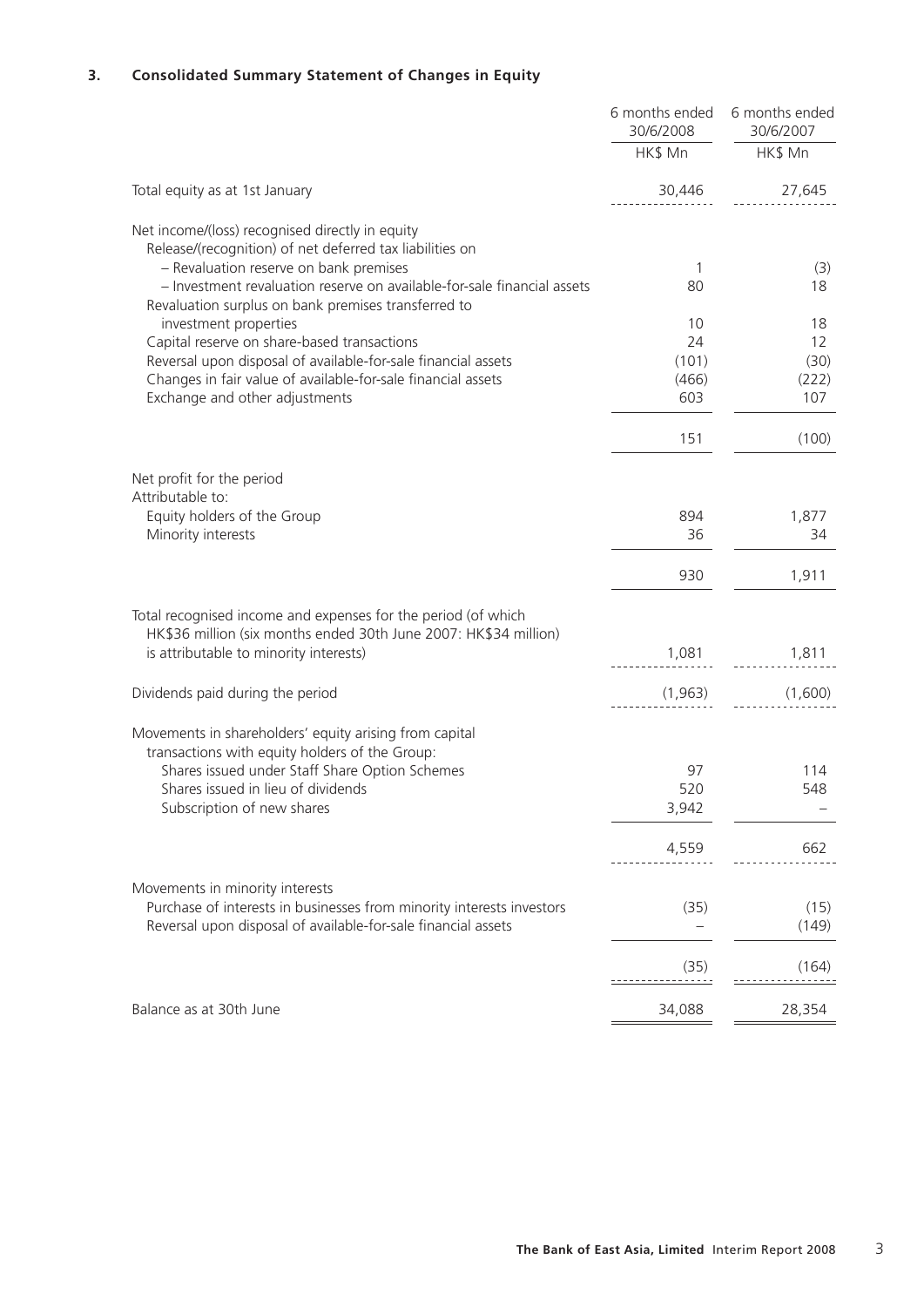## **3. Consolidated Summary Statement of Changes in Equity**

|                                                                                                                                | 6 months ended<br>30/6/2008 | 6 months ended<br>30/6/2007 |
|--------------------------------------------------------------------------------------------------------------------------------|-----------------------------|-----------------------------|
|                                                                                                                                | HK\$ Mn                     | HK\$ Mn                     |
| Total equity as at 1st January                                                                                                 | 30,446                      | 27,645                      |
| Net income/(loss) recognised directly in equity                                                                                |                             |                             |
| Release/(recognition) of net deferred tax liabilities on<br>- Revaluation reserve on bank premises                             | 1                           | (3)                         |
| - Investment revaluation reserve on available-for-sale financial assets<br>Revaluation surplus on bank premises transferred to | 80                          | 18                          |
| investment properties                                                                                                          | 10                          | 18                          |
| Capital reserve on share-based transactions                                                                                    | 24                          | 12                          |
| Reversal upon disposal of available-for-sale financial assets                                                                  | (101)                       | (30)                        |
| Changes in fair value of available-for-sale financial assets                                                                   | (466)                       | (222)                       |
| Exchange and other adjustments                                                                                                 | 603                         | 107                         |
|                                                                                                                                | 151                         | (100)                       |
| Net profit for the period                                                                                                      |                             |                             |
| Attributable to:                                                                                                               |                             |                             |
| Equity holders of the Group                                                                                                    | 894                         | 1,877                       |
| Minority interests                                                                                                             | 36                          | 34                          |
|                                                                                                                                | 930                         | 1,911                       |
| Total recognised income and expenses for the period (of which                                                                  |                             |                             |
| HK\$36 million (six months ended 30th June 2007: HK\$34 million)                                                               |                             |                             |
| is attributable to minority interests)                                                                                         | 1,081                       | 1,811                       |
| Dividends paid during the period                                                                                               | (1, 963)                    | (1,600)                     |
| Movements in shareholders' equity arising from capital                                                                         |                             |                             |
| transactions with equity holders of the Group:                                                                                 |                             |                             |
| Shares issued under Staff Share Option Schemes                                                                                 | 97                          | 114                         |
| Shares issued in lieu of dividends                                                                                             | 520                         | 548                         |
| Subscription of new shares                                                                                                     | 3,942                       |                             |
|                                                                                                                                | 4,559                       | 662                         |
| Movements in minority interests                                                                                                |                             |                             |
| Purchase of interests in businesses from minority interests investors                                                          | (35)                        | (15)                        |
| Reversal upon disposal of available-for-sale financial assets                                                                  |                             | (149)                       |
|                                                                                                                                | (35)                        | (164)                       |
| Balance as at 30th June                                                                                                        | 34,088                      | 28,354                      |
|                                                                                                                                |                             |                             |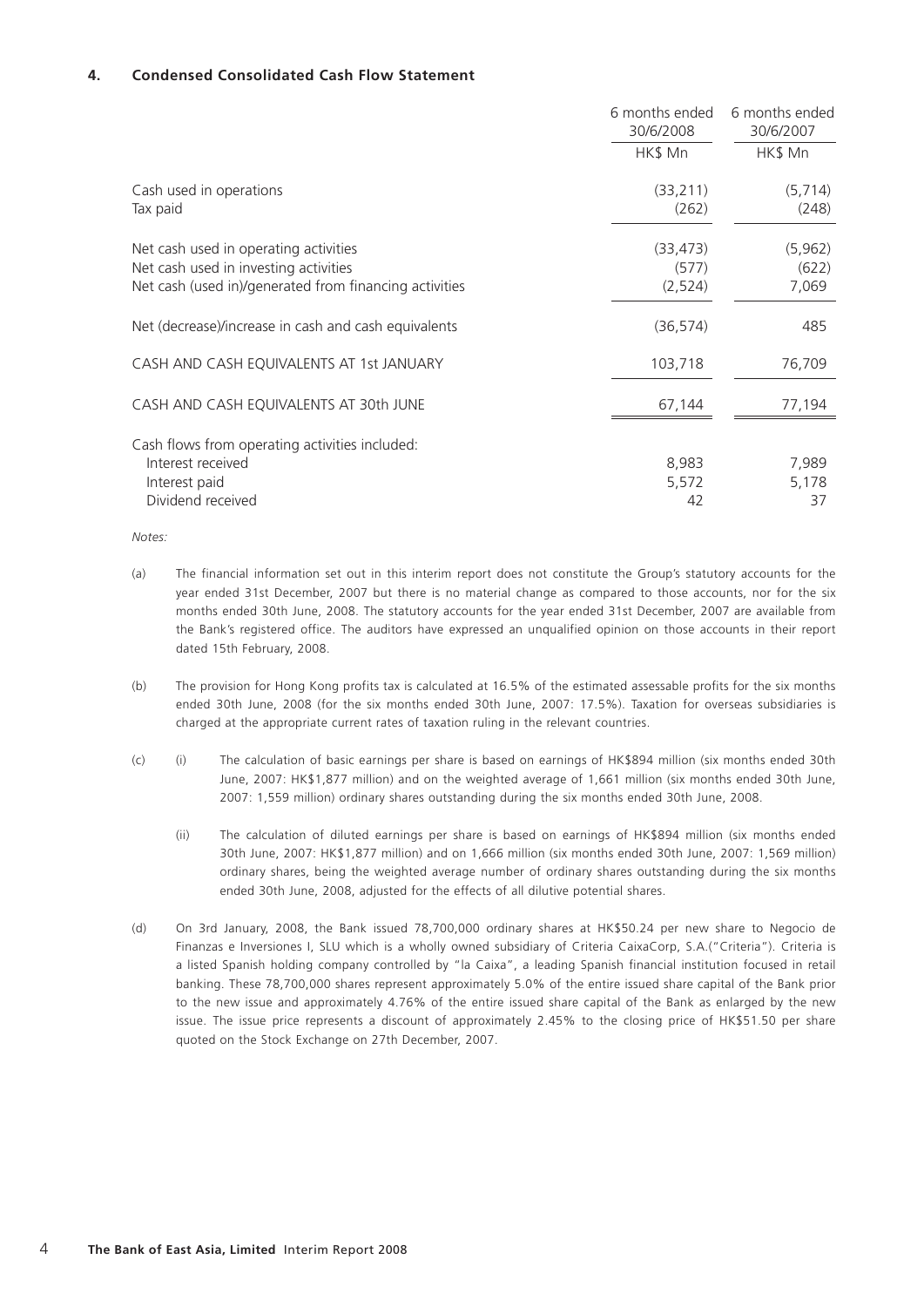## **4. Condensed Consolidated Cash Flow Statement**

|                                                                                                                                          | 6 months ended<br>30/6/2008   | 6 months ended<br>30/6/2007 |
|------------------------------------------------------------------------------------------------------------------------------------------|-------------------------------|-----------------------------|
|                                                                                                                                          | HK\$ Mn                       | HK\$ Mn                     |
| Cash used in operations<br>Tax paid                                                                                                      | (33, 211)<br>(262)            | (5, 714)<br>(248)           |
| Net cash used in operating activities<br>Net cash used in investing activities<br>Net cash (used in)/generated from financing activities | (33, 473)<br>(577)<br>(2,524) | (5, 962)<br>(622)<br>7,069  |
| Net (decrease)/increase in cash and cash equivalents                                                                                     | (36, 574)                     | 485                         |
| CASH AND CASH EQUIVALENTS AT 1st JANUARY                                                                                                 | 103,718                       | 76,709                      |
| CASH AND CASH EQUIVALENTS AT 30th JUNE                                                                                                   | 67,144                        | 77,194                      |
| Cash flows from operating activities included:<br>Interest received<br>Interest paid<br>Dividend received                                | 8,983<br>5,572<br>42          | 7,989<br>5,178<br>37        |

*Notes:*

- (a) The financial information set out in this interim report does not constitute the Group's statutory accounts for the year ended 31st December, 2007 but there is no material change as compared to those accounts, nor for the six months ended 30th June, 2008. The statutory accounts for the year ended 31st December, 2007 are available from the Bank's registered office. The auditors have expressed an unqualified opinion on those accounts in their report dated 15th February, 2008.
- (b) The provision for Hong Kong profits tax is calculated at 16.5% of the estimated assessable profits for the six months ended 30th June, 2008 (for the six months ended 30th June, 2007: 17.5%). Taxation for overseas subsidiaries is charged at the appropriate current rates of taxation ruling in the relevant countries.
- (c) (i) The calculation of basic earnings per share is based on earnings of HK\$894 million (six months ended 30th June, 2007: HK\$1,877 million) and on the weighted average of 1,661 million (six months ended 30th June, 2007: 1,559 million) ordinary shares outstanding during the six months ended 30th June, 2008.
	- (ii) The calculation of diluted earnings per share is based on earnings of HK\$894 million (six months ended 30th June, 2007: HK\$1,877 million) and on 1,666 million (six months ended 30th June, 2007: 1,569 million) ordinary shares, being the weighted average number of ordinary shares outstanding during the six months ended 30th June, 2008, adjusted for the effects of all dilutive potential shares.
- (d) On 3rd January, 2008, the Bank issued 78,700,000 ordinary shares at HK\$50.24 per new share to Negocio de Finanzas e Inversiones I, SLU which is a wholly owned subsidiary of Criteria CaixaCorp, S.A.("Criteria"). Criteria is a listed Spanish holding company controlled by "la Caixa", a leading Spanish financial institution focused in retail banking. These 78,700,000 shares represent approximately 5.0% of the entire issued share capital of the Bank prior to the new issue and approximately 4.76% of the entire issued share capital of the Bank as enlarged by the new issue. The issue price represents a discount of approximately 2.45% to the closing price of HK\$51.50 per share quoted on the Stock Exchange on 27th December, 2007.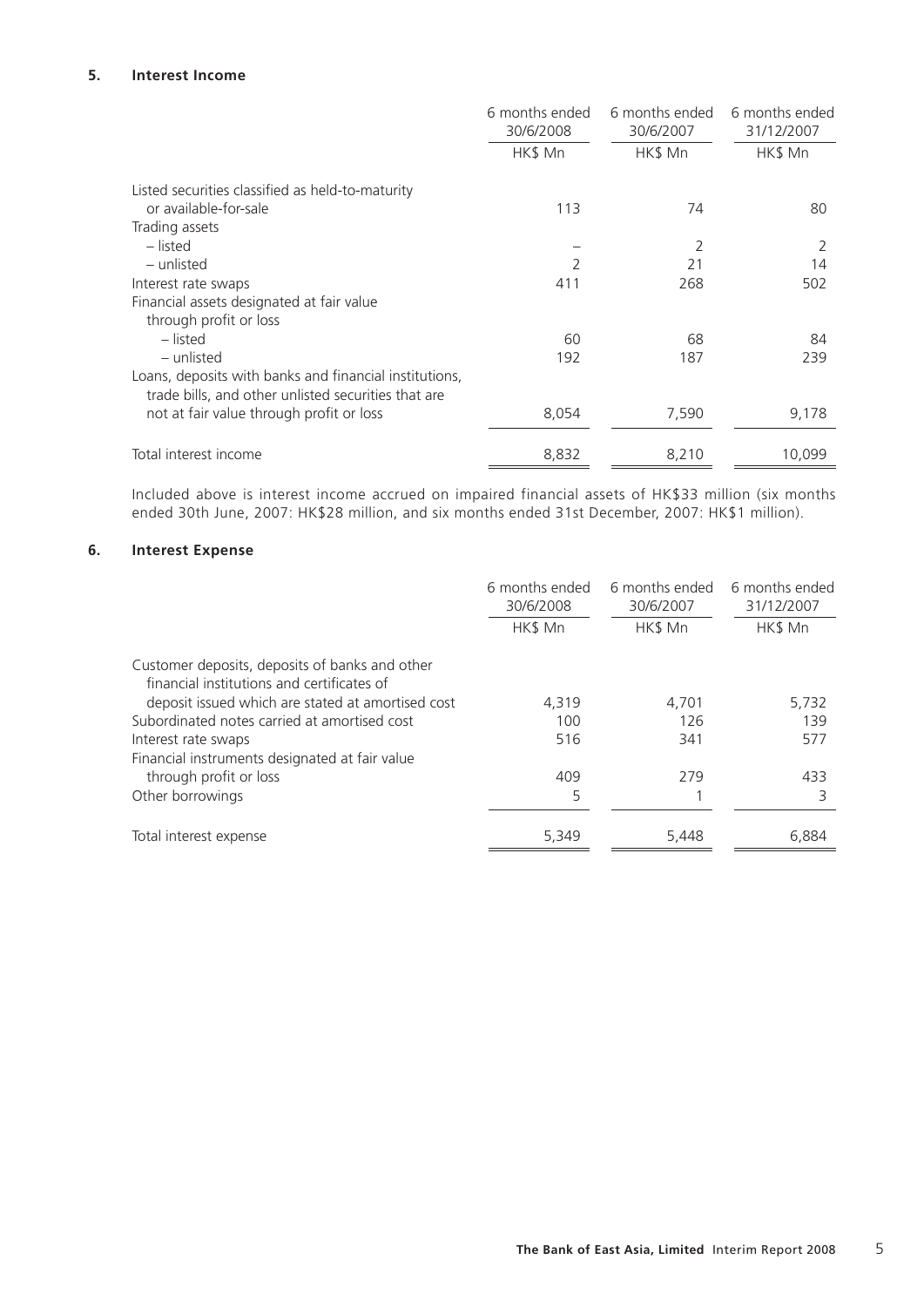## **5. Interest Income**

|                                                                                                               | 6 months ended<br>30/6/2008 | 6 months ended<br>30/6/2007 | 6 months ended<br>31/12/2007 |
|---------------------------------------------------------------------------------------------------------------|-----------------------------|-----------------------------|------------------------------|
|                                                                                                               | HK\$ Mn                     | HK\$ Mn                     | HK\$ Mn                      |
| Listed securities classified as held-to-maturity                                                              |                             |                             |                              |
| or available-for-sale                                                                                         | 113                         | 74                          | 80                           |
| Trading assets                                                                                                |                             |                             |                              |
| – listed                                                                                                      |                             | 2                           | 2                            |
| – unlisted                                                                                                    | $\mathcal{P}$               | 21                          | 14                           |
| Interest rate swaps                                                                                           | 411                         | 268                         | 502                          |
| Financial assets designated at fair value                                                                     |                             |                             |                              |
| through profit or loss                                                                                        |                             |                             |                              |
| – listed                                                                                                      | 60                          | 68                          | 84                           |
| - unlisted                                                                                                    | 192                         | 187                         | 239                          |
| Loans, deposits with banks and financial institutions,<br>trade bills, and other unlisted securities that are |                             |                             |                              |
| not at fair value through profit or loss                                                                      | 8,054                       | 7,590                       | 9,178                        |
| Total interest income                                                                                         | 8,832                       | 8,210                       | 10,099                       |

Included above is interest income accrued on impaired financial assets of HK\$33 million (six months ended 30th June, 2007: HK\$28 million, and six months ended 31st December, 2007: HK\$1 million).

## **6. Interest Expense**

|                                                                                              | 6 months ended<br>30/6/2008<br>HK\$ Mn | 6 months ended<br>30/6/2007<br>HK\$ Mn | 6 months ended<br>31/12/2007<br>HK\$ Mn |
|----------------------------------------------------------------------------------------------|----------------------------------------|----------------------------------------|-----------------------------------------|
| Customer deposits, deposits of banks and other<br>financial institutions and certificates of |                                        |                                        |                                         |
| deposit issued which are stated at amortised cost                                            | 4,319                                  | 4.701                                  | 5,732                                   |
| Subordinated notes carried at amortised cost                                                 | 100                                    | 126                                    | 139                                     |
| Interest rate swaps                                                                          | 516                                    | 341                                    | 577                                     |
| Financial instruments designated at fair value                                               |                                        |                                        |                                         |
| through profit or loss                                                                       | 409                                    | 279                                    | 433                                     |
| Other borrowings                                                                             | 5                                      |                                        | 3                                       |
| Total interest expense                                                                       | 5,349                                  | 5,448                                  | 6,884                                   |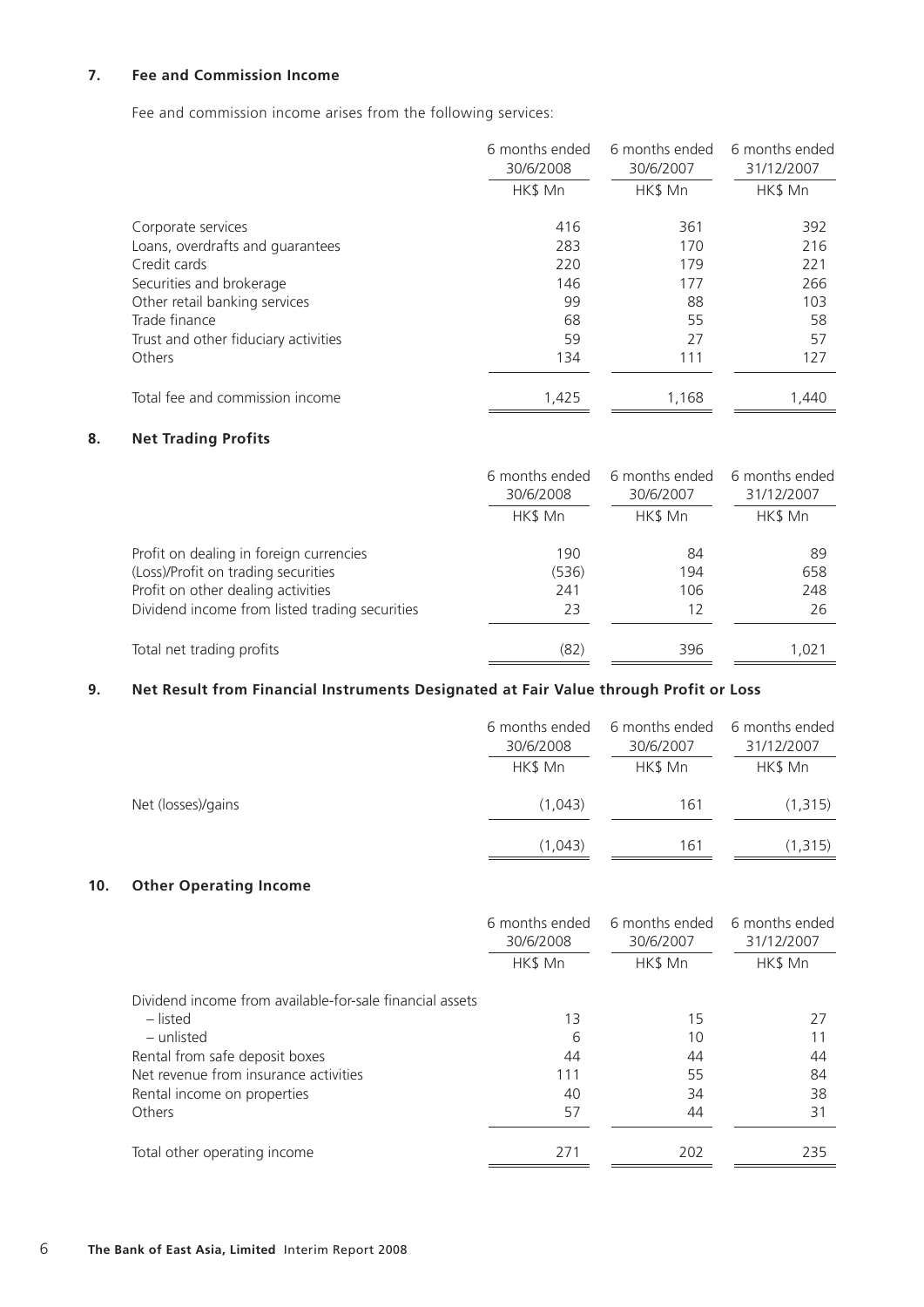## **7. Fee and Commission Income**

Fee and commission income arises from the following services:

|                                      | 6 months ended<br>30/6/2008 | 6 months ended<br>30/6/2007 | 6 months ended<br>31/12/2007 |
|--------------------------------------|-----------------------------|-----------------------------|------------------------------|
|                                      | HK\$ Mn                     | HK\$ Mn                     | HK\$ Mn                      |
| Corporate services                   | 416                         | 361                         | 392                          |
| Loans, overdrafts and quarantees     | 283                         | 170                         | 216                          |
| Credit cards                         | 220                         | 179                         | 221                          |
| Securities and brokerage             | 146                         | 177                         | 266                          |
| Other retail banking services        | 99                          | 88                          | 103                          |
| Trade finance                        | 68                          | 55                          | 58                           |
| Trust and other fiduciary activities | 59                          | 27                          | 57                           |
| Others                               | 134                         | 111                         | 127                          |
| Total fee and commission income      | 1,425                       | 1,168                       | 1,440                        |

## **8. Net Trading Profits**

|                                                | 6 months ended<br>30/6/2008 | 6 months ended<br>30/6/2007 | 6 months ended<br>31/12/2007 |
|------------------------------------------------|-----------------------------|-----------------------------|------------------------------|
|                                                | HK\$ Mn                     | HK\$ Mn                     | HK\$ Mn                      |
| Profit on dealing in foreign currencies        | 190                         | 84                          | 89                           |
| (Loss)/Profit on trading securities            | (536)                       | 194                         | 658                          |
| Profit on other dealing activities             | 241                         | 106                         | 248                          |
| Dividend income from listed trading securities | 23                          | 12                          | 26                           |
| Total net trading profits                      | (82)                        | 396                         | 1,021                        |

## **9. Net Result from Financial Instruments Designated at Fair Value through Profit or Loss**

|                    | 6 months ended<br>30/6/2008<br>HK\$ Mn | 6 months ended<br>30/6/2007<br>HK\$ Mn | 6 months ended<br>31/12/2007<br>HK\$ Mn |
|--------------------|----------------------------------------|----------------------------------------|-----------------------------------------|
| Net (losses)/gains | (1,043)                                | 161                                    | (1, 315)                                |
|                    | (1,043)                                | 161                                    | (1, 315)                                |

## **10. Other Operating Income**

|                                                          | 6 months ended<br>30/6/2008 | 6 months ended<br>30/6/2007 | 6 months ended<br>31/12/2007 |
|----------------------------------------------------------|-----------------------------|-----------------------------|------------------------------|
|                                                          | HK\$ Mn                     | HK\$ Mn                     | HK\$ Mn                      |
| Dividend income from available-for-sale financial assets |                             |                             |                              |
| – listed                                                 | 13                          | 15                          | 27                           |
| – unlisted                                               | 6                           | 10                          |                              |
| Rental from safe deposit boxes                           | 44                          | 44                          | 44                           |
| Net revenue from insurance activities                    | 111                         | 55                          | 84                           |
| Rental income on properties                              | 40                          | 34                          | 38                           |
| Others                                                   | 57                          | 44                          | 31                           |
| Total other operating income                             | 271                         | 202                         | 235                          |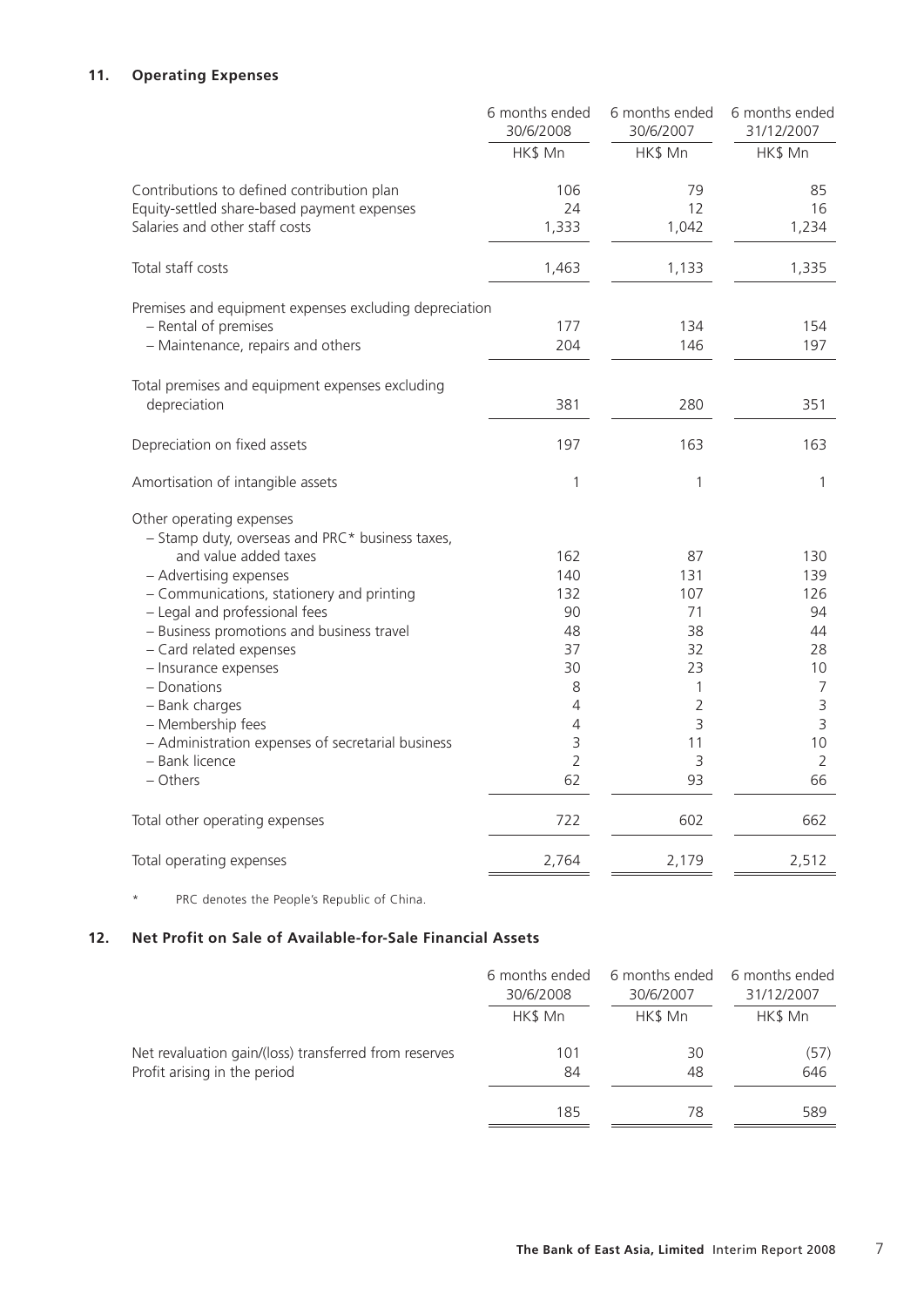## **11. Operating Expenses**

|                                                        | 6 months ended<br>30/6/2008 | 6 months ended<br>30/6/2007 | 6 months ended<br>31/12/2007 |
|--------------------------------------------------------|-----------------------------|-----------------------------|------------------------------|
|                                                        | HK\$ Mn                     | HK\$ Mn                     | HK\$ Mn                      |
| Contributions to defined contribution plan             | 106                         | 79                          | 85                           |
| Equity-settled share-based payment expenses            | 24                          | 12                          | 16                           |
| Salaries and other staff costs                         | 1,333                       | 1,042                       | 1,234                        |
| Total staff costs                                      | 1,463                       | 1,133                       | 1,335                        |
| Premises and equipment expenses excluding depreciation |                             |                             |                              |
| - Rental of premises                                   | 177                         | 134                         | 154                          |
| - Maintenance, repairs and others                      | 204                         | 146                         | 197                          |
| Total premises and equipment expenses excluding        |                             |                             |                              |
| depreciation                                           | 381                         | 280                         | 351                          |
| Depreciation on fixed assets                           | 197                         | 163                         | 163                          |
| Amortisation of intangible assets                      | 1                           | 1                           | $\mathbf{1}$                 |
| Other operating expenses                               |                             |                             |                              |
| - Stamp duty, overseas and PRC* business taxes,        |                             |                             |                              |
| and value added taxes                                  | 162                         | 87                          | 130                          |
| - Advertising expenses                                 | 140                         | 131                         | 139                          |
| - Communications, stationery and printing              | 132                         | 107                         | 126                          |
| - Legal and professional fees                          | 90                          | 71                          | 94                           |
| - Business promotions and business travel              | 48                          | 38                          | 44                           |
| - Card related expenses                                | 37                          | 32                          | 28                           |
| - Insurance expenses                                   | 30                          | 23                          | 10                           |
| - Donations                                            | 8                           | 1                           | $\overline{7}$               |
| - Bank charges                                         | 4                           | $\overline{2}$              | $\mathsf 3$                  |
| - Membership fees                                      | 4                           | 3                           | 3                            |
| - Administration expenses of secretarial business      | 3                           | 11                          | 10                           |
| - Bank licence                                         | $\overline{2}$              | 3                           | $\overline{2}$               |
| - Others                                               | 62                          | 93                          | 66                           |
| Total other operating expenses                         | 722                         | 602                         | 662                          |
| Total operating expenses                               | 2,764                       | 2,179                       | 2,512                        |

\* PRC denotes the People's Republic of China.

## **12. Net Profit on Sale of Available-for-Sale Financial Assets**

|                                                       | 6 months ended | 6 months ended | 6 months ended |
|-------------------------------------------------------|----------------|----------------|----------------|
|                                                       | 30/6/2008      | 30/6/2007      | 31/12/2007     |
|                                                       | HK\$ Mn        | HK\$ Mn        | HK\$ Mn        |
| Net revaluation gain/(loss) transferred from reserves | 101            | 30             | (57)           |
| Profit arising in the period                          | 84             | 48             | 646            |
|                                                       | 185            | 78             | 589            |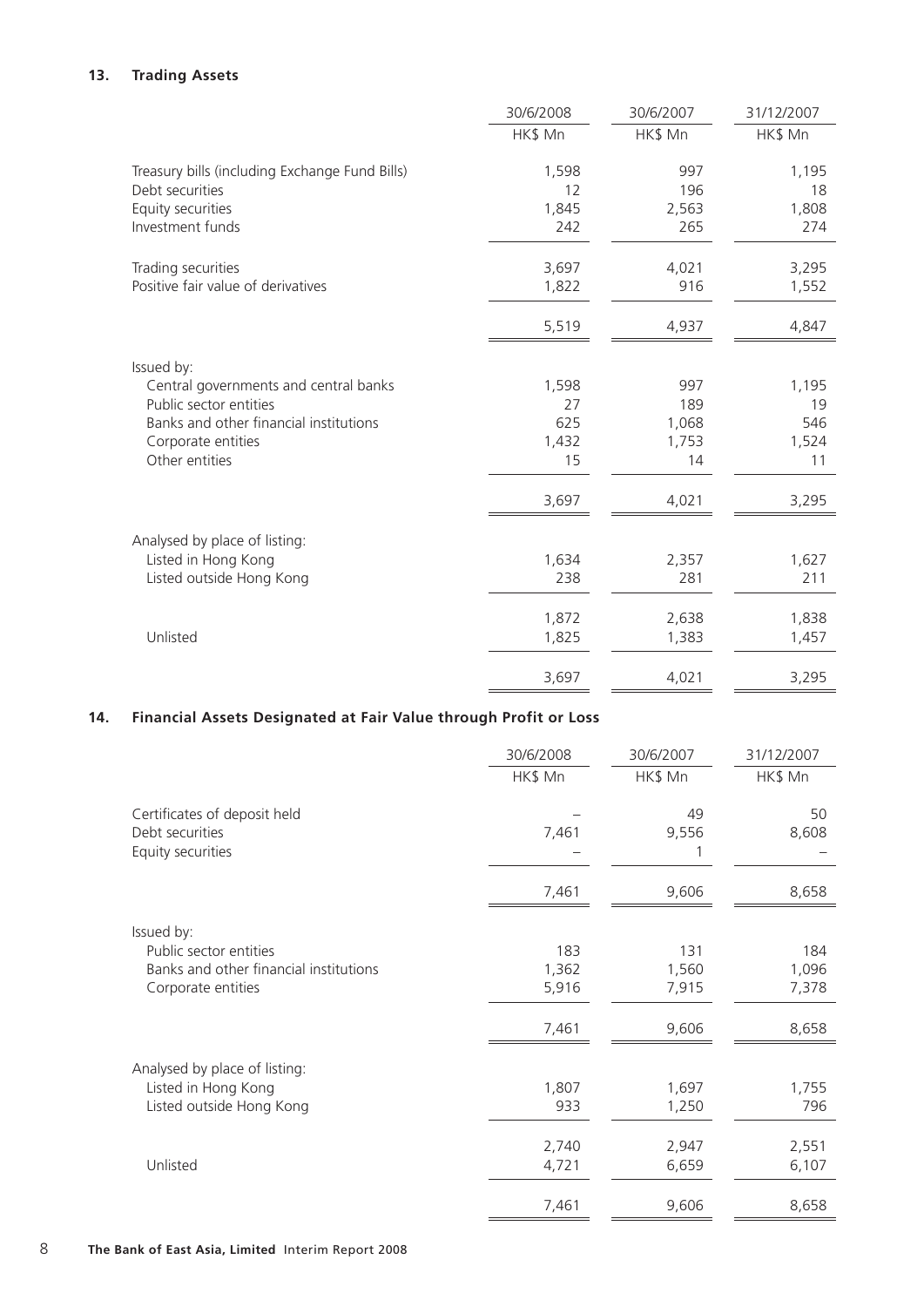## **13. Trading Assets**

|                                                | 30/6/2008 | 30/6/2007 | 31/12/2007 |
|------------------------------------------------|-----------|-----------|------------|
|                                                | HK\$ Mn   | HK\$ Mn   | HK\$ Mn    |
| Treasury bills (including Exchange Fund Bills) | 1,598     | 997       | 1,195      |
| Debt securities                                | 12        | 196       | 18         |
| Equity securities                              | 1,845     | 2,563     | 1,808      |
| Investment funds                               | 242       | 265       | 274        |
| Trading securities                             | 3,697     | 4,021     | 3,295      |
| Positive fair value of derivatives             | 1,822     | 916       | 1,552      |
|                                                | 5,519     | 4,937     | 4,847      |
| Issued by:                                     |           |           |            |
| Central governments and central banks          | 1,598     | 997       | 1,195      |
| Public sector entities                         | 27        | 189       | 19         |
| Banks and other financial institutions         | 625       | 1,068     | 546        |
| Corporate entities                             | 1,432     | 1,753     | 1,524      |
| Other entities                                 | 15        | 14        | 11         |
|                                                | 3,697     | 4,021     | 3,295      |
| Analysed by place of listing:                  |           |           |            |
| Listed in Hong Kong                            | 1,634     | 2,357     | 1,627      |
| Listed outside Hong Kong                       | 238       | 281       | 211        |
|                                                | 1,872     | 2,638     | 1,838      |
| Unlisted                                       | 1,825     | 1,383     | 1,457      |
|                                                | 3,697     | 4,021     | 3,295      |

## **14. Financial Assets Designated at Fair Value through Profit or Loss**

|                                                                      | 30/6/2008 | 30/6/2007   | 31/12/2007  |
|----------------------------------------------------------------------|-----------|-------------|-------------|
|                                                                      | HK\$ Mn   | HK\$ Mn     | HK\$ Mn     |
| Certificates of deposit held<br>Debt securities<br>Equity securities | 7,461     | 49<br>9,556 | 50<br>8,608 |
|                                                                      | 7,461     | 9,606       | 8,658       |
| Issued by:                                                           |           |             |             |
| Public sector entities                                               | 183       | 131         | 184         |
| Banks and other financial institutions                               | 1,362     | 1,560       | 1,096       |
| Corporate entities                                                   | 5,916     | 7,915       | 7,378       |
|                                                                      | 7,461     | 9,606       | 8,658       |
| Analysed by place of listing:                                        |           |             |             |
| Listed in Hong Kong                                                  | 1,807     | 1,697       | 1,755       |
| Listed outside Hong Kong                                             | 933       | 1,250       | 796         |
|                                                                      | 2,740     | 2,947       | 2,551       |
| Unlisted                                                             | 4,721     | 6,659       | 6,107       |
|                                                                      | 7,461     | 9,606       | 8,658       |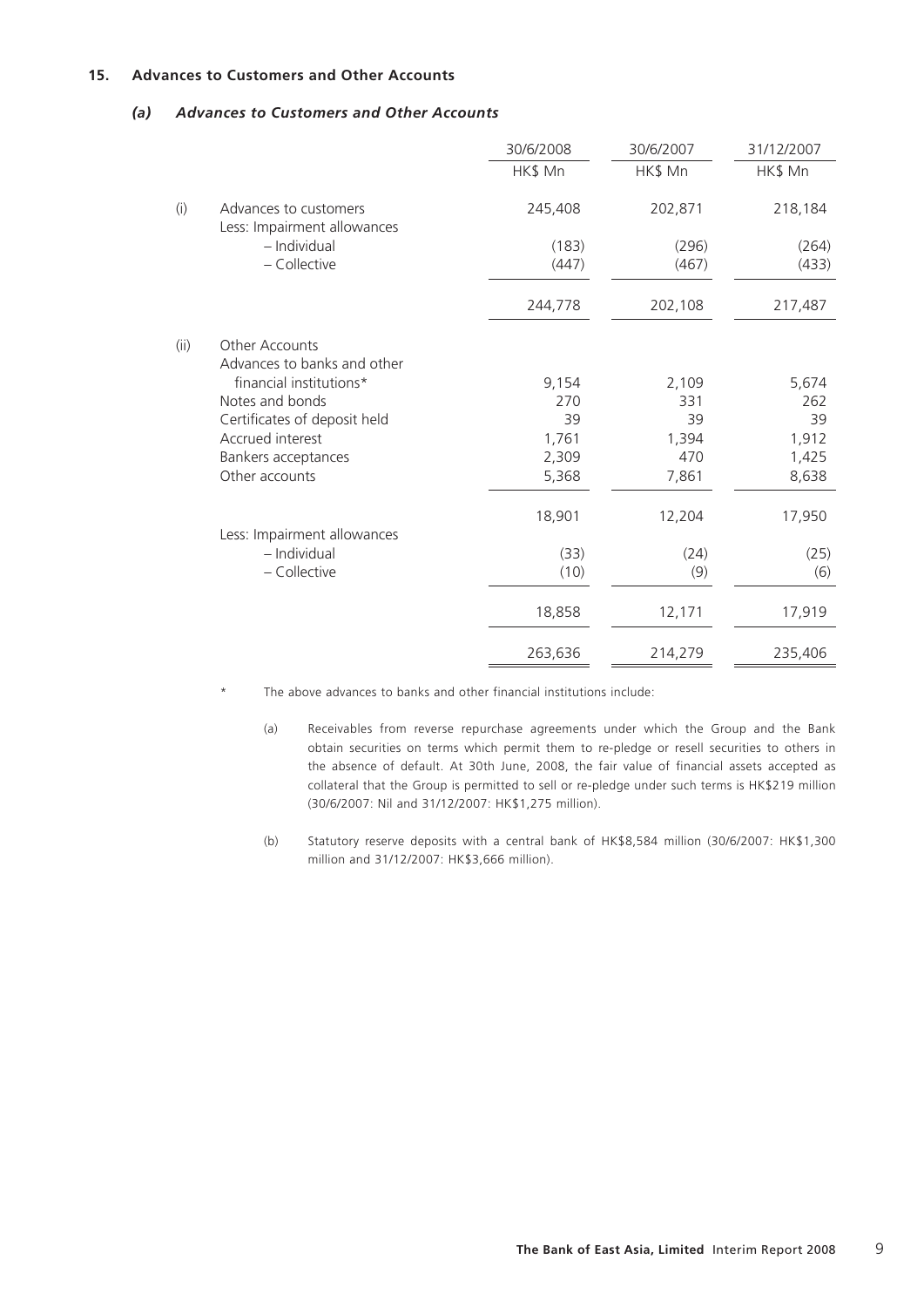## **15. Advances to Customers and Other Accounts**

## *(a) Advances to Customers and Other Accounts*

|      |                                                      | 30/6/2008 | 30/6/2007 | 31/12/2007 |
|------|------------------------------------------------------|-----------|-----------|------------|
|      |                                                      | HK\$ Mn   | HK\$ Mn   | HK\$ Mn    |
| (i)  | Advances to customers<br>Less: Impairment allowances | 245,408   | 202,871   | 218,184    |
|      | - Individual                                         | (183)     | (296)     | (264)      |
|      | - Collective                                         | (447)     | (467)     | (433)      |
|      |                                                      | 244,778   | 202,108   | 217,487    |
| (ii) | Other Accounts<br>Advances to banks and other        |           |           |            |
|      | financial institutions*                              | 9,154     | 2,109     | 5,674      |
|      | Notes and bonds                                      | 270       | 331       | 262        |
|      | Certificates of deposit held                         | 39        | 39        | 39         |
|      | Accrued interest                                     | 1,761     | 1,394     | 1,912      |
|      | Bankers acceptances                                  | 2,309     | 470       | 1,425      |
|      | Other accounts                                       | 5,368     | 7,861     | 8,638      |
|      |                                                      | 18,901    | 12,204    | 17,950     |
|      | Less: Impairment allowances                          |           |           |            |
|      | - Individual                                         | (33)      | (24)      | (25)       |
|      | - Collective                                         | (10)      | (9)       | (6)        |
|      |                                                      | 18,858    | 12,171    | 17,919     |
|      |                                                      | 263,636   | 214,279   | 235,406    |
|      |                                                      |           |           |            |

- \* The above advances to banks and other financial institutions include:
	- (a) Receivables from reverse repurchase agreements under which the Group and the Bank obtain securities on terms which permit them to re-pledge or resell securities to others in the absence of default. At 30th June, 2008, the fair value of financial assets accepted as collateral that the Group is permitted to sell or re-pledge under such terms is HK\$219 million (30/6/2007: Nil and 31/12/2007: HK\$1,275 million).
	- (b) Statutory reserve deposits with a central bank of HK\$8,584 million (30/6/2007: HK\$1,300 million and 31/12/2007: HK\$3,666 million).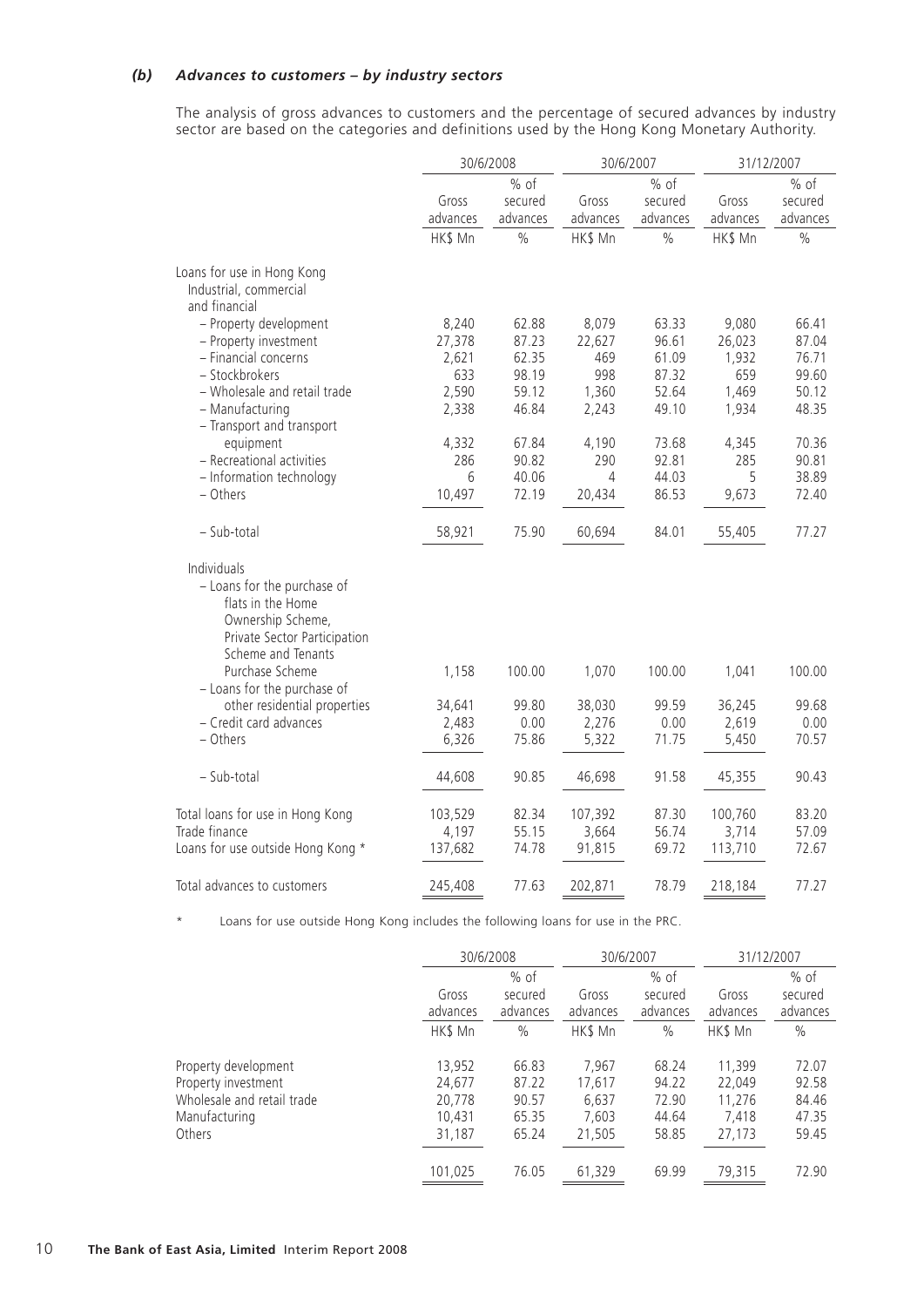#### *(b) Advances to customers – by industry sectors*

The analysis of gross advances to customers and the percentage of secured advances by industry sector are based on the categories and definitions used by the Hong Kong Monetary Authority.

|                                   | 30/6/2008 |               | 30/6/2007 |          | 31/12/2007 |          |
|-----------------------------------|-----------|---------------|-----------|----------|------------|----------|
|                                   |           | $%$ of        |           | $%$ of   |            | $%$ of   |
|                                   | Gross     | secured       | Gross     | secured  | Gross      | secured  |
|                                   | advances  | advances      | advances  | advances | advances   | advances |
|                                   | HK\$ Mn   | $\frac{0}{0}$ | HK\$ Mn   | $\%$     | HK\$ Mn    | $\%$     |
| Loans for use in Hong Kong        |           |               |           |          |            |          |
| Industrial, commercial            |           |               |           |          |            |          |
| and financial                     |           |               |           |          |            |          |
| - Property development            | 8,240     | 62.88         | 8,079     | 63.33    | 9,080      | 66.41    |
| - Property investment             | 27,378    | 87.23         | 22,627    | 96.61    | 26,023     | 87.04    |
| - Financial concerns              | 2,621     | 62.35         | 469       | 61.09    | 1,932      | 76.71    |
| - Stockbrokers                    | 633       | 98.19         | 998       | 87.32    | 659        | 99.60    |
| - Wholesale and retail trade      | 2,590     | 59.12         | 1,360     | 52.64    | 1,469      | 50.12    |
| - Manufacturing                   | 2,338     | 46.84         | 2,243     | 49.10    | 1,934      | 48.35    |
| - Transport and transport         |           |               |           |          |            |          |
| equipment                         | 4,332     | 67.84         | 4,190     | 73.68    | 4,345      | 70.36    |
| - Recreational activities         | 286       | 90.82         | 290       | 92.81    | 285        | 90.81    |
| - Information technology          | 6         | 40.06         | 4         | 44.03    | 5          | 38.89    |
| - Others                          | 10,497    | 72.19         | 20,434    | 86.53    | 9,673      | 72.40    |
| - Sub-total                       | 58,921    | 75.90         | 60,694    | 84.01    | 55,405     | 77.27    |
| Individuals                       |           |               |           |          |            |          |
| - Loans for the purchase of       |           |               |           |          |            |          |
| flats in the Home                 |           |               |           |          |            |          |
| Ownership Scheme,                 |           |               |           |          |            |          |
| Private Sector Participation      |           |               |           |          |            |          |
| Scheme and Tenants                |           |               |           |          |            |          |
| Purchase Scheme                   | 1,158     | 100.00        | 1,070     | 100.00   | 1,041      | 100.00   |
| - Loans for the purchase of       |           |               |           |          |            |          |
| other residential properties      | 34,641    | 99.80         | 38,030    | 99.59    | 36,245     | 99.68    |
| - Credit card advances            | 2,483     | 0.00          | 2,276     | 0.00     | 2,619      | 0.00     |
| - Others                          | 6,326     | 75.86         | 5,322     | 71.75    | 5,450      | 70.57    |
| - Sub-total                       | 44,608    | 90.85         | 46,698    | 91.58    | 45,355     | 90.43    |
|                                   |           |               |           |          |            |          |
| Total loans for use in Hong Kong  | 103,529   | 82.34         | 107,392   | 87.30    | 100,760    | 83.20    |
| Trade finance                     | 4,197     | 55.15         | 3,664     | 56.74    | 3,714      | 57.09    |
| Loans for use outside Hong Kong * | 137,682   | 74.78         | 91,815    | 69.72    | 113,710    | 72.67    |
| Total advances to customers       | 245,408   | 77.63         | 202,871   | 78.79    | 218,184    | 77.27    |
|                                   |           |               |           |          |            |          |

\* Loans for use outside Hong Kong includes the following loans for use in the PRC.

|                            |                   | 30/6/2008           |                   | 30/6/2007           |                   | 31/12/2007          |
|----------------------------|-------------------|---------------------|-------------------|---------------------|-------------------|---------------------|
|                            |                   | $%$ of              |                   | $%$ of              |                   | % of                |
|                            | Gross<br>advances | secured<br>advances | Gross<br>advances | secured<br>advances | Gross<br>advances | secured<br>advances |
|                            | HK\$ Mn           | $\%$                | HK\$ Mn           | $\%$                | HK\$ Mn           | $\%$                |
| Property development       | 13,952            | 66.83               | 7,967             | 68.24               | 11,399            | 72.07               |
| Property investment        | 24,677            | 87.22               | 17,617            | 94.22               | 22,049            | 92.58               |
| Wholesale and retail trade | 20,778            | 90.57               | 6,637             | 72.90               | 11.276            | 84.46               |
| Manufacturing              | 10,431            | 65.35               | 7,603             | 44.64               | 7.418             | 47.35               |
| Others                     | 31,187            | 65.24               | 21,505            | 58.85               | 27,173            | 59.45               |
|                            | 101,025           | 76.05               | 61,329            | 69.99               | 79,315            | 72.90               |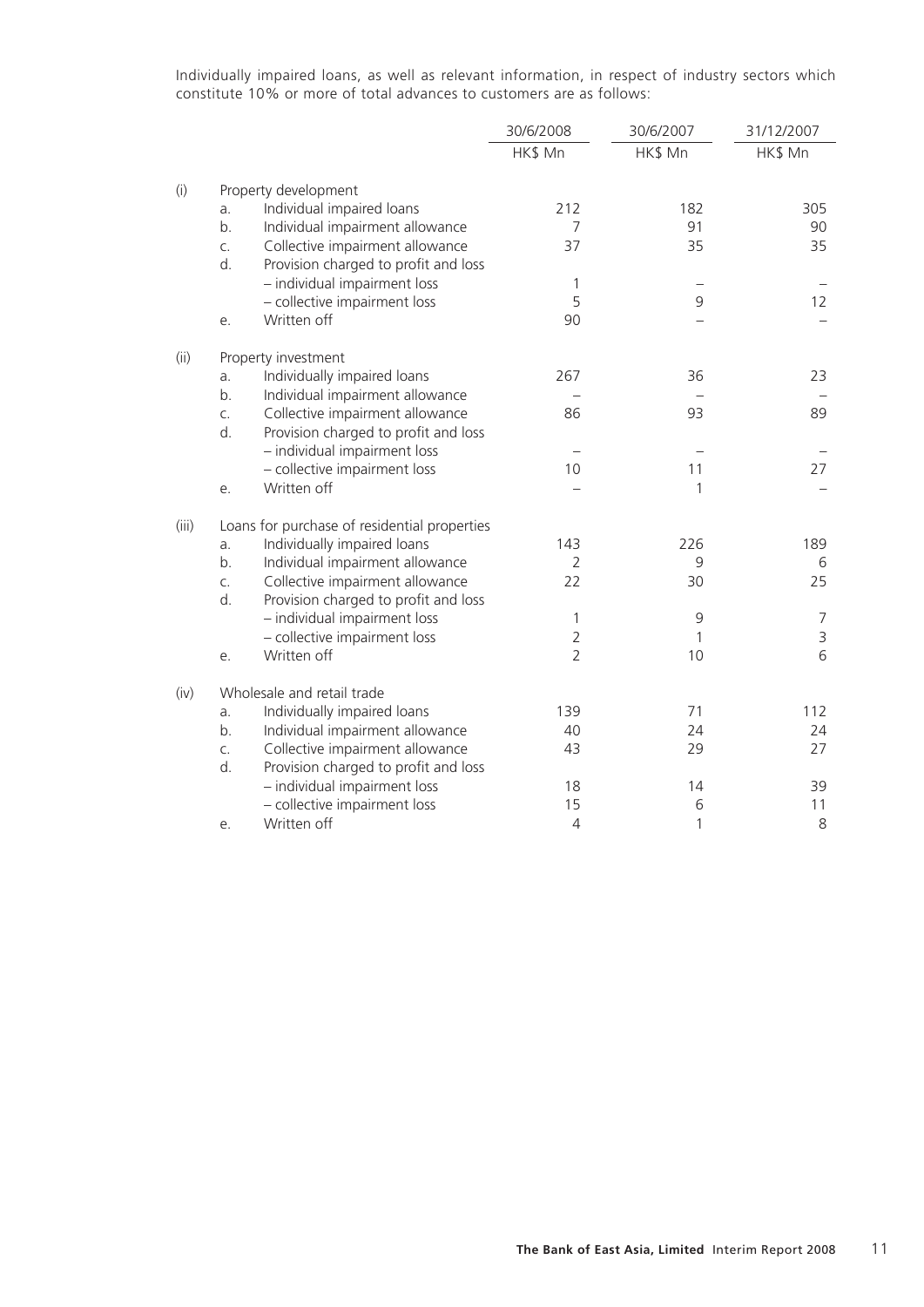Individually impaired loans, as well as relevant information, in respect of industry sectors which constitute 10% or more of total advances to customers are as follows:

|       |    |                                              | 30/6/2008      | 30/6/2007 | 31/12/2007  |
|-------|----|----------------------------------------------|----------------|-----------|-------------|
|       |    |                                              | HK\$ Mn        | HK\$ Mn   | HK\$ Mn     |
| (i)   |    | Property development                         |                |           |             |
|       | a. | Individual impaired loans                    | 212            | 182       | 305         |
|       | b. | Individual impairment allowance              | 7              | 91        | 90          |
|       | C. | Collective impairment allowance              | 37             | 35        | 35          |
|       | d. | Provision charged to profit and loss         |                |           |             |
|       |    | - individual impairment loss                 | 1              |           |             |
|       |    | - collective impairment loss                 | 5              | 9         | 12          |
|       | е. | Written off                                  | 90             |           |             |
| (ii)  |    | Property investment                          |                |           |             |
|       | a. | Individually impaired loans                  | 267            | 36        | 23          |
|       | b. | Individual impairment allowance              |                |           |             |
|       | C. | Collective impairment allowance              | 86             | 93        | 89          |
|       | d. | Provision charged to profit and loss         |                |           |             |
|       |    | - individual impairment loss                 |                |           |             |
|       |    | - collective impairment loss                 | 10             | 11        | 27          |
|       | е. | Written off                                  |                | 1         |             |
| (iii) |    | Loans for purchase of residential properties |                |           |             |
|       | a. | Individually impaired loans                  | 143            | 226       | 189         |
|       | b. | Individual impairment allowance              | $\overline{2}$ | 9         | 6           |
|       | C. | Collective impairment allowance              | 22             | 30        | 25          |
|       | d. | Provision charged to profit and loss         |                |           |             |
|       |    | - individual impairment loss                 | 1              | 9         | 7           |
|       |    | - collective impairment loss                 | $\overline{2}$ | 1         | $\mathsf 3$ |
|       | е. | Written off                                  | $\overline{2}$ | 10        | 6           |
| (iv)  |    | Wholesale and retail trade                   |                |           |             |
|       | a. | Individually impaired loans                  | 139            | 71        | 112         |
|       | b. | Individual impairment allowance              | 40             | 24        | 24          |
|       | C. | Collective impairment allowance              | 43             | 29        | 27          |
|       | d. | Provision charged to profit and loss         |                |           |             |
|       |    | - individual impairment loss                 | 18             | 14        | 39          |
|       |    | - collective impairment loss                 | 15             | 6         | 11          |
|       | е. | Written off                                  | $\overline{4}$ | 1         | 8           |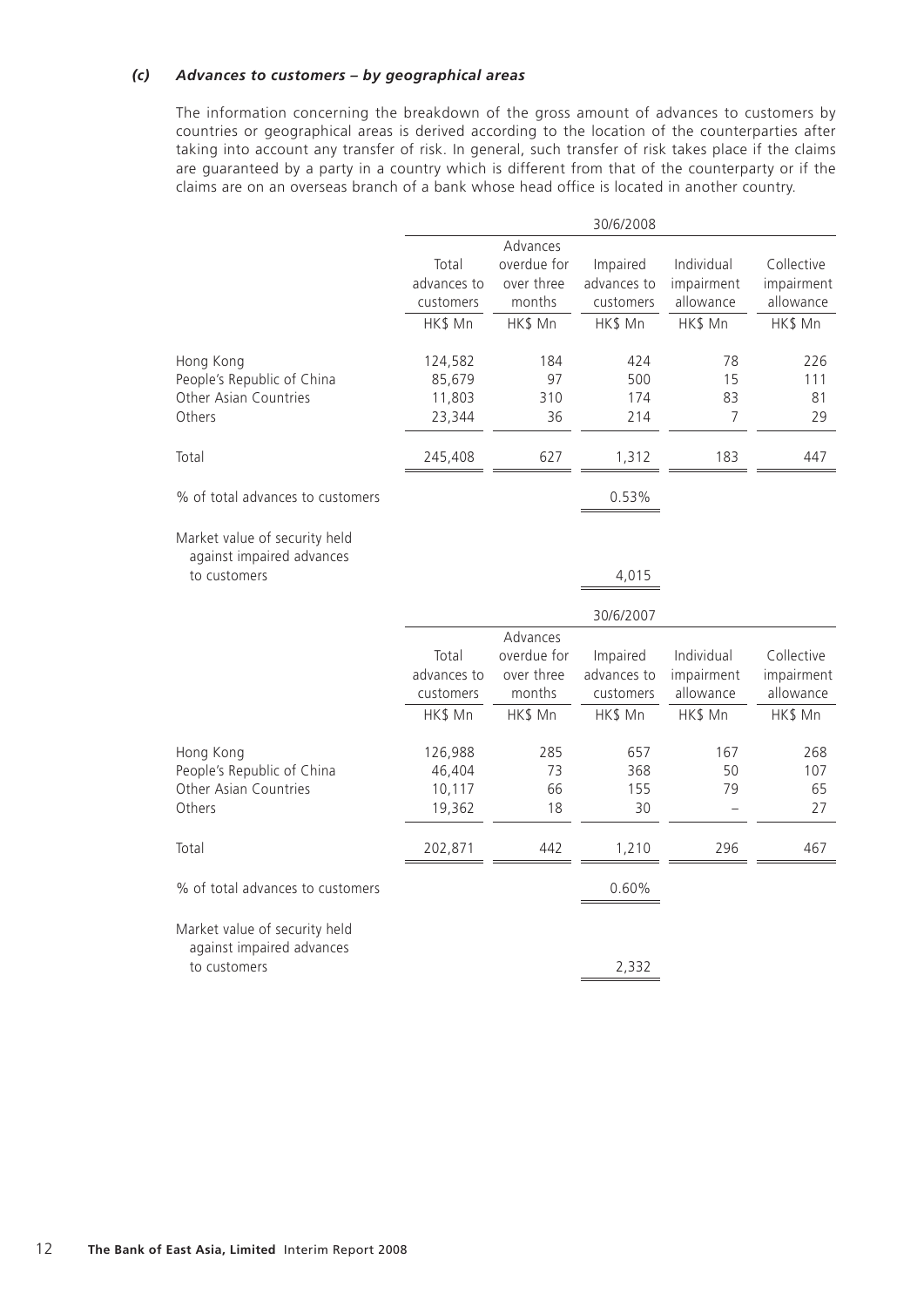## *(c) Advances to customers – by geographical areas*

The information concerning the breakdown of the gross amount of advances to customers by countries or geographical areas is derived according to the location of the counterparties after taking into account any transfer of risk. In general, such transfer of risk takes place if the claims are guaranteed by a party in a country which is different from that of the counterparty or if the claims are on an overseas branch of a bank whose head office is located in another country.

|                                                            | 30/6/2008   |                         |             |            |            |
|------------------------------------------------------------|-------------|-------------------------|-------------|------------|------------|
|                                                            | Total       | Advances<br>overdue for | Impaired    | Individual | Collective |
|                                                            | advances to | over three              | advances to | impairment | impairment |
|                                                            | customers   | months                  | customers   | allowance  | allowance  |
|                                                            | HK\$ Mn     | HK\$ Mn                 | HK\$ Mn     | HK\$ Mn    | HK\$ Mn    |
| Hong Kong                                                  | 124,582     | 184                     | 424         | 78         | 226        |
| People's Republic of China                                 | 85,679      | 97                      | 500         | 15         | 111        |
| Other Asian Countries                                      | 11,803      | 310                     | 174         | 83         | 81         |
| Others                                                     | 23,344      | 36                      | 214         | 7          | 29         |
| Total                                                      | 245,408     | 627                     | 1,312       | 183        | 447        |
| % of total advances to customers                           |             |                         | 0.53%       |            |            |
| Market value of security held<br>against impaired advances |             |                         |             |            |            |
| to customers                                               |             |                         | 4,015       |            |            |
|                                                            |             |                         | 30/6/2007   |            |            |
|                                                            |             | Advances                |             |            |            |
|                                                            | Total       | overdue for             | Impaired    | Individual | Collective |
|                                                            | advances to | over three              | advances to | impairment | impairment |
|                                                            | customers   | months                  | customers   | allowance  | allowance  |
|                                                            | HK\$ Mn     | HK\$ Mn                 | HK\$ Mn     | HK\$ Mn    | HK\$ Mn    |
| Hong Kong                                                  | 126,988     | 285                     | 657         | 167        | 268        |
| People's Republic of China                                 | 46,404      | 73                      | 368         | 50         | 107        |
| Other Asian Countries                                      | 10,117      | 66                      | 155         | 79         | 65         |
| Others                                                     | 19,362      | 18                      | 30          |            | 27         |
| Total                                                      | 202,871     | 442                     | 1,210       | 296        | 467        |
| % of total advances to customers                           |             |                         | 0.60%       |            |            |
| Market value of security held<br>against impaired advances |             |                         |             |            |            |
| to customers                                               |             |                         | 2,332       |            |            |
|                                                            |             |                         |             |            |            |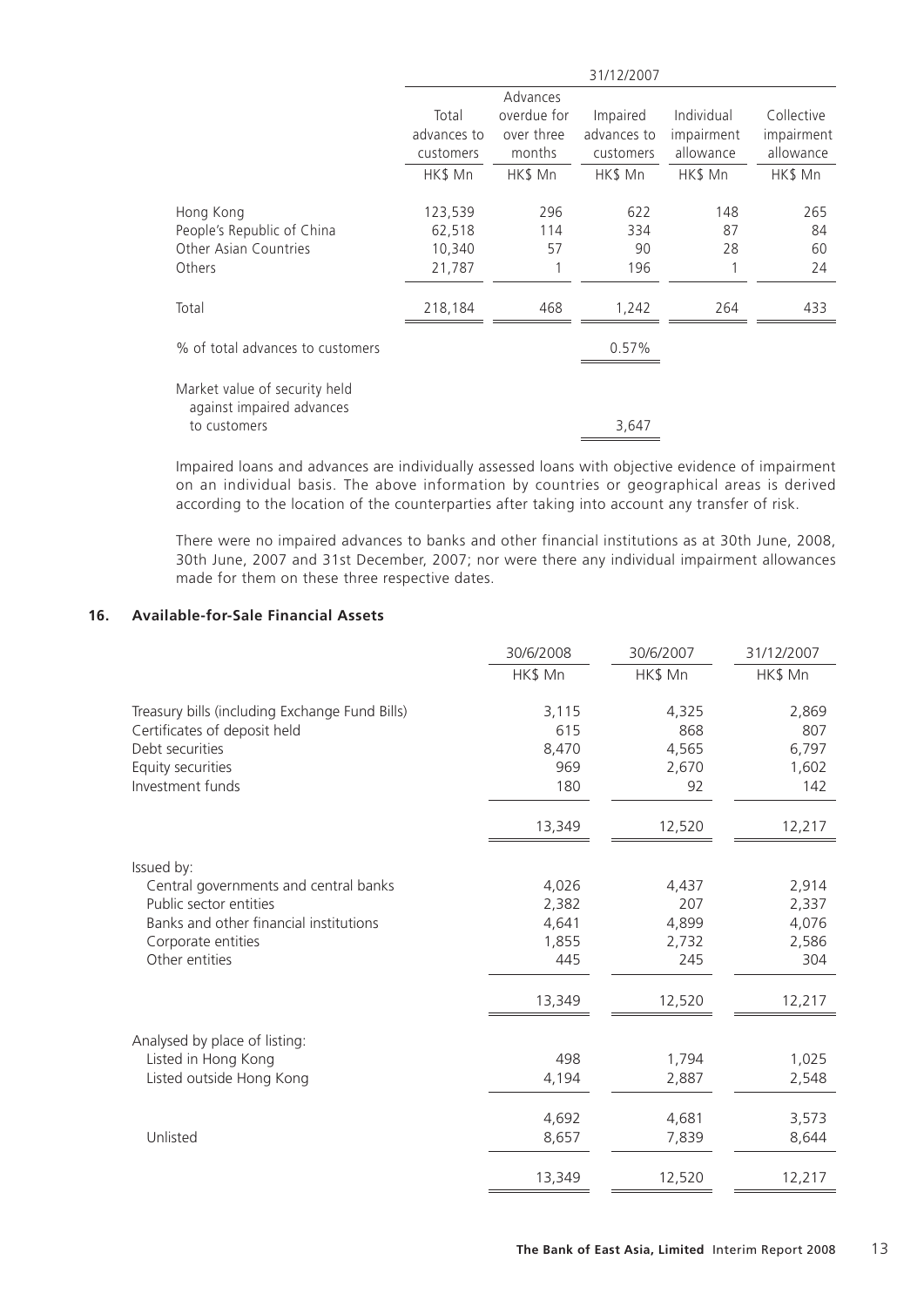|                                                            | 31/12/2007  |             |             |            |            |
|------------------------------------------------------------|-------------|-------------|-------------|------------|------------|
|                                                            |             | Advances    |             |            |            |
|                                                            | Total       | overdue for | Impaired    | Individual | Collective |
|                                                            | advances to | over three  | advances to | impairment | impairment |
|                                                            | customers   | months      | customers   | allowance  | allowance  |
|                                                            | HK\$ Mn     | HK\$ Mn     | HK\$ Mn     | HK\$ Mn    | HK\$ Mn    |
| Hong Kong                                                  | 123,539     | 296         | 622         | 148        | 265        |
| People's Republic of China                                 | 62,518      | 114         | 334         | 87         | 84         |
| Other Asian Countries                                      | 10,340      | 57          | 90          | 28         | 60         |
| Others                                                     | 21,787      |             | 196         |            | 24         |
| Total                                                      | 218,184     | 468         | 1,242       | 264        | 433        |
| % of total advances to customers                           |             |             | 0.57%       |            |            |
| Market value of security held<br>against impaired advances |             |             |             |            |            |
| to customers                                               |             |             | 3,647       |            |            |
|                                                            |             |             |             |            |            |

Impaired loans and advances are individually assessed loans with objective evidence of impairment on an individual basis. The above information by countries or geographical areas is derived according to the location of the counterparties after taking into account any transfer of risk.

There were no impaired advances to banks and other financial institutions as at 30th June, 2008, 30th June, 2007 and 31st December, 2007; nor were there any individual impairment allowances made for them on these three respective dates.

#### **16. Available-for-Sale Financial Assets**

|                                                | 30/6/2008 | 30/6/2007 | 31/12/2007 |
|------------------------------------------------|-----------|-----------|------------|
|                                                | HK\$ Mn   | HK\$ Mn   | HK\$ Mn    |
| Treasury bills (including Exchange Fund Bills) | 3,115     | 4,325     | 2,869      |
| Certificates of deposit held                   | 615       | 868       | 807        |
| Debt securities                                | 8,470     | 4,565     | 6,797      |
| Equity securities                              | 969       | 2,670     | 1,602      |
| Investment funds                               | 180       | 92        | 142        |
|                                                | 13,349    | 12,520    | 12,217     |
|                                                |           |           |            |
| Issued by:                                     |           |           |            |
| Central governments and central banks          | 4,026     | 4,437     | 2,914      |
| Public sector entities                         | 2,382     | 207       | 2,337      |
| Banks and other financial institutions         | 4,641     | 4,899     | 4,076      |
| Corporate entities                             | 1,855     | 2,732     | 2,586      |
| Other entities                                 | 445       | 245       | 304        |
|                                                | 13,349    | 12,520    | 12,217     |
|                                                |           |           |            |
| Analysed by place of listing:                  |           |           |            |
| Listed in Hong Kong                            | 498       | 1,794     | 1,025      |
| Listed outside Hong Kong                       | 4,194     | 2,887     | 2,548      |
|                                                | 4,692     | 4,681     | 3,573      |
| Unlisted                                       | 8,657     | 7,839     | 8,644      |
|                                                |           |           |            |
|                                                | 13,349    | 12,520    | 12,217     |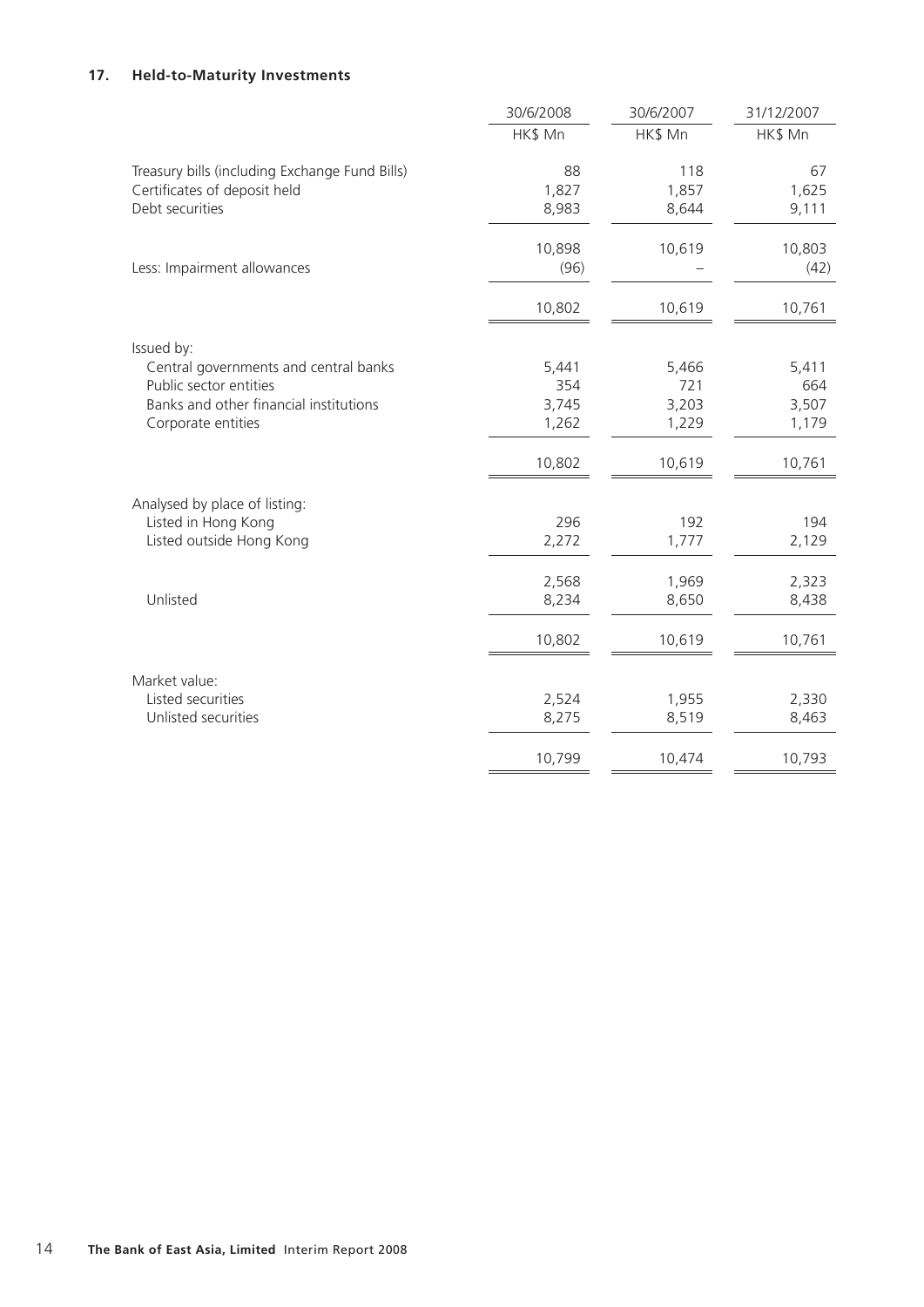## **17. Held-to-Maturity Investments**

| HK\$ Mn<br>HK\$ Mn<br>HK\$ Mn<br>Treasury bills (including Exchange Fund Bills)<br>88<br>118 | 67<br>1,625<br>9,111 |
|----------------------------------------------------------------------------------------------|----------------------|
|                                                                                              |                      |
|                                                                                              |                      |
| 1,827<br>Certificates of deposit held<br>1,857                                               |                      |
| Debt securities<br>8,983<br>8,644                                                            |                      |
| 10,898<br>10,619                                                                             | 10,803               |
| Less: Impairment allowances<br>(96)                                                          | (42)                 |
| 10,802<br>10,619                                                                             | 10,761               |
| Issued by:                                                                                   |                      |
| 5,441<br>Central governments and central banks<br>5,466                                      | 5,411                |
| Public sector entities<br>354<br>721                                                         | 664                  |
| Banks and other financial institutions<br>3,745<br>3,203                                     | 3,507                |
| 1,262<br>1,229<br>Corporate entities                                                         | 1,179                |
| 10,802<br>10,619                                                                             | 10,761               |
| Analysed by place of listing:                                                                |                      |
| 296<br>192<br>Listed in Hong Kong                                                            | 194                  |
| 2,272<br>Listed outside Hong Kong<br>1,777                                                   | 2,129                |
| 2,568<br>1,969                                                                               | 2,323                |
| Unlisted<br>8,234<br>8,650                                                                   | 8,438                |
| 10,802<br>10,619                                                                             | 10,761               |
| Market value:                                                                                |                      |
| Listed securities<br>2,524<br>1,955                                                          | 2,330                |
| Unlisted securities<br>8,275<br>8,519                                                        | 8,463                |
| 10,799<br>10,474                                                                             | 10,793               |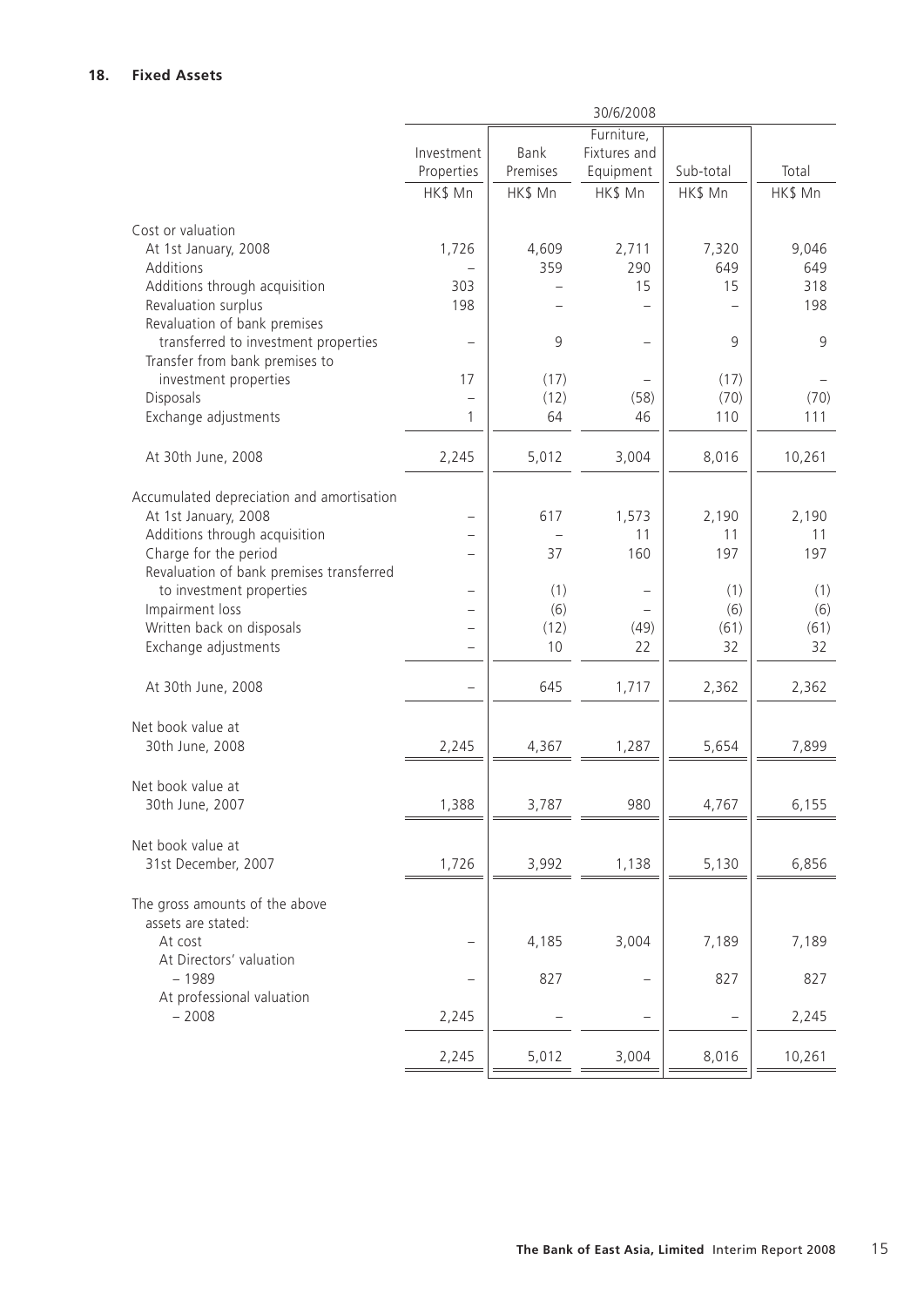|                                           | 30/6/2008                |          |                          |           |         |  |  |
|-------------------------------------------|--------------------------|----------|--------------------------|-----------|---------|--|--|
|                                           |                          |          | Furniture,               |           |         |  |  |
|                                           | Investment               | Bank     | Fixtures and             |           |         |  |  |
|                                           | Properties               | Premises | Equipment                | Sub-total | Total   |  |  |
|                                           | HK\$ Mn                  | HK\$ Mn  | HK\$ Mn                  | HK\$ Mn   | HK\$ Mn |  |  |
|                                           |                          |          |                          |           |         |  |  |
| Cost or valuation                         |                          |          |                          |           |         |  |  |
| At 1st January, 2008                      | 1,726                    | 4,609    | 2,711                    | 7,320     | 9,046   |  |  |
| Additions                                 |                          | 359      | 290                      | 649       | 649     |  |  |
| Additions through acquisition             | 303                      |          | 15                       | 15        | 318     |  |  |
| Revaluation surplus                       | 198                      |          |                          |           | 198     |  |  |
| Revaluation of bank premises              |                          |          |                          |           |         |  |  |
| transferred to investment properties      | -                        | 9        | $\overline{\phantom{0}}$ | 9         | 9       |  |  |
| Transfer from bank premises to            |                          |          |                          |           |         |  |  |
| investment properties                     | 17                       | (17)     |                          | (17)      |         |  |  |
| Disposals                                 | $\qquad \qquad -$        | (12)     | (58)                     | (70)      | (70)    |  |  |
| Exchange adjustments                      | 1                        | 64       | 46                       | 110       | 111     |  |  |
|                                           |                          |          |                          |           |         |  |  |
| At 30th June, 2008                        | 2,245                    | 5,012    | 3,004                    | 8,016     | 10,261  |  |  |
|                                           |                          |          |                          |           |         |  |  |
| Accumulated depreciation and amortisation |                          |          |                          |           |         |  |  |
| At 1st January, 2008                      |                          | 617      | 1,573                    | 2,190     | 2,190   |  |  |
| Additions through acquisition             | -                        |          | 11                       | 11        | 11      |  |  |
| Charge for the period                     |                          | 37       | 160                      | 197       | 197     |  |  |
| Revaluation of bank premises transferred  |                          |          |                          |           |         |  |  |
| to investment properties                  | $\overline{\phantom{0}}$ | (1)      |                          | (1)       | (1)     |  |  |
| Impairment loss                           | -                        | (6)      |                          | (6)       | (6)     |  |  |
| Written back on disposals                 | -                        | (12)     | (49)                     | (61)      | (61)    |  |  |
| Exchange adjustments                      | $\overline{\phantom{0}}$ | 10       | 22                       | 32        | 32      |  |  |
|                                           |                          |          |                          |           |         |  |  |
| At 30th June, 2008                        | $\overline{\phantom{0}}$ | 645      | 1,717                    | 2,362     | 2,362   |  |  |
|                                           |                          |          |                          |           |         |  |  |
|                                           |                          |          |                          |           |         |  |  |
| Net book value at                         |                          |          |                          |           |         |  |  |
| 30th June, 2008                           | 2,245                    | 4,367    | 1,287                    | 5,654     | 7,899   |  |  |
|                                           |                          |          |                          |           |         |  |  |
| Net book value at                         |                          |          |                          |           |         |  |  |
| 30th June, 2007                           | 1,388                    | 3,787    | 980                      | 4,767     | 6,155   |  |  |
|                                           |                          |          |                          |           |         |  |  |
| Net book value at                         |                          |          |                          |           |         |  |  |
| 31st December, 2007                       | 1,726                    | 3,992    | 1,138                    | 5,130     | 6,856   |  |  |
|                                           |                          |          |                          |           |         |  |  |
| The gross amounts of the above            |                          |          |                          |           |         |  |  |
| assets are stated:                        |                          |          |                          |           |         |  |  |
| At cost                                   |                          | 4,185    | 3,004                    | 7,189     | 7,189   |  |  |
| At Directors' valuation                   |                          |          |                          |           |         |  |  |
| $-1989$                                   |                          | 827      |                          | 827       | 827     |  |  |
| At professional valuation                 |                          |          |                          |           |         |  |  |
| $-2008$                                   | 2,245                    |          |                          |           | 2,245   |  |  |
|                                           |                          |          |                          |           |         |  |  |
|                                           | 2,245                    | 5,012    | 3,004                    | 8,016     | 10,261  |  |  |
|                                           |                          |          |                          |           |         |  |  |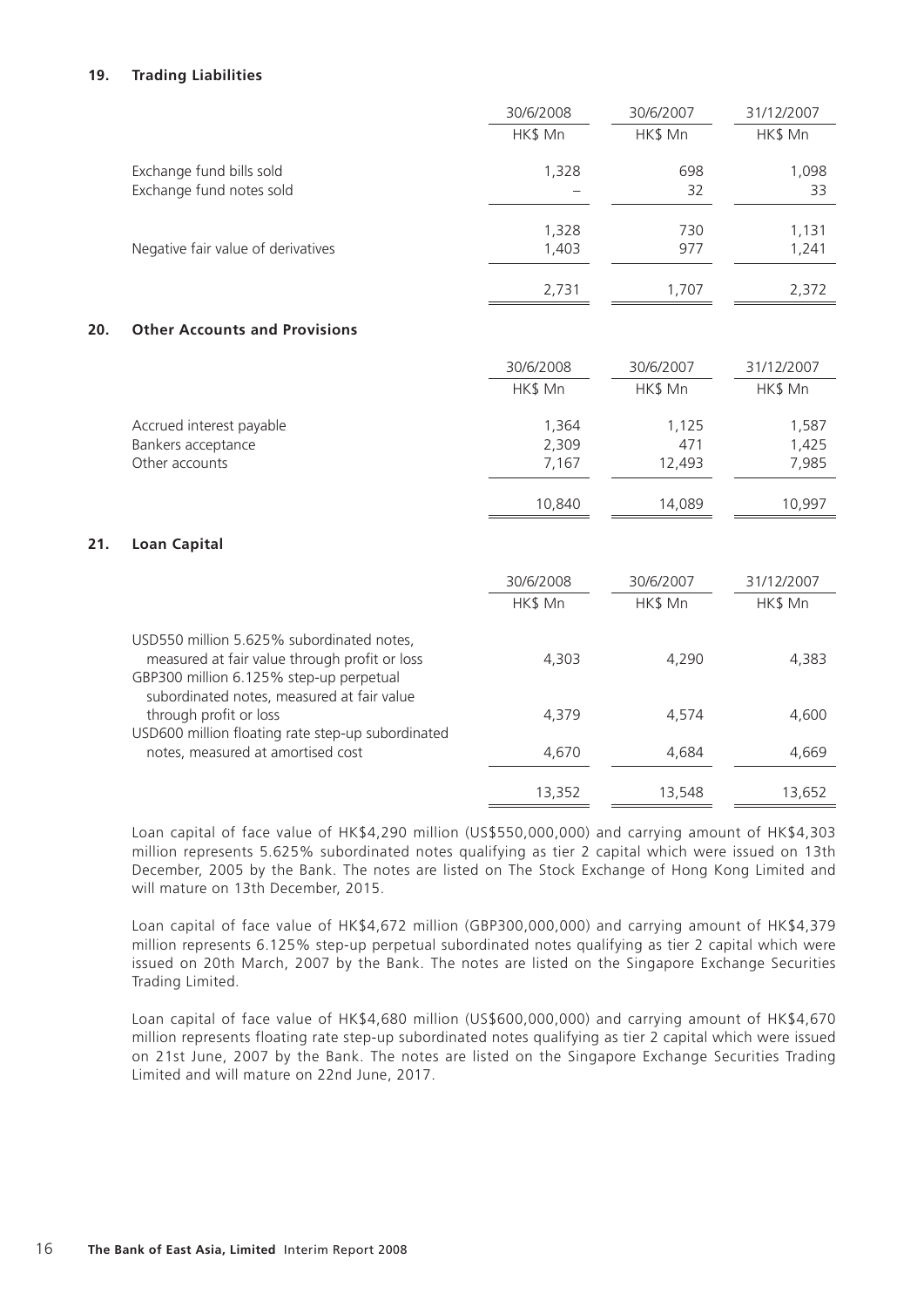## **19. Trading Liabilities**

|     |                                                                                                                                       | 30/6/2008               | 30/6/2007              | 31/12/2007              |
|-----|---------------------------------------------------------------------------------------------------------------------------------------|-------------------------|------------------------|-------------------------|
|     |                                                                                                                                       | HK\$ Mn                 | HK\$ Mn                | HK\$ Mn                 |
|     | Exchange fund bills sold<br>Exchange fund notes sold                                                                                  | 1,328                   | 698<br>32              | 1,098<br>33             |
|     | Negative fair value of derivatives                                                                                                    | 1,328<br>1,403          | 730<br>977             | 1,131<br>1,241          |
|     |                                                                                                                                       | 2,731                   | 1,707                  | 2,372                   |
| 20. | <b>Other Accounts and Provisions</b>                                                                                                  |                         |                        |                         |
|     |                                                                                                                                       | 30/6/2008               | 30/6/2007              | 31/12/2007              |
|     |                                                                                                                                       | HK\$ Mn                 | HK\$ Mn                | HK\$ Mn                 |
|     | Accrued interest payable<br>Bankers acceptance<br>Other accounts                                                                      | 1,364<br>2,309<br>7,167 | 1,125<br>471<br>12,493 | 1,587<br>1,425<br>7,985 |
|     |                                                                                                                                       | 10,840                  | 14,089                 | 10,997                  |
| 21. | <b>Loan Capital</b>                                                                                                                   |                         |                        |                         |
|     |                                                                                                                                       | 30/6/2008               | 30/6/2007              | 31/12/2007              |
|     |                                                                                                                                       | HK\$ Mn                 | HK\$ Mn                | HK\$ Mn                 |
|     | USD550 million 5.625% subordinated notes,<br>measured at fair value through profit or loss<br>GBP300 million 6.125% step-up perpetual | 4,303                   | 4,290                  | 4,383                   |
|     | subordinated notes, measured at fair value<br>through profit or loss<br>USD600 million floating rate step-up subordinated             | 4,379                   | 4,574                  | 4,600                   |
|     | notes, measured at amortised cost                                                                                                     | 4,670                   | 4,684                  | 4,669                   |
|     |                                                                                                                                       | 13,352                  | 13,548                 | 13,652                  |

Loan capital of face value of HK\$4,290 million (US\$550,000,000) and carrying amount of HK\$4,303 million represents 5.625% subordinated notes qualifying as tier 2 capital which were issued on 13th December, 2005 by the Bank. The notes are listed on The Stock Exchange of Hong Kong Limited and will mature on 13th December, 2015.

Loan capital of face value of HK\$4,672 million (GBP300,000,000) and carrying amount of HK\$4,379 million represents 6.125% step-up perpetual subordinated notes qualifying as tier 2 capital which were issued on 20th March, 2007 by the Bank. The notes are listed on the Singapore Exchange Securities Trading Limited.

Loan capital of face value of HK\$4,680 million (US\$600,000,000) and carrying amount of HK\$4,670 million represents floating rate step-up subordinated notes qualifying as tier 2 capital which were issued on 21st June, 2007 by the Bank. The notes are listed on the Singapore Exchange Securities Trading Limited and will mature on 22nd June, 2017.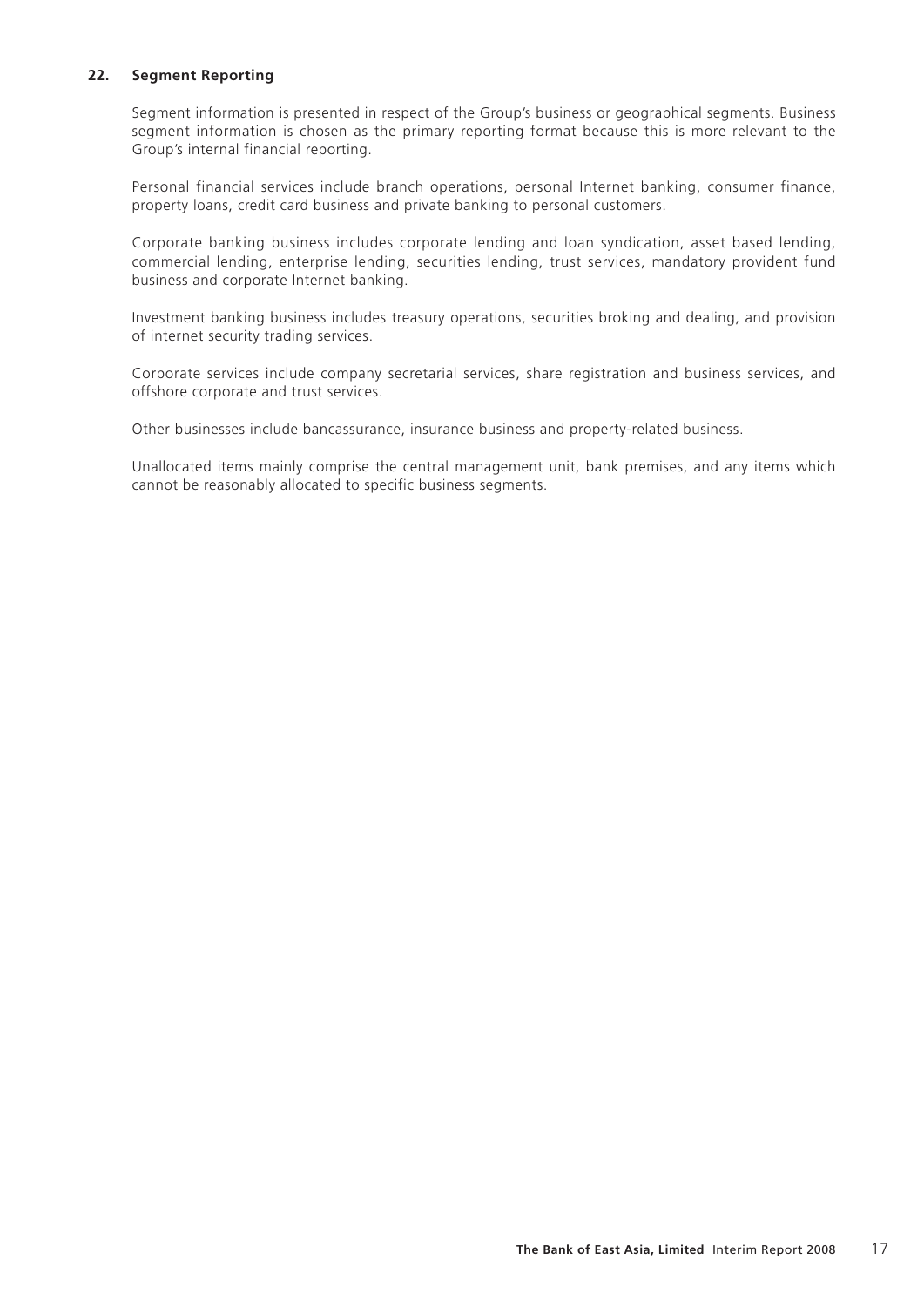## **22. Segment Reporting**

Segment information is presented in respect of the Group's business or geographical segments. Business segment information is chosen as the primary reporting format because this is more relevant to the Group's internal financial reporting.

Personal financial services include branch operations, personal Internet banking, consumer finance, property loans, credit card business and private banking to personal customers.

Corporate banking business includes corporate lending and loan syndication, asset based lending, commercial lending, enterprise lending, securities lending, trust services, mandatory provident fund business and corporate Internet banking.

Investment banking business includes treasury operations, securities broking and dealing, and provision of internet security trading services.

Corporate services include company secretarial services, share registration and business services, and offshore corporate and trust services.

Other businesses include bancassurance, insurance business and property-related business.

Unallocated items mainly comprise the central management unit, bank premises, and any items which cannot be reasonably allocated to specific business segments.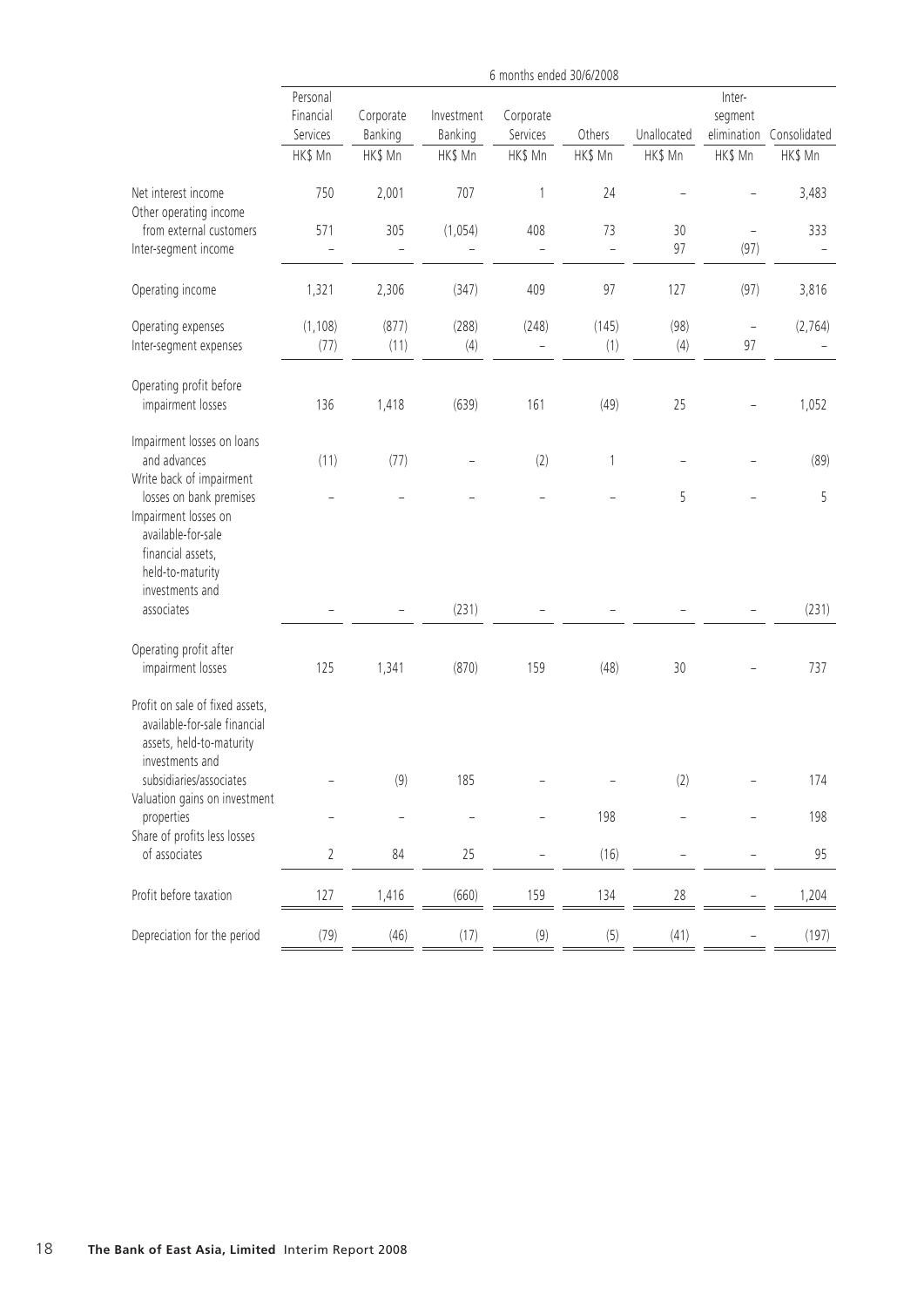|                                                                                                                                                                                          |                                              |                                 |                                  | 6 months ended 30/6/2008         |                   |                        |                                             |                         |
|------------------------------------------------------------------------------------------------------------------------------------------------------------------------------------------|----------------------------------------------|---------------------------------|----------------------------------|----------------------------------|-------------------|------------------------|---------------------------------------------|-------------------------|
|                                                                                                                                                                                          | Personal<br>Financial<br>Services<br>HK\$ Mn | Corporate<br>Banking<br>HK\$ Mn | Investment<br>Banking<br>HK\$ Mn | Corporate<br>Services<br>HK\$ Mn | Others<br>HK\$ Mn | Unallocated<br>HK\$ Mn | Inter-<br>segment<br>elimination<br>HK\$ Mn | Consolidated<br>HK\$ Mn |
| Net interest income                                                                                                                                                                      | 750                                          | 2,001                           | 707                              | 1                                | 24                |                        |                                             | 3,483                   |
| Other operating income<br>from external customers<br>Inter-segment income                                                                                                                | 571                                          | 305                             | (1,054)                          | 408                              | 73                | 30<br>97               | $\overline{\phantom{0}}$<br>(97)            | 333                     |
| Operating income                                                                                                                                                                         | 1,321                                        | 2,306                           | (347)                            | 409                              | 97                | 127                    | (97)                                        | 3,816                   |
| Operating expenses<br>Inter-segment expenses                                                                                                                                             | (1, 108)<br>(77)                             | (877)<br>(11)                   | (288)<br>(4)                     | (248)<br>$\qquad \qquad -$       | (145)<br>(1)      | (98)<br>(4)            | $\overline{\phantom{0}}$<br>97              | (2,764)                 |
| Operating profit before<br>impairment losses                                                                                                                                             | 136                                          | 1,418                           | (639)                            | 161                              | (49)              | 25                     |                                             | 1,052                   |
| Impairment losses on loans<br>and advances<br>Write back of impairment<br>losses on bank premises<br>Impairment losses on<br>available-for-sale<br>financial assets,<br>held-to-maturity | (11)                                         | (77)                            |                                  | (2)                              | 1                 | 5                      |                                             | (89)<br>5               |
| investments and<br>associates                                                                                                                                                            |                                              |                                 | (231)                            |                                  |                   |                        |                                             | (231)                   |
| Operating profit after<br>impairment losses                                                                                                                                              | 125                                          | 1,341                           | (870)                            | 159                              | (48)              | 30                     |                                             | 737                     |
| Profit on sale of fixed assets,<br>available-for-sale financial<br>assets, held-to-maturity<br>investments and                                                                           |                                              |                                 |                                  |                                  |                   |                        |                                             |                         |
| subsidiaries/associates<br>Valuation gains on investment                                                                                                                                 |                                              | (9)                             | 185                              |                                  |                   | (2)                    |                                             | 174                     |
| properties<br>Share of profits less losses                                                                                                                                               |                                              |                                 |                                  |                                  | 198               |                        |                                             | 198                     |
| of associates                                                                                                                                                                            | $\overline{2}$                               | 84                              | 25                               |                                  | (16)              |                        |                                             | 95                      |
| Profit before taxation                                                                                                                                                                   | 127                                          | 1,416                           | (660)                            | 159                              | 134               | $28\,$                 |                                             | 1,204                   |
| Depreciation for the period                                                                                                                                                              | (79)                                         | (46)                            | (17)                             | (9)                              | (5)               | (41)                   |                                             | (197)                   |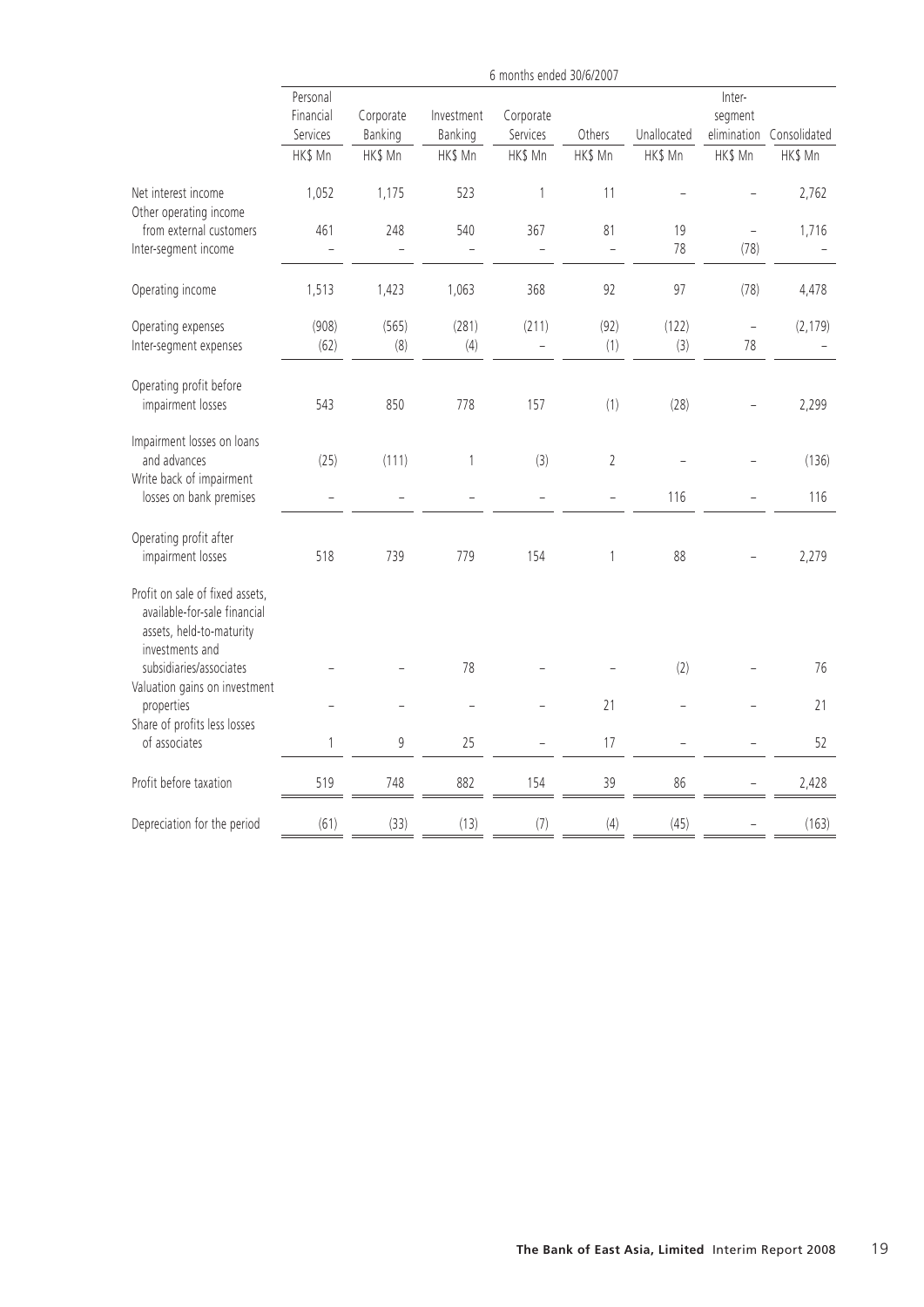|                                                                                                                | 6 months ended 30/6/2007                     |                                 |                                  |                                  |                      |                        |                                             |                         |
|----------------------------------------------------------------------------------------------------------------|----------------------------------------------|---------------------------------|----------------------------------|----------------------------------|----------------------|------------------------|---------------------------------------------|-------------------------|
|                                                                                                                | Personal<br>Financial<br>Services<br>HK\$ Mn | Corporate<br>Banking<br>HK\$ Mn | Investment<br>Banking<br>HK\$ Mn | Corporate<br>Services<br>HK\$ Mn | Others<br>HK\$ Mn    | Unallocated<br>HK\$ Mn | Inter-<br>segment<br>elimination<br>HK\$ Mn | Consolidated<br>HK\$ Mn |
| Net interest income<br>Other operating income                                                                  | 1,052                                        | 1,175                           | 523                              | 1                                | 11                   |                        |                                             | 2,762                   |
| from external customers<br>Inter-segment income                                                                | 461                                          | 248                             | 540                              | 367                              | 81<br>$\overline{a}$ | 19<br>78               | $\overline{\phantom{0}}$<br>(78)            | 1,716                   |
| Operating income                                                                                               | 1,513                                        | 1,423                           | 1,063                            | 368                              | 92                   | 97                     | (78)                                        | 4,478                   |
| Operating expenses<br>Inter-segment expenses                                                                   | (908)<br>(62)                                | (565)<br>$(8)$                  | (281)<br>(4)                     | (211)<br>$\equiv$                | (92)<br>(1)          | (122)<br>(3)           | $\overline{a}$<br>78                        | (2, 179)                |
| Operating profit before<br>impairment losses                                                                   | 543                                          | 850                             | 778                              | 157                              | (1)                  | (28)                   |                                             | 2,299                   |
| Impairment losses on loans<br>and advances<br>Write back of impairment                                         | (25)                                         | (111)                           | $\mathbf{1}$                     | (3)                              | $\overline{2}$       |                        |                                             | (136)                   |
| losses on bank premises                                                                                        | $\overline{a}$                               |                                 | L.                               | $\overline{a}$                   | $\overline{a}$       | 116                    |                                             | 116                     |
| Operating profit after<br>impairment losses                                                                    | 518                                          | 739                             | 779                              | 154                              | $\mathbf{1}$         | 88                     |                                             | 2,279                   |
| Profit on sale of fixed assets,<br>available-for-sale financial<br>assets, held-to-maturity<br>investments and |                                              |                                 |                                  |                                  |                      |                        |                                             |                         |
| subsidiaries/associates                                                                                        |                                              |                                 | 78                               |                                  |                      | (2)                    |                                             | 76                      |
| Valuation gains on investment<br>properties<br>Share of profits less losses                                    |                                              |                                 | L,                               |                                  | 21                   |                        |                                             | 21                      |
| of associates                                                                                                  | 1                                            | 9                               | 25                               |                                  | 17                   |                        |                                             | 52                      |
| Profit before taxation                                                                                         | 519                                          | 748                             | 882                              | 154                              | 39                   | 86                     |                                             | 2,428                   |
| Depreciation for the period                                                                                    | (61)                                         | (33)                            | (13)                             | (7)                              | (4)                  | (45)                   |                                             | (163)                   |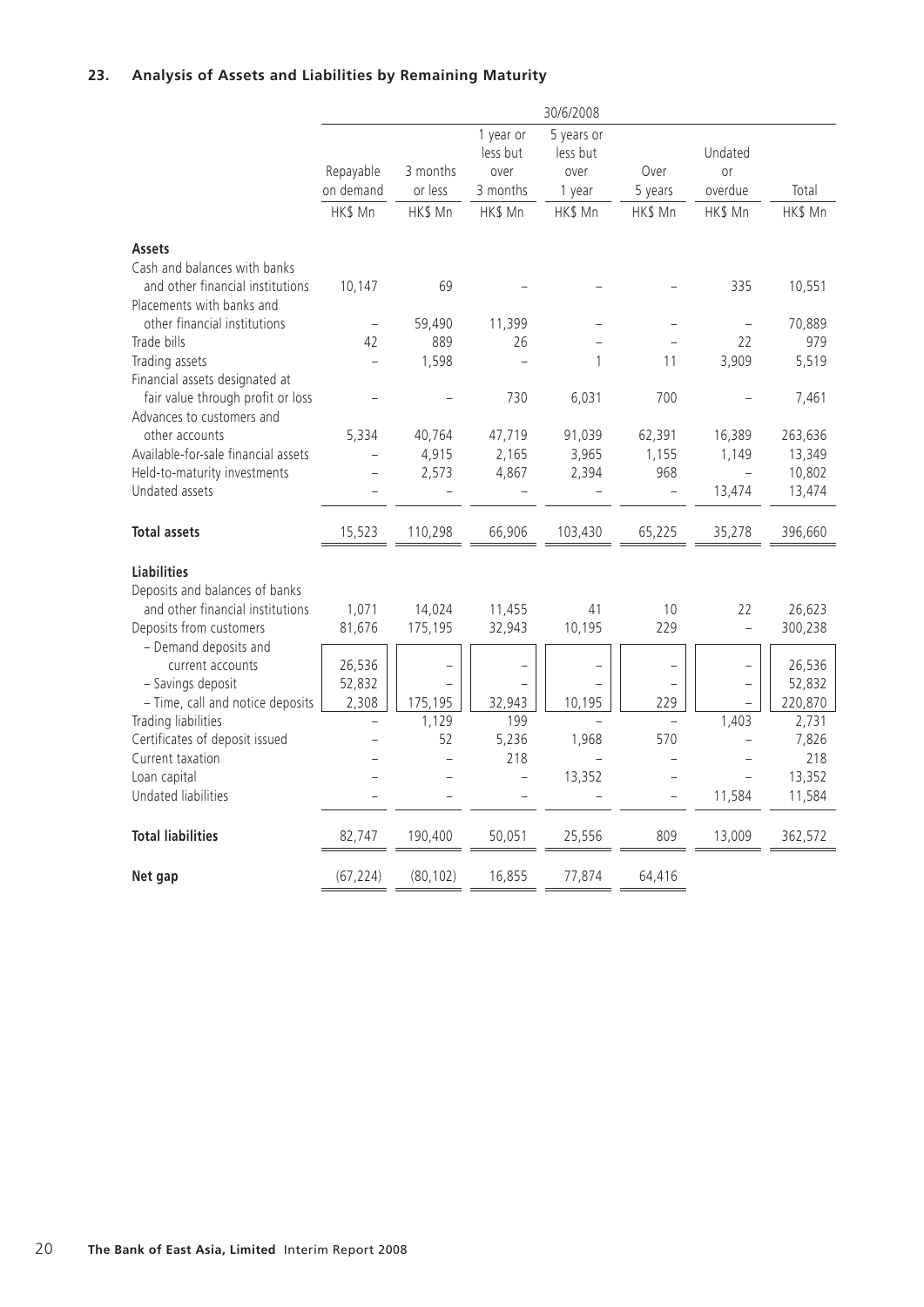## **23. Analysis of Assets and Liabilities by Remaining Maturity**

|                                                                                               |                          |                     |                                           | 30/6/2008                                |                          |                          |         |
|-----------------------------------------------------------------------------------------------|--------------------------|---------------------|-------------------------------------------|------------------------------------------|--------------------------|--------------------------|---------|
|                                                                                               | Repayable<br>on demand   | 3 months<br>or less | 1 year or<br>less but<br>over<br>3 months | 5 years or<br>less but<br>over<br>1 year | Over<br>5 years          | Undated<br>or<br>overdue | Total   |
|                                                                                               | HK\$ Mn                  | HK\$ Mn             | HK\$ Mn                                   | HK\$ Mn                                  | HK\$ Mn                  | HK\$ Mn                  | HK\$ Mn |
|                                                                                               |                          |                     |                                           |                                          |                          |                          |         |
| <b>Assets</b>                                                                                 |                          |                     |                                           |                                          |                          |                          |         |
| Cash and balances with banks<br>and other financial institutions<br>Placements with banks and | 10,147                   | 69                  |                                           |                                          |                          | 335                      | 10,551  |
| other financial institutions                                                                  |                          | 59,490              | 11,399                                    |                                          |                          |                          | 70,889  |
| Trade bills                                                                                   | 42                       | 889                 | 26                                        |                                          |                          | 22                       | 979     |
| Trading assets                                                                                |                          | 1,598               |                                           | 1                                        | 11                       | 3,909                    | 5,519   |
| Financial assets designated at                                                                |                          |                     |                                           |                                          |                          |                          |         |
| fair value through profit or loss<br>Advances to customers and                                |                          |                     | 730                                       | 6,031                                    | 700                      |                          | 7,461   |
| other accounts                                                                                | 5,334                    | 40,764              | 47,719                                    | 91,039                                   | 62,391                   | 16,389                   | 263,636 |
| Available-for-sale financial assets                                                           |                          | 4,915               | 2,165                                     | 3,965                                    | 1,155                    | 1,149                    | 13,349  |
| Held-to-maturity investments                                                                  |                          | 2,573               | 4,867                                     | 2,394                                    | 968                      |                          | 10,802  |
| Undated assets                                                                                |                          |                     |                                           |                                          | $\equiv$                 | 13,474                   | 13,474  |
|                                                                                               |                          |                     |                                           |                                          |                          |                          |         |
| <b>Total assets</b>                                                                           | 15,523                   | 110,298             | 66,906                                    | 103,430                                  | 65,225                   | 35,278                   | 396,660 |
|                                                                                               |                          |                     |                                           |                                          |                          |                          |         |
| <b>Liabilities</b>                                                                            |                          |                     |                                           |                                          |                          |                          |         |
| Deposits and balances of banks                                                                |                          |                     |                                           |                                          |                          |                          |         |
| and other financial institutions                                                              | 1,071                    | 14,024              | 11,455                                    | 41                                       | 10                       | 22                       | 26,623  |
| Deposits from customers                                                                       | 81,676                   | 175,195             | 32,943                                    | 10,195                                   | 229                      | $\overline{a}$           | 300,238 |
| - Demand deposits and<br>current accounts                                                     | 26,536                   |                     |                                           |                                          |                          |                          | 26,536  |
| - Savings deposit                                                                             | 52,832                   |                     |                                           |                                          |                          |                          | 52,832  |
| - Time, call and notice deposits                                                              | 2,308                    | 175,195             | 32,943                                    | 10,195                                   | 229                      |                          | 220,870 |
| Trading liabilities                                                                           | $\overline{\phantom{0}}$ | 1,129               | 199                                       |                                          | $\overline{\phantom{0}}$ | 1,403                    | 2,731   |
| Certificates of deposit issued                                                                |                          | 52                  | 5,236                                     | 1,968                                    | 570                      |                          | 7,826   |
| Current taxation                                                                              |                          |                     | 218                                       |                                          |                          |                          | 218     |
| Loan capital                                                                                  |                          |                     | $\overline{\phantom{0}}$                  | 13,352                                   | $\overline{\phantom{0}}$ |                          | 13,352  |
| Undated liabilities                                                                           |                          |                     |                                           |                                          | $\overline{a}$           | 11,584                   | 11,584  |
| <b>Total liabilities</b>                                                                      | 82,747                   | 190,400             | 50,051                                    | 25,556                                   | 809                      | 13,009                   | 362,572 |
| Net gap                                                                                       | (67, 224)                | (80, 102)           | 16,855                                    | 77,874                                   | 64,416                   |                          |         |
|                                                                                               |                          |                     |                                           |                                          |                          |                          |         |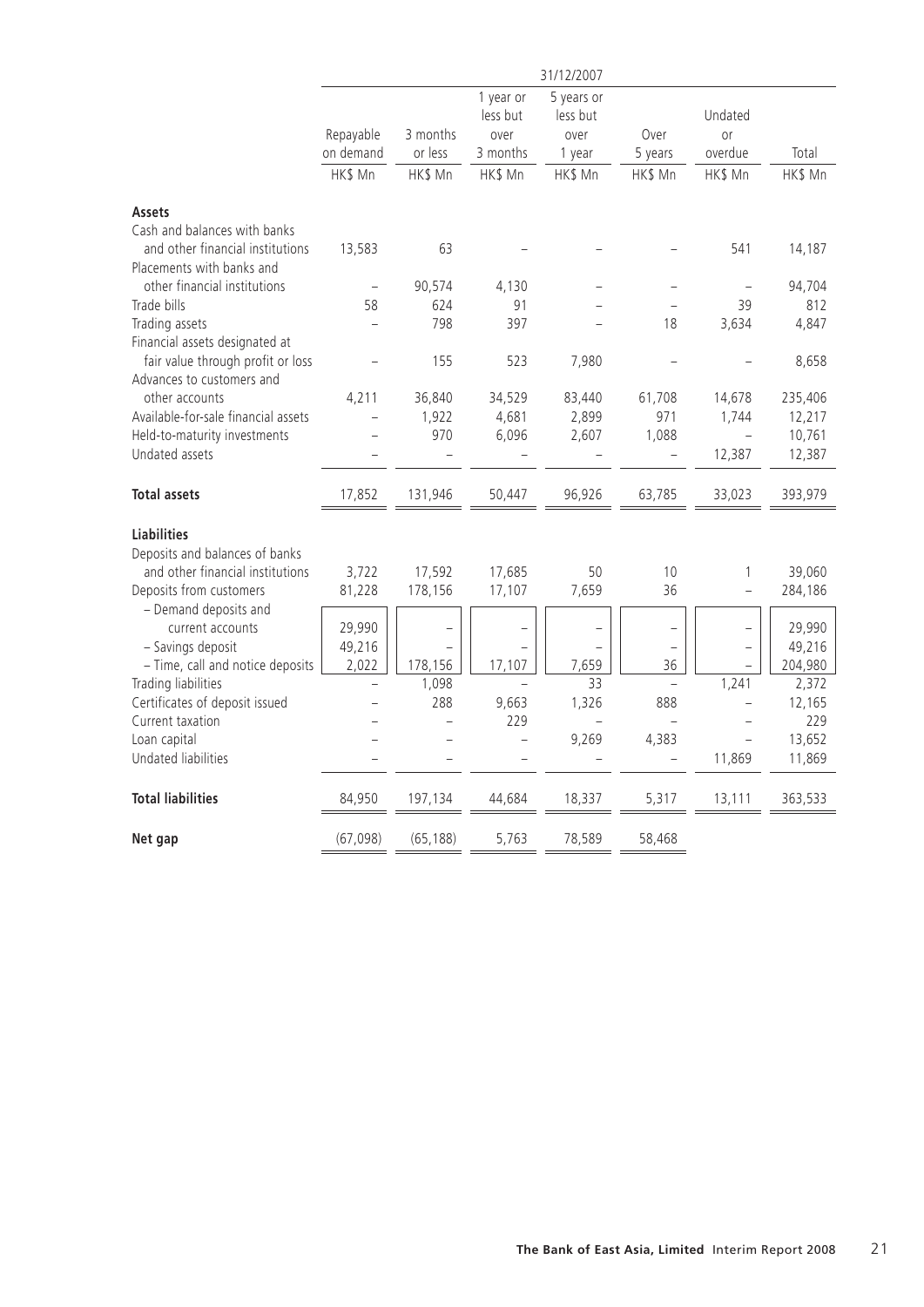|                                     |                |           |                | 31/12/2007     |                          |                |         |
|-------------------------------------|----------------|-----------|----------------|----------------|--------------------------|----------------|---------|
|                                     |                |           | 1 year or      | 5 years or     |                          |                |         |
|                                     |                |           | less but       | less but       |                          | Undated        |         |
|                                     | Repayable      | 3 months  | over           | over           | Over                     | 0r             |         |
|                                     | on demand      | or less   | 3 months       | 1 year         | 5 years                  | overdue        | Total   |
|                                     | HK\$ Mn        | HK\$ Mn   | HK\$ Mn        | HK\$ Mn        | HK\$ Mn                  | HK\$ Mn        | HK\$ Mn |
| <b>Assets</b>                       |                |           |                |                |                          |                |         |
| Cash and balances with banks        |                |           |                |                |                          |                |         |
| and other financial institutions    | 13,583         | 63        |                |                |                          | 541            | 14,187  |
| Placements with banks and           |                |           |                |                |                          |                |         |
| other financial institutions        | $\overline{a}$ | 90,574    | 4,130          |                |                          |                | 94,704  |
| Trade bills                         | 58             | 624       | 91             |                |                          | 39             | 812     |
| Trading assets                      |                | 798       | 397            |                | 18                       | 3,634          | 4,847   |
| Financial assets designated at      |                |           |                |                |                          |                |         |
| fair value through profit or loss   |                | 155       | 523            | 7,980          |                          |                | 8,658   |
| Advances to customers and           |                |           |                |                |                          |                |         |
| other accounts                      | 4,211          | 36,840    | 34,529         | 83,440         | 61,708                   | 14,678         | 235,406 |
| Available-for-sale financial assets |                | 1,922     | 4,681          | 2,899          | 971                      | 1,744          | 12,217  |
| Held-to-maturity investments        |                | 970       | 6,096          | 2,607          | 1,088                    | $\overline{a}$ | 10,761  |
| Undated assets                      |                |           |                |                | $\overline{a}$           | 12,387         | 12,387  |
| <b>Total assets</b>                 | 17,852         | 131,946   | 50,447         | 96,926         | 63,785                   | 33,023         | 393,979 |
| <b>Liabilities</b>                  |                |           |                |                |                          |                |         |
| Deposits and balances of banks      |                |           |                |                |                          |                |         |
| and other financial institutions    | 3,722          | 17,592    | 17,685         | 50             | 10                       | 1              | 39,060  |
| Deposits from customers             | 81,228         | 178,156   | 17,107         | 7,659          | 36                       | $\overline{a}$ | 284,186 |
| - Demand deposits and               |                |           |                |                |                          |                |         |
| current accounts                    | 29,990         |           |                |                |                          |                | 29,990  |
| - Savings deposit                   | 49,216         |           |                |                |                          |                | 49,216  |
| - Time, call and notice deposits    | 2,022          | 178,156   | 17,107         | 7,659          | 36                       |                | 204,980 |
| Trading liabilities                 |                | 1,098     |                | 33             |                          | 1,241          | 2,372   |
| Certificates of deposit issued      |                | 288       | 9,663          | 1,326          | 888                      |                | 12,165  |
| Current taxation                    |                |           | 229            | $\overline{a}$ |                          |                | 229     |
| Loan capital                        |                |           | $\overline{a}$ | 9,269          | 4,383                    | $\overline{a}$ | 13,652  |
| Undated liabilities                 |                |           |                |                | $\overline{\phantom{0}}$ | 11,869         | 11,869  |
| <b>Total liabilities</b>            | 84,950         | 197,134   | 44,684         | 18,337         | 5,317                    | 13,111         | 363,533 |
|                                     |                |           |                |                |                          |                |         |
| Net gap                             | (67, 098)      | (65, 188) | 5,763          | 78,589         | 58,468                   |                |         |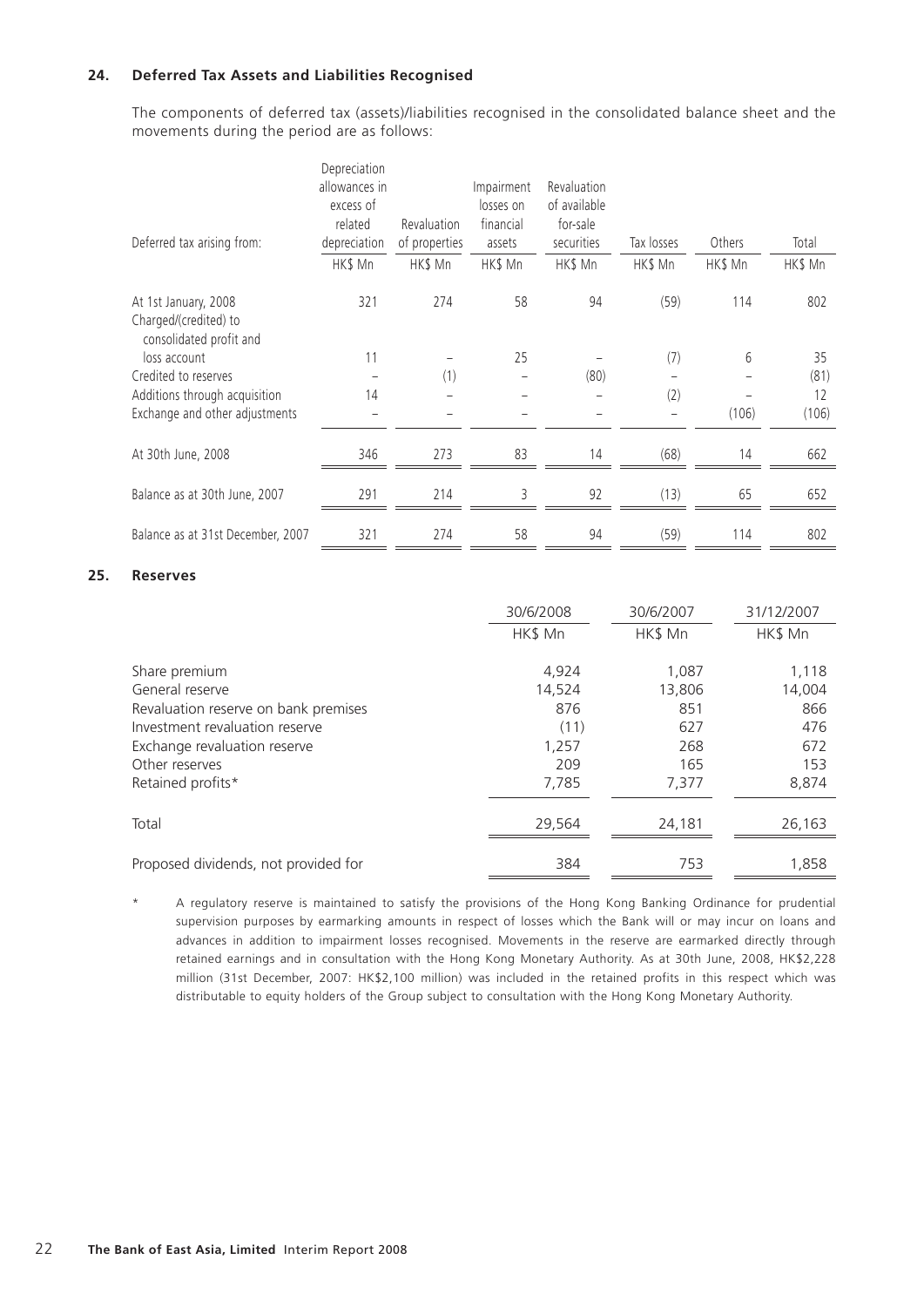## **24. Deferred Tax Assets and Liabilities Recognised**

The components of deferred tax (assets)/liabilities recognised in the consolidated balance sheet and the movements during the period are as follows:

| Deferred tax arising from:                                               | Depreciation<br>allowances in<br>excess of<br>related<br>depreciation<br>HK\$ Mn | Revaluation<br>of properties<br>HK\$ Mn | Impairment<br>losses on<br>financial<br>assets<br>HK\$ Mn | <b>Revaluation</b><br>of available<br>for-sale<br>securities<br>HK\$ Mn | Tax losses<br>HK\$ Mn | Others<br>HK\$ Mn | Total<br>HK\$ Mn |
|--------------------------------------------------------------------------|----------------------------------------------------------------------------------|-----------------------------------------|-----------------------------------------------------------|-------------------------------------------------------------------------|-----------------------|-------------------|------------------|
| At 1st January, 2008<br>Charged/(credited) to<br>consolidated profit and | 321                                                                              | 274                                     | 58                                                        | 94                                                                      | (59)                  | 114               | 802              |
| loss account                                                             | 11                                                                               |                                         | 25                                                        |                                                                         | (7)                   | 6                 | 35               |
| Credited to reserves                                                     |                                                                                  | (1)                                     |                                                           | (80)                                                                    |                       |                   | (81)             |
| Additions through acquisition                                            | 14                                                                               |                                         |                                                           |                                                                         | (2)                   |                   | 12               |
| Exchange and other adjustments                                           |                                                                                  |                                         |                                                           |                                                                         |                       | (106)             | (106)            |
| At 30th June, 2008                                                       | 346                                                                              | 273                                     | 83                                                        | 14                                                                      | (68)                  | 14                | 662              |
| Balance as at 30th June, 2007                                            | 291                                                                              | 214                                     | 3                                                         | 92                                                                      | (13)                  | 65                | 652              |
| Balance as at 31st December, 2007                                        | 321                                                                              | 274                                     | 58                                                        | 94                                                                      | (59)                  | 114               | 802              |

#### **25. Reserves**

|                                      | 30/6/2008 | 30/6/2007 | 31/12/2007 |
|--------------------------------------|-----------|-----------|------------|
|                                      | HK\$ Mn   | HK\$ Mn   | HK\$ Mn    |
|                                      |           |           |            |
| Share premium                        | 4,924     | 1,087     | 1,118      |
| General reserve                      | 14,524    | 13,806    | 14,004     |
| Revaluation reserve on bank premises | 876       | 851       | 866        |
| Investment revaluation reserve       | (11)      | 627       | 476        |
| Exchange revaluation reserve         | 1,257     | 268       | 672        |
| Other reserves                       | 209       | 165       | 153        |
| Retained profits*                    | 7,785     | 7,377     | 8,874      |
|                                      |           |           |            |
| Total                                | 29,564    | 24,181    | 26,163     |
|                                      |           |           |            |
| Proposed dividends, not provided for | 384       | 753       | 1,858      |

A regulatory reserve is maintained to satisfy the provisions of the Hong Kong Banking Ordinance for prudential supervision purposes by earmarking amounts in respect of losses which the Bank will or may incur on loans and advances in addition to impairment losses recognised. Movements in the reserve are earmarked directly through retained earnings and in consultation with the Hong Kong Monetary Authority. As at 30th June, 2008, HK\$2,228 million (31st December, 2007: HK\$2,100 million) was included in the retained profits in this respect which was distributable to equity holders of the Group subject to consultation with the Hong Kong Monetary Authority.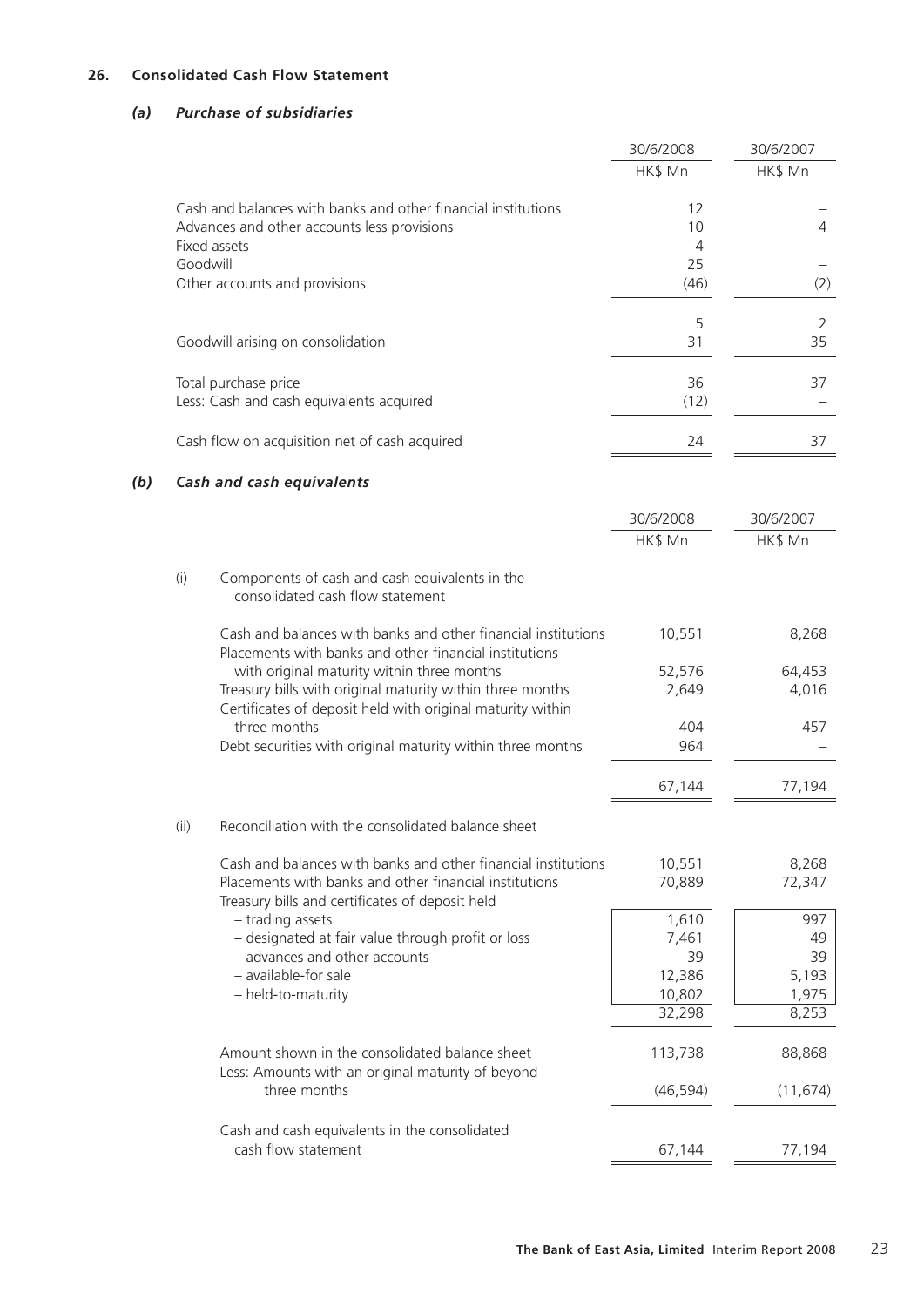## **26. Consolidated Cash Flow Statement**

## *(a) Purchase of subsidiaries*

|     |          |                                                                                                                                                                       | 30/6/2008            | 30/6/2007       |
|-----|----------|-----------------------------------------------------------------------------------------------------------------------------------------------------------------------|----------------------|-----------------|
|     |          |                                                                                                                                                                       | HK\$ Mn              | HK\$ Mn         |
|     |          | Cash and balances with banks and other financial institutions                                                                                                         | 12                   |                 |
|     |          | Advances and other accounts less provisions                                                                                                                           | 10                   | 4               |
|     | Goodwill | Fixed assets                                                                                                                                                          | $\overline{4}$<br>25 |                 |
|     |          | Other accounts and provisions                                                                                                                                         | (46)                 | (2)             |
|     |          |                                                                                                                                                                       | 5                    | 2               |
|     |          | Goodwill arising on consolidation                                                                                                                                     | 31                   | 35              |
|     |          | Total purchase price                                                                                                                                                  | 36                   | 37              |
|     |          | Less: Cash and cash equivalents acquired                                                                                                                              | (12)                 |                 |
|     |          | Cash flow on acquisition net of cash acquired                                                                                                                         | 24                   | 37              |
| (b) |          | Cash and cash equivalents                                                                                                                                             |                      |                 |
|     |          |                                                                                                                                                                       | 30/6/2008            | 30/6/2007       |
|     |          |                                                                                                                                                                       | HK\$ Mn              | HK\$ Mn         |
|     | (i)      | Components of cash and cash equivalents in the<br>consolidated cash flow statement                                                                                    |                      |                 |
|     |          | Cash and balances with banks and other financial institutions<br>Placements with banks and other financial institutions                                               | 10,551               | 8,268           |
|     |          | with original maturity within three months<br>Treasury bills with original maturity within three months<br>Certificates of deposit held with original maturity within | 52,576<br>2,649      | 64,453<br>4,016 |
|     |          | three months                                                                                                                                                          | 404                  | 457             |
|     |          | Debt securities with original maturity within three months                                                                                                            | 964                  |                 |
|     |          |                                                                                                                                                                       | 67,144               | 77,194          |
|     | (ii)     | Reconciliation with the consolidated balance sheet                                                                                                                    |                      |                 |
|     |          | Cash and balances with banks and other financial institutions                                                                                                         | 10,551               | 8,268           |
|     |          | Placements with banks and other financial institutions<br>Treasury bills and certificates of deposit held                                                             | 70,889               | 72,347          |
|     |          | - trading assets                                                                                                                                                      | 1,610                | 997             |
|     |          | - designated at fair value through profit or loss                                                                                                                     | 7,461                | 49              |
|     |          | - advances and other accounts                                                                                                                                         | 39                   | 39              |
|     |          | - available-for sale                                                                                                                                                  | 12,386               | 5,193           |
|     |          | - held-to-maturity                                                                                                                                                    | 10,802<br>32,298     | 1,975<br>8,253  |
|     |          | Amount shown in the consolidated balance sheet                                                                                                                        | 113,738              | 88,868          |
|     |          | Less: Amounts with an original maturity of beyond<br>three months                                                                                                     | (46, 594)            | (11, 674)       |
|     |          | Cash and cash equivalents in the consolidated                                                                                                                         |                      |                 |
|     |          | cash flow statement                                                                                                                                                   | 67,144               | 77,194          |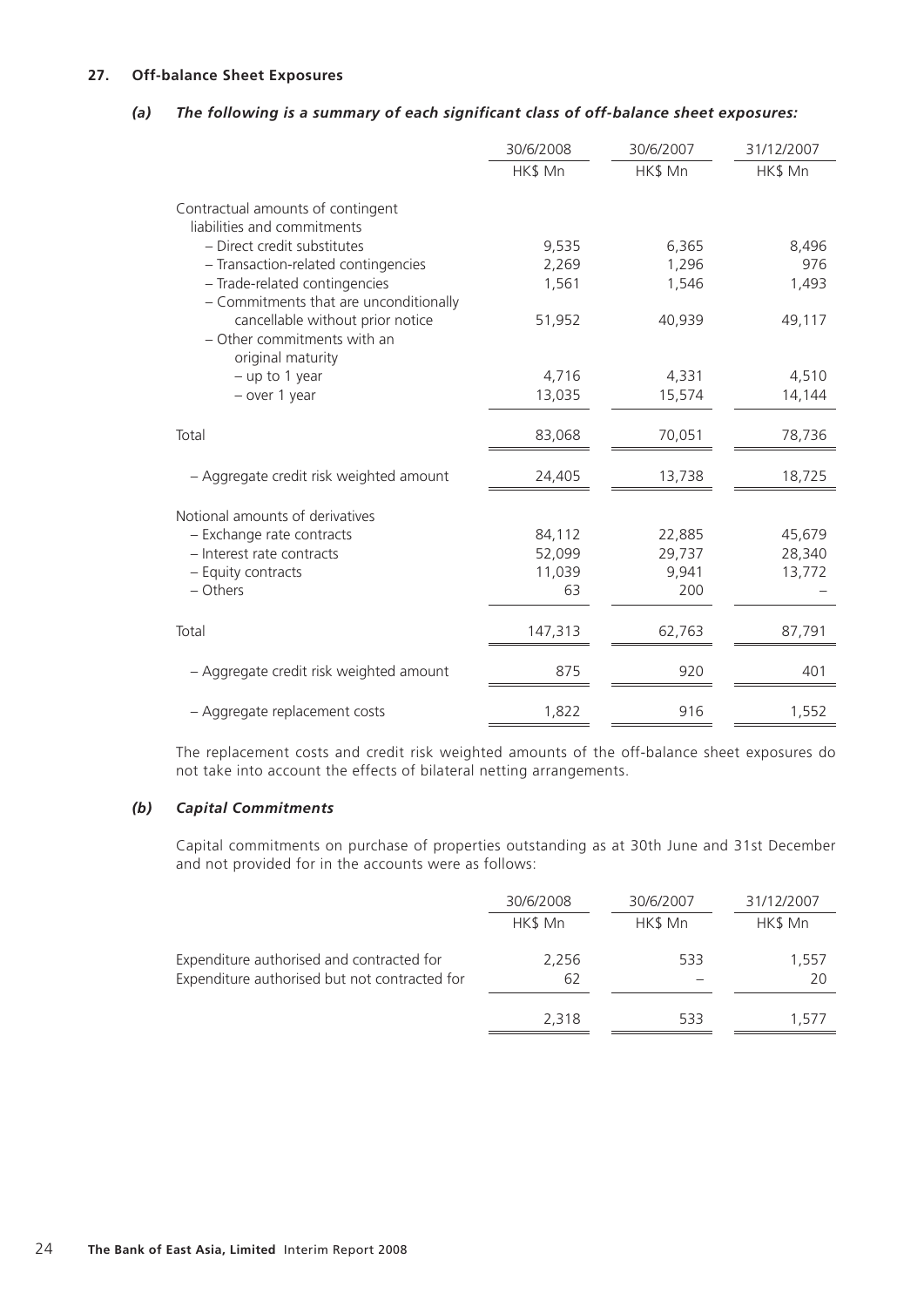## **27. Off-balance Sheet Exposures**

## *(a) The following is a summary of each significant class of off-balance sheet exposures:*

|                                                                                      | 30/6/2008 | 30/6/2007 | 31/12/2007 |
|--------------------------------------------------------------------------------------|-----------|-----------|------------|
|                                                                                      | HK\$ Mn   | HK\$ Mn   | HK\$ Mn    |
| Contractual amounts of contingent<br>liabilities and commitments                     |           |           |            |
| - Direct credit substitutes                                                          | 9,535     | 6,365     | 8,496      |
| - Transaction-related contingencies                                                  | 2,269     | 1,296     | 976        |
| - Trade-related contingencies<br>- Commitments that are unconditionally              | 1,561     | 1,546     | 1,493      |
| cancellable without prior notice<br>- Other commitments with an<br>original maturity | 51,952    | 40,939    | 49,117     |
| $-$ up to 1 year                                                                     | 4,716     | 4,331     | 4,510      |
| - over 1 year                                                                        | 13,035    | 15,574    | 14,144     |
| Total                                                                                | 83,068    | 70,051    | 78,736     |
| - Aggregate credit risk weighted amount                                              | 24,405    | 13,738    | 18,725     |
| Notional amounts of derivatives                                                      |           |           |            |
| - Exchange rate contracts                                                            | 84,112    | 22,885    | 45,679     |
| - Interest rate contracts                                                            | 52,099    | 29,737    | 28,340     |
| - Equity contracts                                                                   | 11,039    | 9,941     | 13,772     |
| - Others                                                                             | 63        | 200       |            |
| Total                                                                                | 147,313   | 62,763    | 87,791     |
| - Aggregate credit risk weighted amount                                              | 875       | 920       | 401        |
| - Aggregate replacement costs                                                        | 1,822     | 916       | 1,552      |

The replacement costs and credit risk weighted amounts of the off-balance sheet exposures do not take into account the effects of bilateral netting arrangements.

## *(b) Capital Commitments*

Capital commitments on purchase of properties outstanding as at 30th June and 31st December and not provided for in the accounts were as follows:

|                                               | 30/6/2008 | 30/6/2007 | 31/12/2007 |
|-----------------------------------------------|-----------|-----------|------------|
|                                               | HK\$ Mn   | HK\$ Mn   | HK\$ Mn    |
| Expenditure authorised and contracted for     | 2,256     | 533       | 1,557      |
| Expenditure authorised but not contracted for | 62        |           | 20         |
|                                               | 2,318     | 533       | 1.5/7      |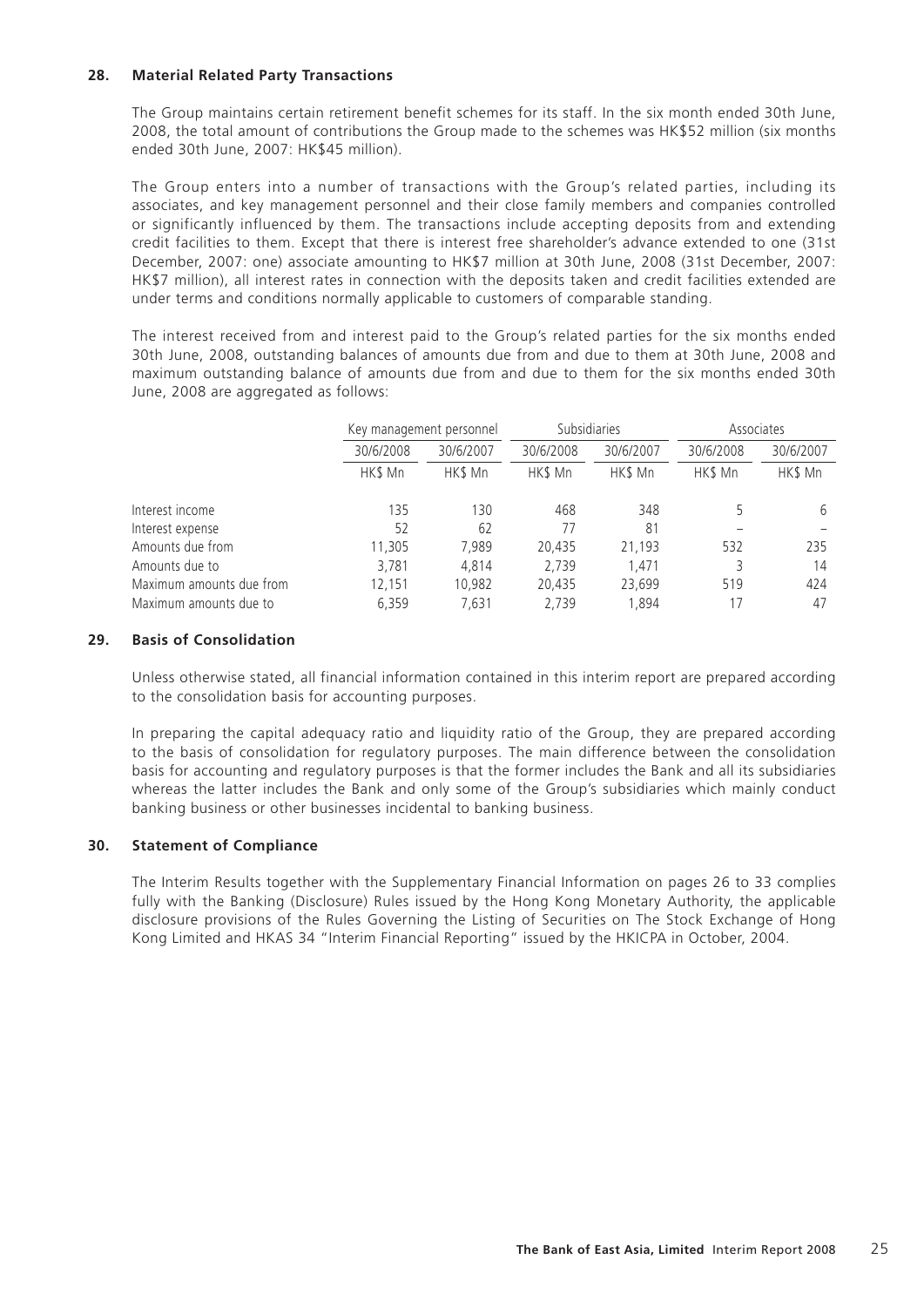## **28. Material Related Party Transactions**

The Group maintains certain retirement benefit schemes for its staff. In the six month ended 30th June, 2008, the total amount of contributions the Group made to the schemes was HK\$52 million (six months ended 30th June, 2007: HK\$45 million).

The Group enters into a number of transactions with the Group's related parties, including its associates, and key management personnel and their close family members and companies controlled or significantly influenced by them. The transactions include accepting deposits from and extending credit facilities to them. Except that there is interest free shareholder's advance extended to one (31st December, 2007: one) associate amounting to HK\$7 million at 30th June, 2008 (31st December, 2007: HK\$7 million), all interest rates in connection with the deposits taken and credit facilities extended are under terms and conditions normally applicable to customers of comparable standing.

The interest received from and interest paid to the Group's related parties for the six months ended 30th June, 2008, outstanding balances of amounts due from and due to them at 30th June, 2008 and maximum outstanding balance of amounts due from and due to them for the six months ended 30th June, 2008 are aggregated as follows:

|           |           | Subsidiaries             |           | Associates |           |
|-----------|-----------|--------------------------|-----------|------------|-----------|
| 30/6/2008 | 30/6/2007 | 30/6/2008                | 30/6/2007 | 30/6/2008  | 30/6/2007 |
| HK\$ Mn   | HK\$ Mn   | HK\$ Mn                  | HK\$ Mn   | HK\$ Mn    | HK\$ Mn   |
| 135       | 130       | 468                      | 348       |            | h         |
| 52        | 62        | 77                       | 81        |            |           |
| 11,305    | 7.989     | 20.435                   | 21,193    | 532        | 235       |
| 3,781     | 4.814     | 2,739                    | 1.471     |            | 14        |
| 12,151    | 10,982    | 20.435                   | 23,699    | 519        | 424       |
| 6.359     | 7.631     | 2.739                    | 1.894     | 17         | 47        |
|           |           | Key management personnel |           |            |           |

## **29. Basis of Consolidation**

Unless otherwise stated, all financial information contained in this interim report are prepared according to the consolidation basis for accounting purposes.

In preparing the capital adequacy ratio and liquidity ratio of the Group, they are prepared according to the basis of consolidation for regulatory purposes. The main difference between the consolidation basis for accounting and regulatory purposes is that the former includes the Bank and all its subsidiaries whereas the latter includes the Bank and only some of the Group's subsidiaries which mainly conduct banking business or other businesses incidental to banking business.

## **30. Statement of Compliance**

The Interim Results together with the Supplementary Financial Information on pages 26 to 33 complies fully with the Banking (Disclosure) Rules issued by the Hong Kong Monetary Authority, the applicable disclosure provisions of the Rules Governing the Listing of Securities on The Stock Exchange of Hong Kong Limited and HKAS 34 "Interim Financial Reporting" issued by the HKICPA in October, 2004.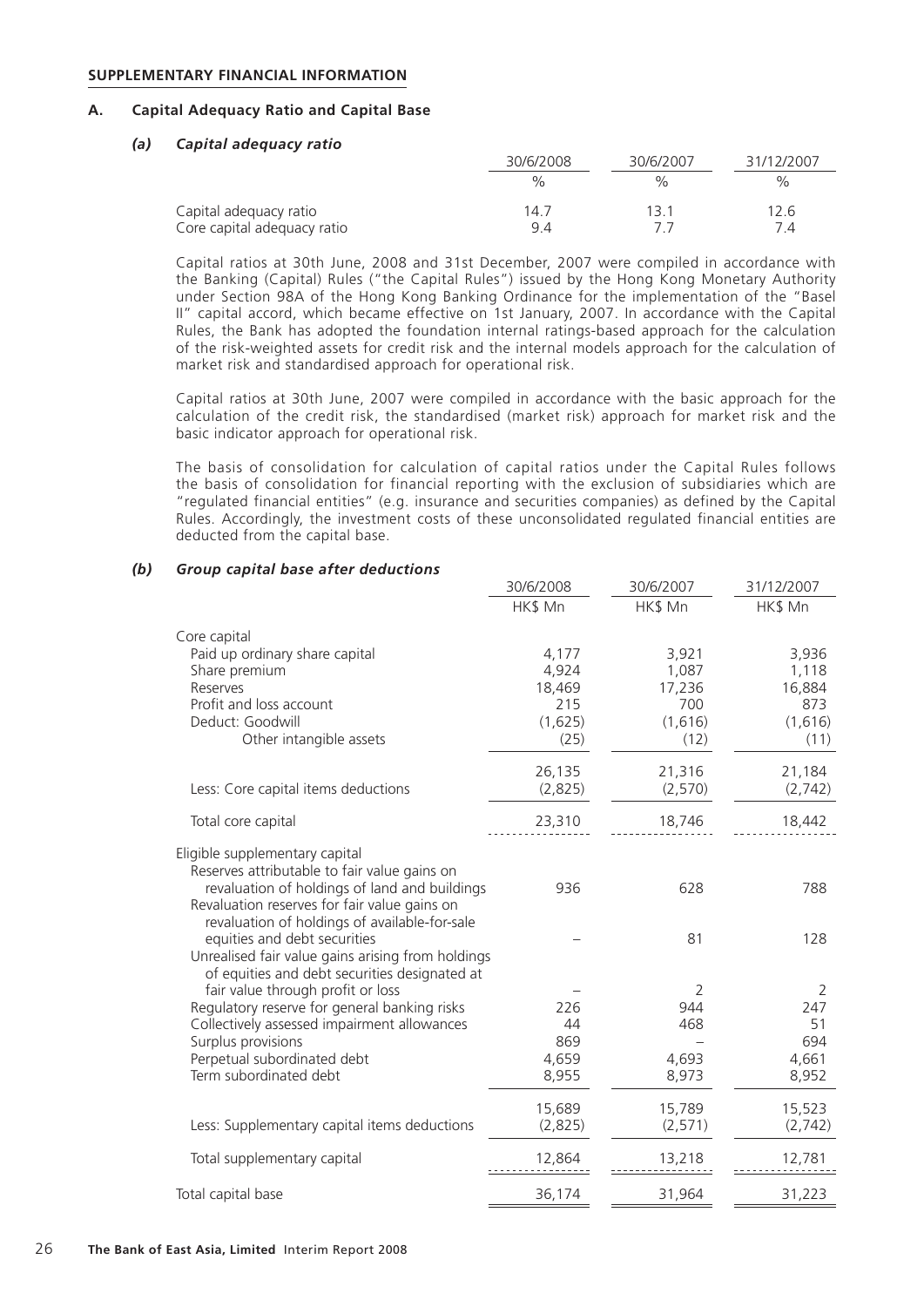#### **SUPPLEMENTARY FINANCIAL INFORMATION**

## **A. Capital Adequacy Ratio and Capital Base**

#### *(a) Capital adequacy ratio*

|                                                       | 30/6/2008     | 30/6/2007     | 31/12/2007 |
|-------------------------------------------------------|---------------|---------------|------------|
|                                                       | $\frac{1}{2}$ | $\frac{1}{2}$ | $\%$       |
| Capital adequacy ratio<br>Core capital adequacy ratio | 14.7<br>94    | 13.1          | 12.6       |

Capital ratios at 30th June, 2008 and 31st December, 2007 were compiled in accordance with the Banking (Capital) Rules ("the Capital Rules") issued by the Hong Kong Monetary Authority under Section 98A of the Hong Kong Banking Ordinance for the implementation of the "Basel II" capital accord, which became effective on 1st January, 2007. In accordance with the Capital Rules, the Bank has adopted the foundation internal ratings-based approach for the calculation of the risk-weighted assets for credit risk and the internal models approach for the calculation of market risk and standardised approach for operational risk.

Capital ratios at 30th June, 2007 were compiled in accordance with the basic approach for the calculation of the credit risk, the standardised (market risk) approach for market risk and the basic indicator approach for operational risk.

The basis of consolidation for calculation of capital ratios under the Capital Rules follows the basis of consolidation for financial reporting with the exclusion of subsidiaries which are "regulated financial entities" (e.g. insurance and securities companies) as defined by the Capital Rules. Accordingly, the investment costs of these unconsolidated regulated financial entities are deducted from the capital base.

#### *(b) Group capital base after deductions*

|                                                                   | 30/6/2008 | 30/6/2007             | 31/12/2007 |
|-------------------------------------------------------------------|-----------|-----------------------|------------|
|                                                                   | HK\$ Mn   | HK\$ Mn               | HK\$ Mn    |
| Core capital                                                      |           |                       |            |
| Paid up ordinary share capital                                    | 4,177     | 3,921                 | 3,936      |
| Share premium                                                     | 4,924     | 1,087                 | 1,118      |
| Reserves                                                          | 18,469    | 17,236                | 16,884     |
| Profit and loss account                                           | 215       | 700                   | 873        |
| Deduct: Goodwill                                                  | (1,625)   | (1,616)               | (1,616)    |
| Other intangible assets                                           | (25)      | (12)                  | (11)       |
|                                                                   | 26,135    | 21,316                | 21,184     |
| Less: Core capital items deductions                               | (2,825)   | (2,570)               | (2,742)    |
| Total core capital                                                | 23,310    | 18,746                | 18,442     |
| Eligible supplementary capital                                    |           |                       |            |
| Reserves attributable to fair value gains on                      |           |                       |            |
| revaluation of holdings of land and buildings                     | 936       | 628                   | 788        |
| Revaluation reserves for fair value gains on                      |           |                       |            |
| revaluation of holdings of available-for-sale                     |           |                       |            |
| equities and debt securities                                      |           | 81                    | 128        |
| Unrealised fair value gains arising from holdings                 |           |                       |            |
| of equities and debt securities designated at                     |           |                       |            |
| fair value through profit or loss                                 |           | $\overline{2}$<br>944 | 2          |
| Regulatory reserve for general banking risks                      | 226<br>44 | 468                   | 247<br>51  |
| Collectively assessed impairment allowances<br>Surplus provisions | 869       |                       | 694        |
| Perpetual subordinated debt                                       | 4,659     | 4,693                 | 4,661      |
| Term subordinated debt                                            | 8,955     | 8,973                 | 8,952      |
|                                                                   |           |                       |            |
|                                                                   | 15,689    | 15,789                | 15,523     |
| Less: Supplementary capital items deductions                      | (2,825)   | (2, 571)              | (2,742)    |
| Total supplementary capital                                       | 12,864    | 13,218                | 12,781     |
|                                                                   |           |                       |            |
| Total capital base                                                | 36,174    | 31,964                | 31,223     |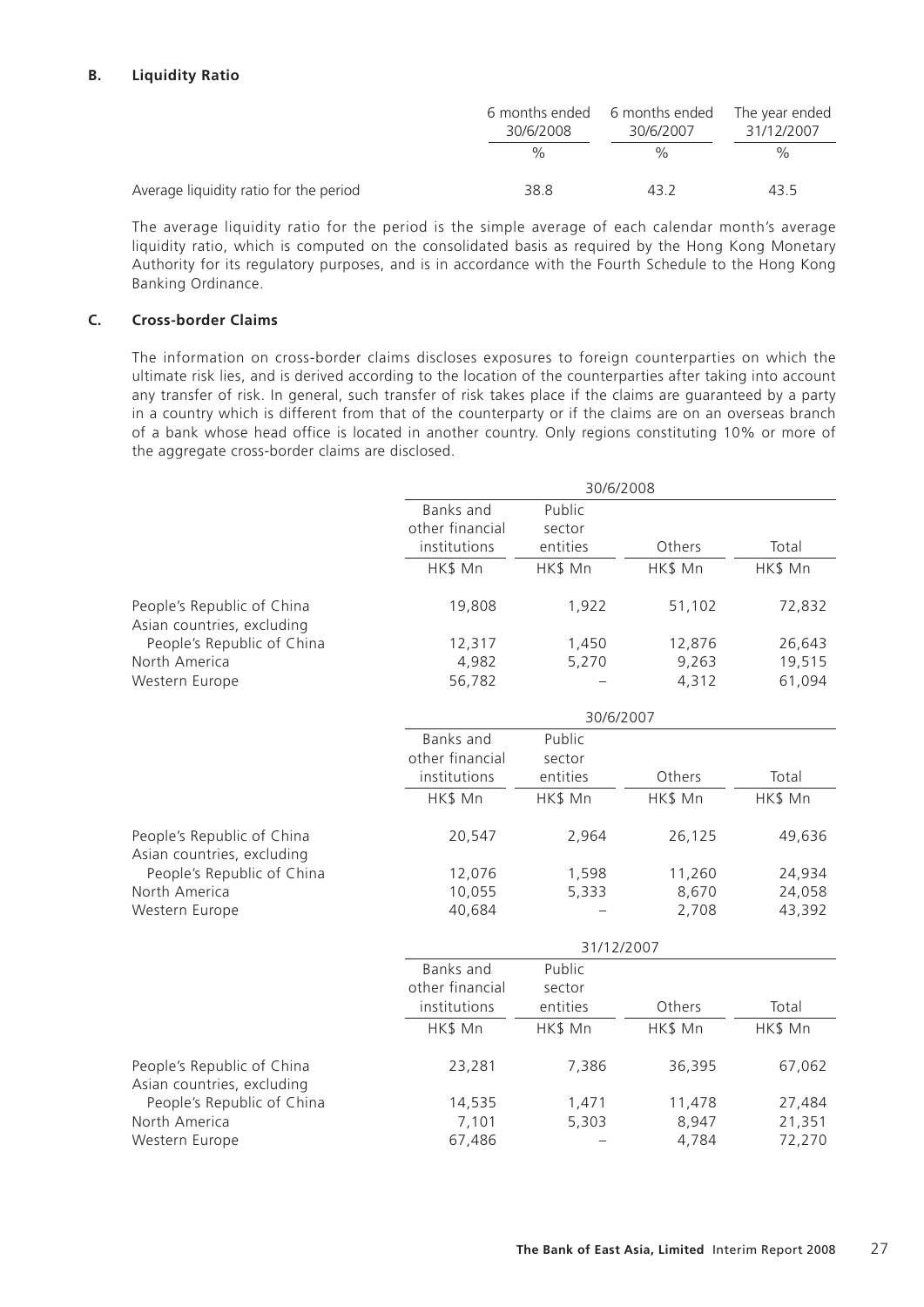## **B. Liquidity Ratio**

|                                        | 6 months ended<br>30/6/2008 | 6 months ended<br>30/6/2007 | The year ended<br>31/12/2007 |
|----------------------------------------|-----------------------------|-----------------------------|------------------------------|
|                                        | $\frac{0}{0}$               | $\%$                        | %                            |
| Average liquidity ratio for the period | 38.8                        | 43.2                        | 43.5                         |

The average liquidity ratio for the period is the simple average of each calendar month's average liquidity ratio, which is computed on the consolidated basis as required by the Hong Kong Monetary Authority for its regulatory purposes, and is in accordance with the Fourth Schedule to the Hong Kong Banking Ordinance.

## **C. Cross-border Claims**

The information on cross-border claims discloses exposures to foreign counterparties on which the ultimate risk lies, and is derived according to the location of the counterparties after taking into account any transfer of risk. In general, such transfer of risk takes place if the claims are guaranteed by a party in a country which is different from that of the counterparty or if the claims are on an overseas branch of a bank whose head office is located in another country. Only regions constituting 10% or more of the aggregate cross-border claims are disclosed.

|                                                          | 30/6/2008                    |                  |         |         |
|----------------------------------------------------------|------------------------------|------------------|---------|---------|
|                                                          | Banks and<br>other financial | Public<br>sector |         |         |
|                                                          | institutions                 | entities         | Others  | Total   |
|                                                          | HK\$ Mn                      | HK\$ Mn          | HK\$ Mn | HK\$ Mn |
| People's Republic of China<br>Asian countries, excluding | 19,808                       | 1,922            | 51,102  | 72,832  |
| People's Republic of China                               | 12,317                       | 1,450            | 12,876  | 26,643  |
| North America                                            | 4,982                        | 5,270            | 9,263   | 19,515  |
| Western Europe                                           | 56,782                       |                  | 4,312   | 61,094  |
|                                                          |                              | 30/6/2007        |         |         |
|                                                          | <b>Banks</b> and             | Public           |         |         |
|                                                          | other financial              | sector           |         |         |
|                                                          | institutions                 | entities         | Others  | Total   |
|                                                          | HK\$ Mn                      | HK\$ Mn          | HK\$ Mn | HK\$ Mn |
| People's Republic of China<br>Asian countries, excluding | 20,547                       | 2,964            | 26,125  | 49,636  |
| People's Republic of China                               | 12,076                       | 1,598            | 11,260  | 24,934  |
| North America                                            | 10,055                       | 5,333            | 8,670   | 24,058  |
| Western Europe                                           | 40,684                       |                  | 2,708   | 43,392  |
|                                                          |                              | 31/12/2007       |         |         |
|                                                          | Banks and                    | Public           |         |         |
|                                                          | other financial              | sector           |         |         |
|                                                          | institutions                 | entities         | Others  | Total   |
|                                                          | HK\$ Mn                      | HK\$ Mn          | HK\$ Mn | HK\$ Mn |
| People's Republic of China<br>Asian countries, excluding | 23,281                       | 7,386            | 36,395  | 67,062  |
| People's Republic of China                               | 14,535                       | 1,471            | 11,478  | 27,484  |
| North America                                            | 7,101                        | 5,303            | 8,947   | 21,351  |
| Western Europe                                           | 67,486                       |                  | 4,784   | 72,270  |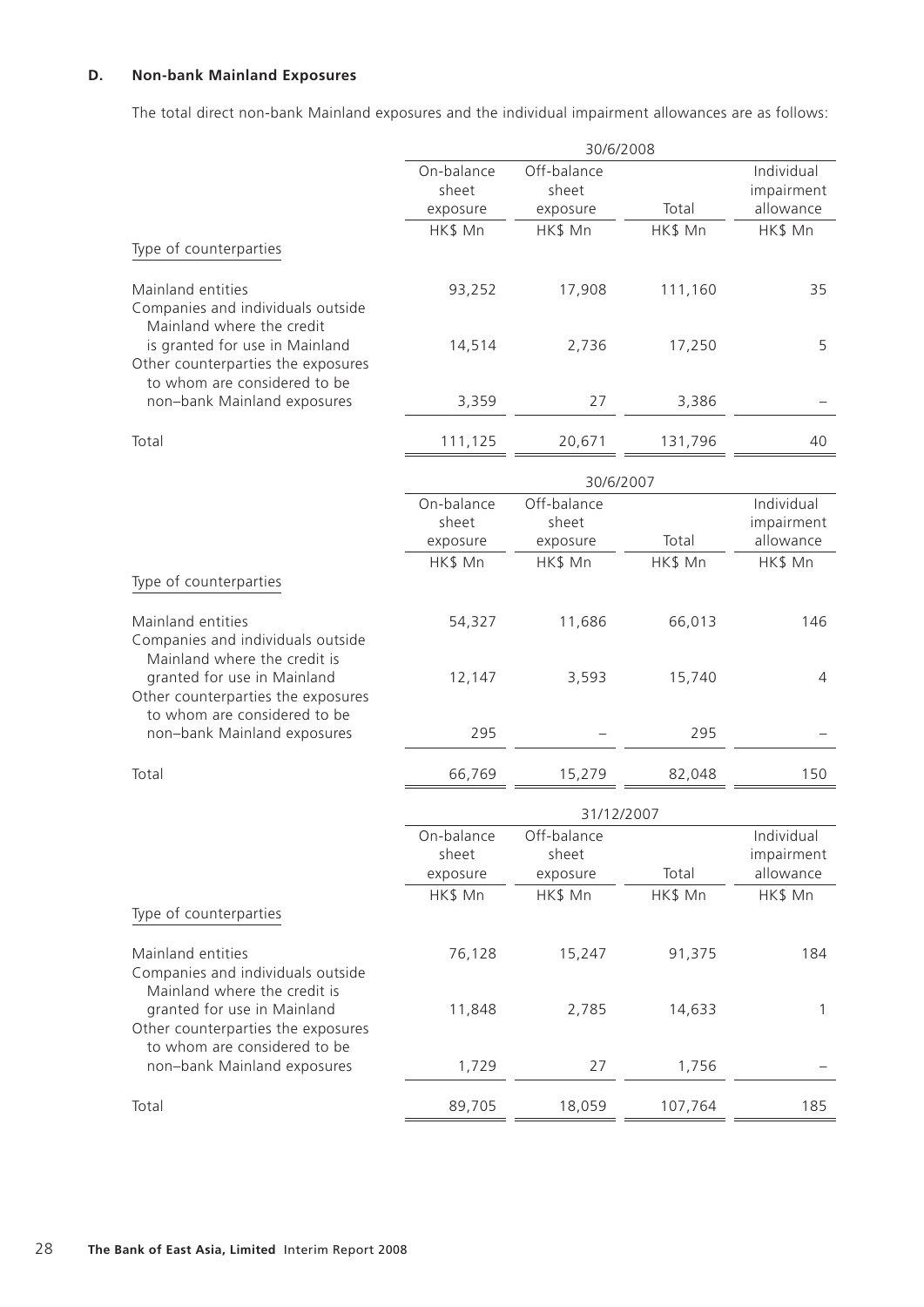## **D. Non-bank Mainland Exposures**

The total direct non-bank Mainland exposures and the individual impairment allowances are as follows:

|                                                                                                      |                                 | 30/6/2008                        |         |                                       |
|------------------------------------------------------------------------------------------------------|---------------------------------|----------------------------------|---------|---------------------------------------|
|                                                                                                      | On-balance<br>sheet<br>exposure | Off-balance<br>sheet<br>exposure | Total   | Individual<br>impairment<br>allowance |
|                                                                                                      | HK\$ Mn                         | HK\$ Mn                          | HK\$ Mn | HK\$ Mn                               |
| Type of counterparties                                                                               |                                 |                                  |         |                                       |
| Mainland entities<br>Companies and individuals outside<br>Mainland where the credit                  | 93,252                          | 17,908                           | 111,160 | 35                                    |
| is granted for use in Mainland<br>Other counterparties the exposures<br>to whom are considered to be | 14,514                          | 2,736                            | 17,250  | 5                                     |
| non-bank Mainland exposures                                                                          | 3,359                           | 27                               | 3,386   |                                       |
| Total                                                                                                | 111,125                         | 20,671                           | 131,796 | 40                                    |
|                                                                                                      |                                 | 30/6/2007                        |         |                                       |
|                                                                                                      | On-balance                      | Off-balance                      |         | Individual                            |
|                                                                                                      | sheet<br>exposure               | sheet<br>exposure                | Total   | impairment<br>allowance               |
|                                                                                                      | HK\$ Mn                         | HK\$ Mn                          | HK\$ Mn | HK\$ Mn                               |
| Type of counterparties                                                                               |                                 |                                  |         |                                       |
| Mainland entities<br>Companies and individuals outside<br>Mainland where the credit is               | 54,327                          | 11,686                           | 66,013  | 146                                   |
| granted for use in Mainland<br>Other counterparties the exposures<br>to whom are considered to be    | 12,147                          | 3,593                            | 15,740  | $\overline{4}$                        |
| non-bank Mainland exposures                                                                          | 295                             |                                  | 295     |                                       |
| Total                                                                                                | 66,769                          | 15,279                           | 82,048  | 150                                   |
|                                                                                                      |                                 |                                  |         |                                       |
|                                                                                                      | On-balance                      | Off-balance                      |         | Individual                            |
|                                                                                                      | sheet<br>exposure               | sheet<br>exposure                | Total   | impairment<br>allowance               |
|                                                                                                      | HK\$ Mn                         | HK\$ Mn                          | HK\$ Mn | HK\$ Mn                               |
| Type of counterparties                                                                               |                                 |                                  |         |                                       |
| Mainland entities<br>Companies and individuals outside<br>Mainland where the credit is               | 76,128                          | 15,247                           | 91,375  | 184                                   |
| granted for use in Mainland<br>Other counterparties the exposures<br>to whom are considered to be    | 11,848                          | 2,785                            | 14,633  | 1                                     |
| non-bank Mainland exposures                                                                          | 1,729                           | 27                               | 1,756   |                                       |
| Total                                                                                                | 89,705                          | 18,059                           | 107,764 | 185                                   |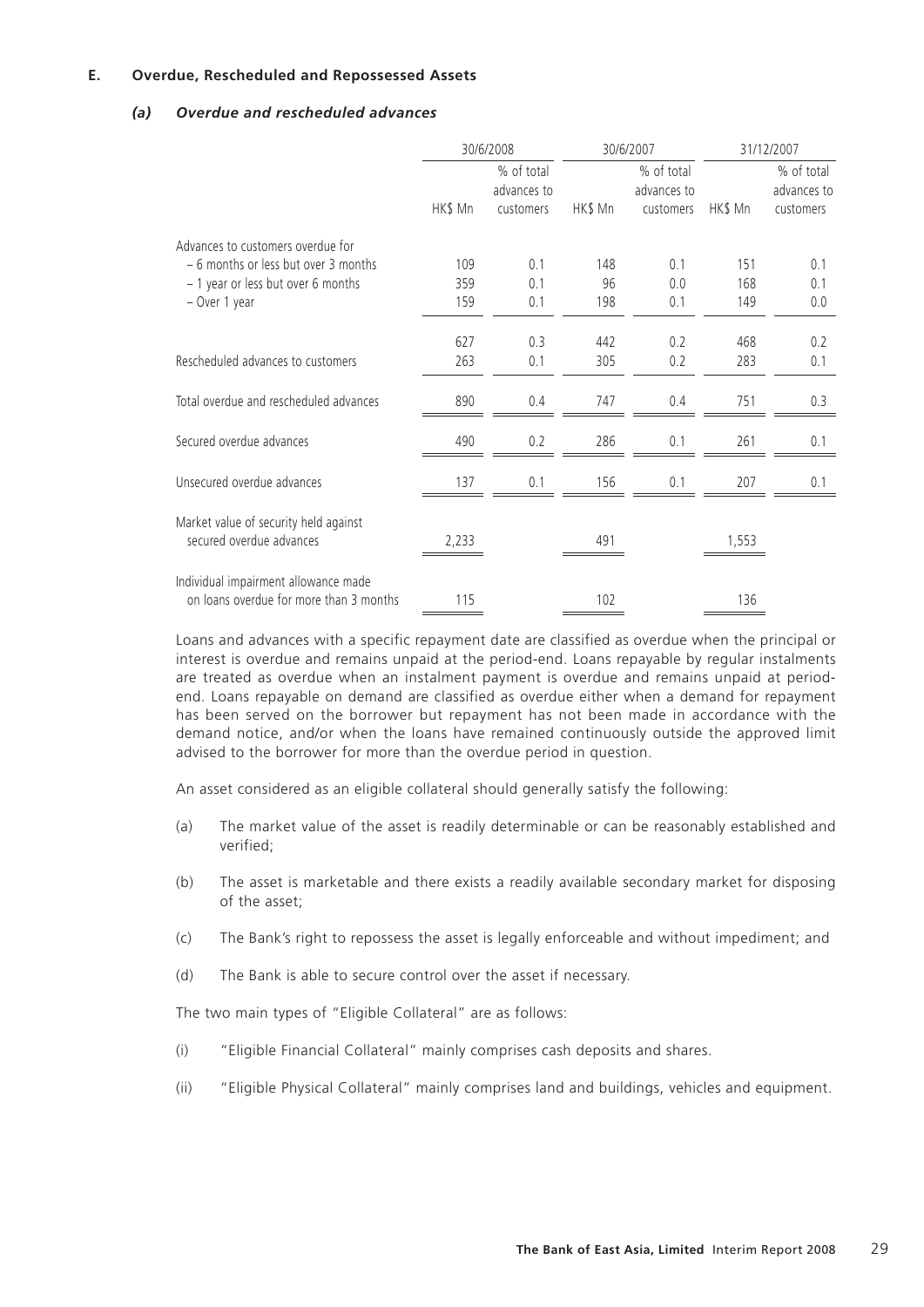## **E. Overdue, Rescheduled and Repossessed Assets**

## *(a) Overdue and rescheduled advances*

|                                         | 30/6/2008 |                                        | 30/6/2007 |                                        | 31/12/2007 |                                        |
|-----------------------------------------|-----------|----------------------------------------|-----------|----------------------------------------|------------|----------------------------------------|
|                                         | HK\$ Mn   | % of total<br>advances to<br>customers | HK\$ Mn   | % of total<br>advances to<br>customers | HK\$ Mn    | % of total<br>advances to<br>customers |
| Advances to customers overdue for       |           |                                        |           |                                        |            |                                        |
| - 6 months or less but over 3 months    | 109       | 0.1                                    | 148       | 0.1                                    | 151        | 0.1                                    |
| - 1 year or less but over 6 months      | 359       | 0.1                                    | 96        | 0.0                                    | 168        | 0.1                                    |
| - Over 1 year                           | 159       | 0.1                                    | 198       | 0.1                                    | 149        | 0.0                                    |
|                                         |           |                                        |           |                                        |            |                                        |
|                                         | 627       | 0.3                                    | 442       | 0.2                                    | 468        | 0.2                                    |
| Rescheduled advances to customers       | 263       | 0.1                                    | 305       | 0.2                                    | 283        | 0.1                                    |
| Total overdue and rescheduled advances  | 890       | 0.4                                    | 747       | 0.4                                    | 751        | 0.3                                    |
|                                         |           |                                        |           |                                        |            |                                        |
| Secured overdue advances                | 490       | 0.2                                    | 286       | 0.1                                    | 261        | 0.1                                    |
| Unsecured overdue advances              | 137       | 0.1                                    | 156       | 0.1                                    | 207        | 0.1                                    |
|                                         |           |                                        |           |                                        |            |                                        |
| Market value of security held against   |           |                                        |           |                                        |            |                                        |
| secured overdue advances                | 2,233     |                                        | 491       |                                        | 1,553      |                                        |
| Individual impairment allowance made    |           |                                        |           |                                        |            |                                        |
| on loans overdue for more than 3 months | 115       |                                        | 102       |                                        | 136        |                                        |

Loans and advances with a specific repayment date are classified as overdue when the principal or interest is overdue and remains unpaid at the period-end. Loans repayable by regular instalments are treated as overdue when an instalment payment is overdue and remains unpaid at periodend. Loans repayable on demand are classified as overdue either when a demand for repayment has been served on the borrower but repayment has not been made in accordance with the demand notice, and/or when the loans have remained continuously outside the approved limit advised to the borrower for more than the overdue period in question.

An asset considered as an eligible collateral should generally satisfy the following:

- (a) The market value of the asset is readily determinable or can be reasonably established and verified;
- (b) The asset is marketable and there exists a readily available secondary market for disposing of the asset;
- (c) The Bank's right to repossess the asset is legally enforceable and without impediment; and
- (d) The Bank is able to secure control over the asset if necessary.

The two main types of "Eligible Collateral" are as follows:

- (i) "Eligible Financial Collateral" mainly comprises cash deposits and shares.
- (ii) "Eligible Physical Collateral" mainly comprises land and buildings, vehicles and equipment.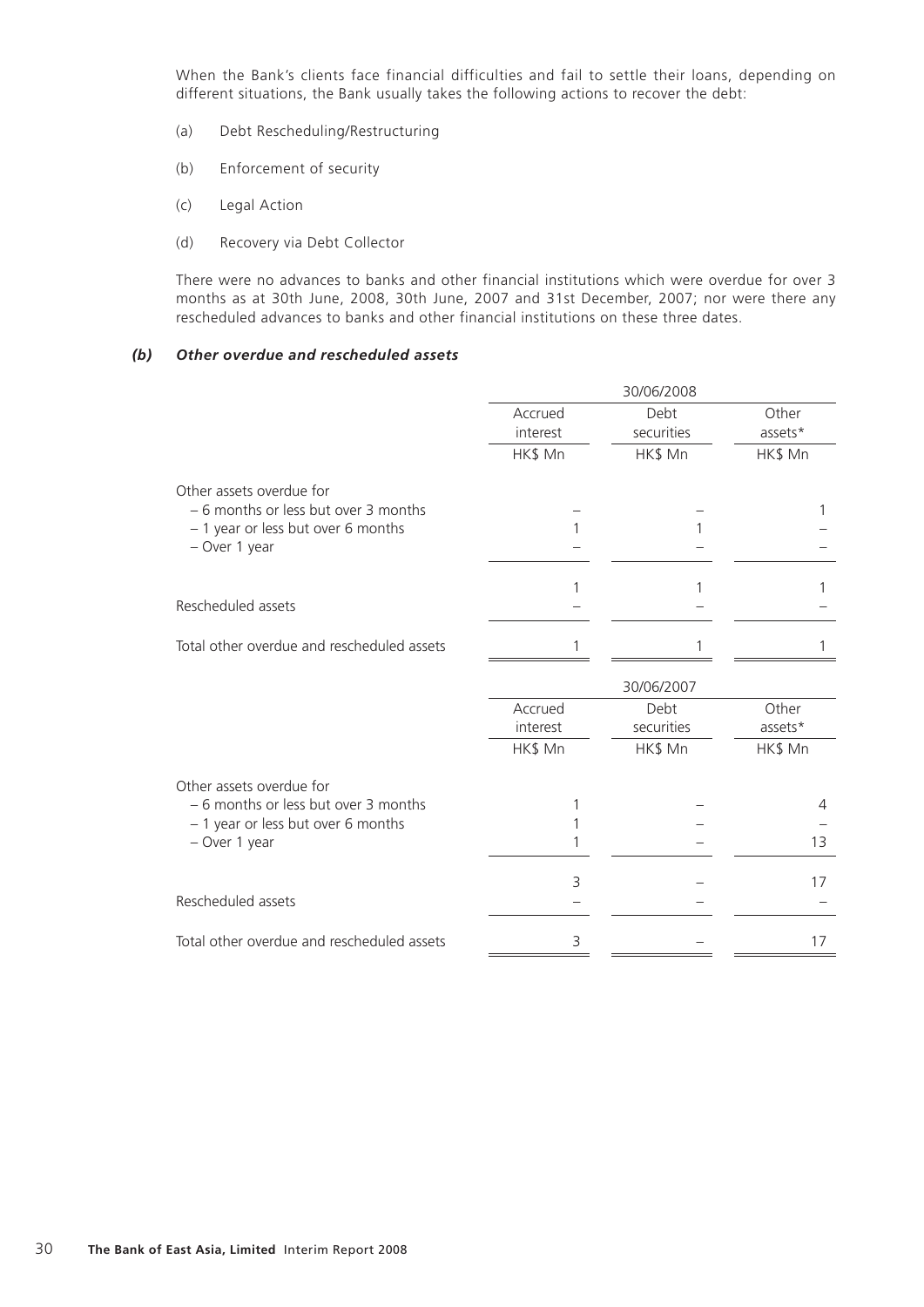When the Bank's clients face financial difficulties and fail to settle their loans, depending on different situations, the Bank usually takes the following actions to recover the debt:

- (a) Debt Rescheduling/Restructuring
- (b) Enforcement of security
- (c) Legal Action
- (d) Recovery via Debt Collector

There were no advances to banks and other financial institutions which were overdue for over 3 months as at 30th June, 2008, 30th June, 2007 and 31st December, 2007; nor were there any rescheduled advances to banks and other financial institutions on these three dates.

## *(b) Other overdue and rescheduled assets*

|                                                                                                                         | 30/06/2008          |                    |                  |  |
|-------------------------------------------------------------------------------------------------------------------------|---------------------|--------------------|------------------|--|
|                                                                                                                         | Accrued             | Debt               | Other            |  |
|                                                                                                                         | interest            | securities         | assets*          |  |
|                                                                                                                         | HK\$ Mn             | HK\$ Mn            | HK\$ Mn          |  |
| Other assets overdue for<br>- 6 months or less but over 3 months<br>- 1 year or less but over 6 months<br>- Over 1 year |                     |                    |                  |  |
| Rescheduled assets                                                                                                      | 1                   | 1                  | 1                |  |
|                                                                                                                         |                     |                    |                  |  |
| Total other overdue and rescheduled assets                                                                              | 1                   |                    |                  |  |
|                                                                                                                         |                     | 30/06/2007         |                  |  |
|                                                                                                                         | Accrued<br>interest | Debt<br>securities | Other<br>assets* |  |
|                                                                                                                         | HK\$ Mn             | HK\$ Mn            | HK\$ Mn          |  |
| Other assets overdue for<br>- 6 months or less but over 3 months<br>- 1 year or less but over 6 months<br>- Over 1 year |                     |                    | 4<br>13          |  |
|                                                                                                                         | 3                   |                    | 17               |  |
| Rescheduled assets                                                                                                      |                     |                    |                  |  |
| Total other overdue and rescheduled assets                                                                              | 3                   |                    | 17               |  |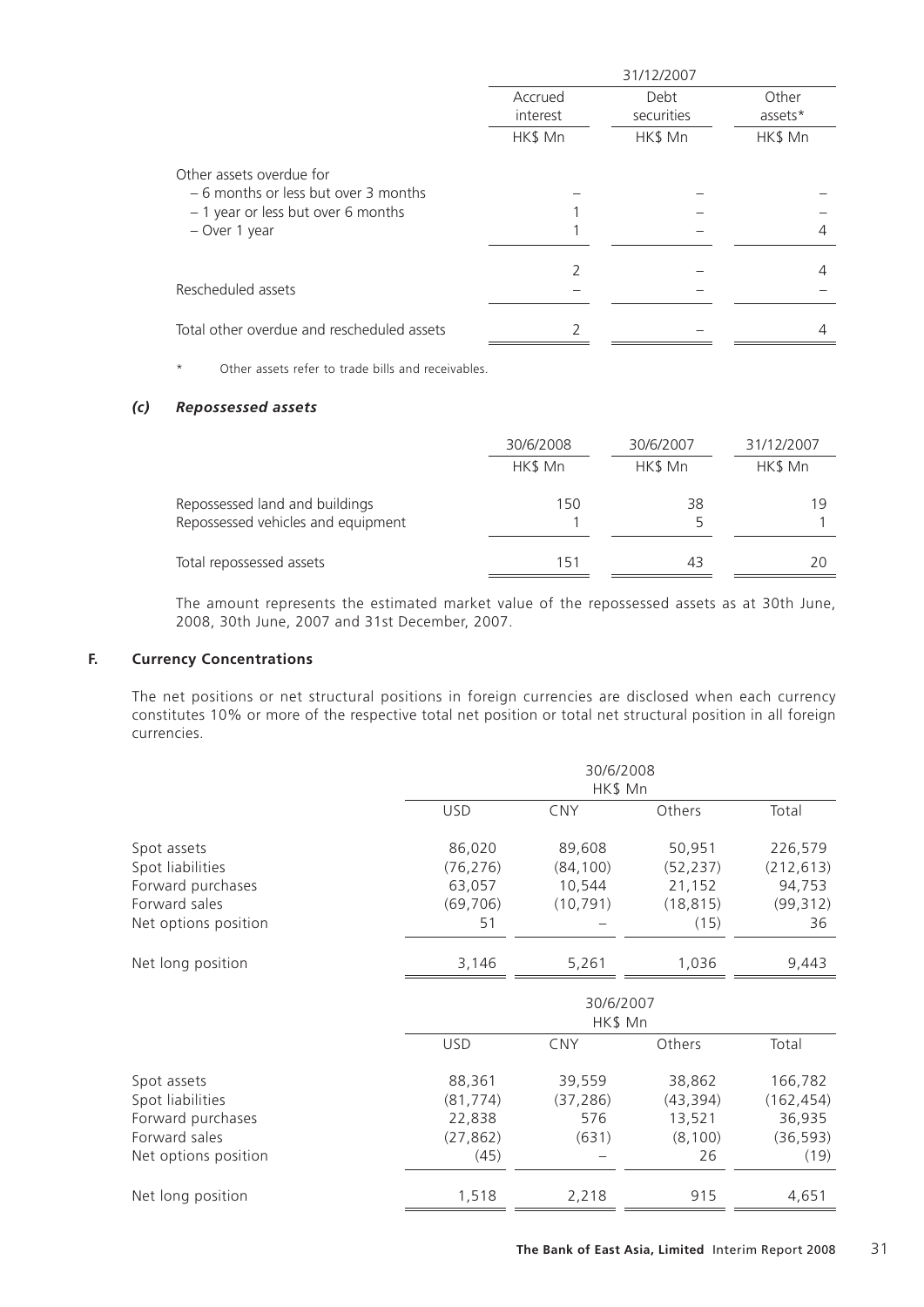|                                                                  | 31/12/2007          |                    |                  |  |
|------------------------------------------------------------------|---------------------|--------------------|------------------|--|
|                                                                  | Accrued<br>interest | Debt<br>securities | Other<br>assets* |  |
|                                                                  | HK\$ Mn             | HK\$ Mn            | HK\$ Mn          |  |
| Other assets overdue for<br>- 6 months or less but over 3 months |                     |                    |                  |  |
| - 1 year or less but over 6 months<br>- Over 1 year              |                     |                    |                  |  |
|                                                                  |                     |                    | 4                |  |
| Rescheduled assets                                               |                     |                    |                  |  |
| Total other overdue and rescheduled assets                       |                     |                    |                  |  |

\* Other assets refer to trade bills and receivables.

## *(c) Repossessed assets*

|                                                                      | 30/6/2008 | 30/6/2007 | 31/12/2007 |
|----------------------------------------------------------------------|-----------|-----------|------------|
|                                                                      | HK\$ Mn   | HK\$ Mn   | HK\$ Mn    |
| Repossessed land and buildings<br>Repossessed vehicles and equipment | 150       | 38        | 19         |
| Total repossessed assets                                             | 151       | 43        | 20         |

The amount represents the estimated market value of the repossessed assets as at 30th June, 2008, 30th June, 2007 and 31st December, 2007.

## **F. Currency Concentrations**

The net positions or net structural positions in foreign currencies are disclosed when each currency constitutes 10% or more of the respective total net position or total net structural position in all foreign currencies.

| <b>USD</b> | <b>CNY</b>                                          | Others                                       |                                                             |  |
|------------|-----------------------------------------------------|----------------------------------------------|-------------------------------------------------------------|--|
|            |                                                     |                                              | Total                                                       |  |
| 86,020     | 89,608                                              | 50,951                                       | 226,579                                                     |  |
| (76, 276)  | (84, 100)                                           | (52, 237)                                    | (212, 613)                                                  |  |
| 63,057     | 10,544                                              | 21,152                                       | 94,753                                                      |  |
| (69, 706)  | (10, 791)                                           | (18, 815)                                    | (99, 312)                                                   |  |
| 51         |                                                     | (15)                                         | 36                                                          |  |
| 3,146      | 5,261                                               | 1,036                                        | 9,443                                                       |  |
| 30/6/2007  |                                                     |                                              |                                                             |  |
| <b>USD</b> | <b>CNY</b>                                          | Others                                       | Total                                                       |  |
|            |                                                     |                                              | 166,782                                                     |  |
|            |                                                     |                                              | (162, 454)                                                  |  |
|            |                                                     |                                              | 36,935                                                      |  |
|            |                                                     |                                              | (36, 593)                                                   |  |
| (45)       |                                                     | 26                                           | (19)                                                        |  |
|            |                                                     |                                              | 4,651                                                       |  |
|            | 88,361<br>(81, 774)<br>22,838<br>(27, 862)<br>1,518 | 39,559<br>(37, 286)<br>576<br>(631)<br>2,218 | HK\$ Mn<br>38,862<br>(43, 394)<br>13,521<br>(8, 100)<br>915 |  |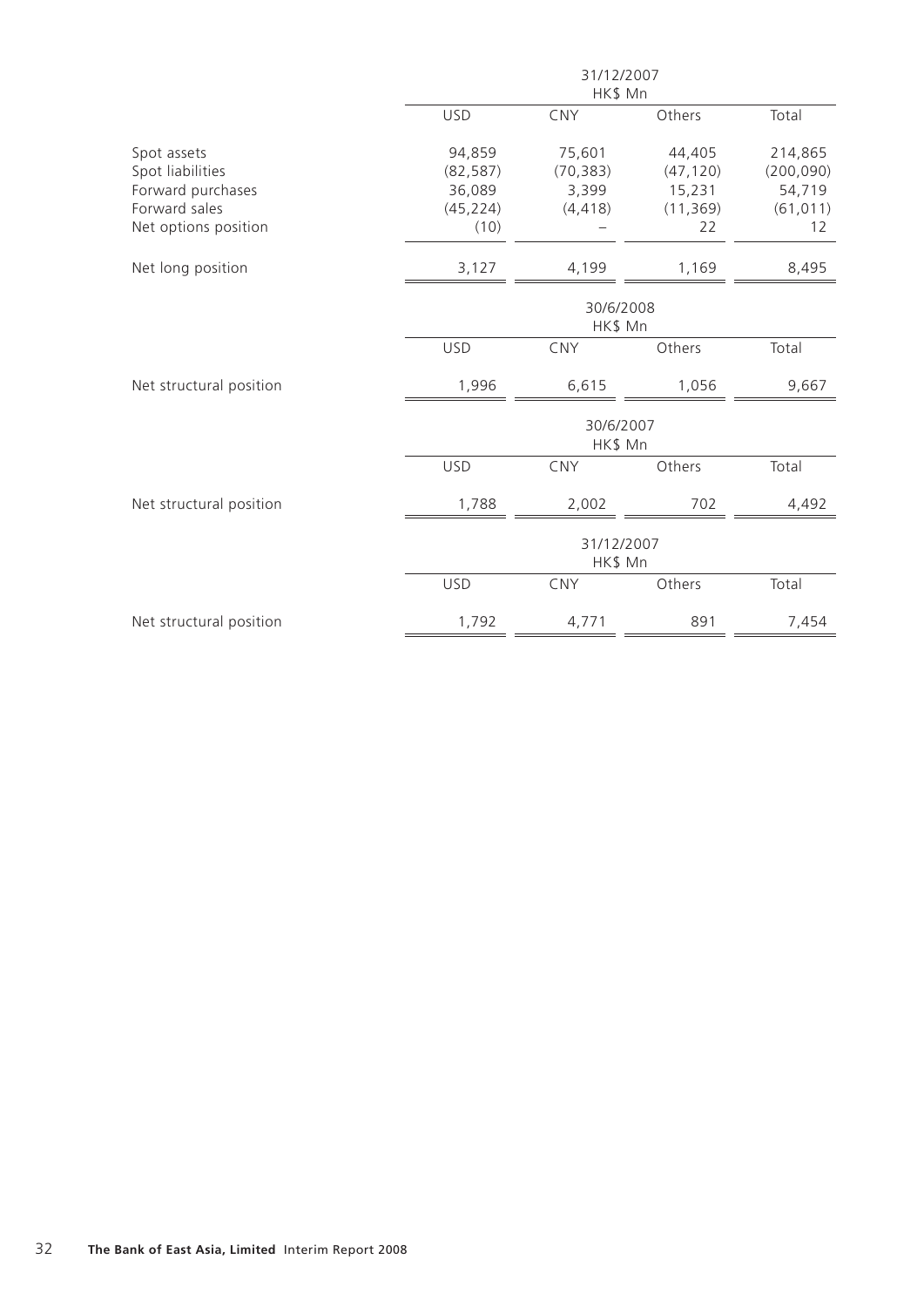|                         |                       | 31/12/2007 |           |            |  |
|-------------------------|-----------------------|------------|-----------|------------|--|
|                         |                       | HK\$ Mn    |           |            |  |
|                         | <b>USD</b>            | CNY        | Others    | Total      |  |
| Spot assets             | 94,859                | 75,601     | 44,405    | 214,865    |  |
| Spot liabilities        | (82, 587)             | (70, 383)  | (47, 120) | (200, 090) |  |
| Forward purchases       | 36,089                | 3,399      | 15,231    | 54,719     |  |
| Forward sales           | (45, 224)             | (4, 418)   | (11, 369) | (61, 011)  |  |
| Net options position    | (10)                  |            | 22        | 12         |  |
| Net long position       | 3,127                 | 4,199      | 1,169     | 8,495      |  |
|                         | 30/6/2008<br>HK\$ Mn  |            |           |            |  |
|                         | <b>USD</b>            | CNY        | Others    | Total      |  |
| Net structural position | 1,996                 | 6,615      | 1,056     | 9,667      |  |
|                         | 30/6/2007<br>HK\$ Mn  |            |           |            |  |
|                         | <b>USD</b>            | CNY        | Others    | Total      |  |
| Net structural position | 1,788                 | 2,002      | 702       | 4,492      |  |
|                         | 31/12/2007<br>HK\$ Mn |            |           |            |  |
|                         | <b>USD</b>            | CNY        | Others    | Total      |  |
| Net structural position | 1,792                 | 4,771      | 891       | 7,454      |  |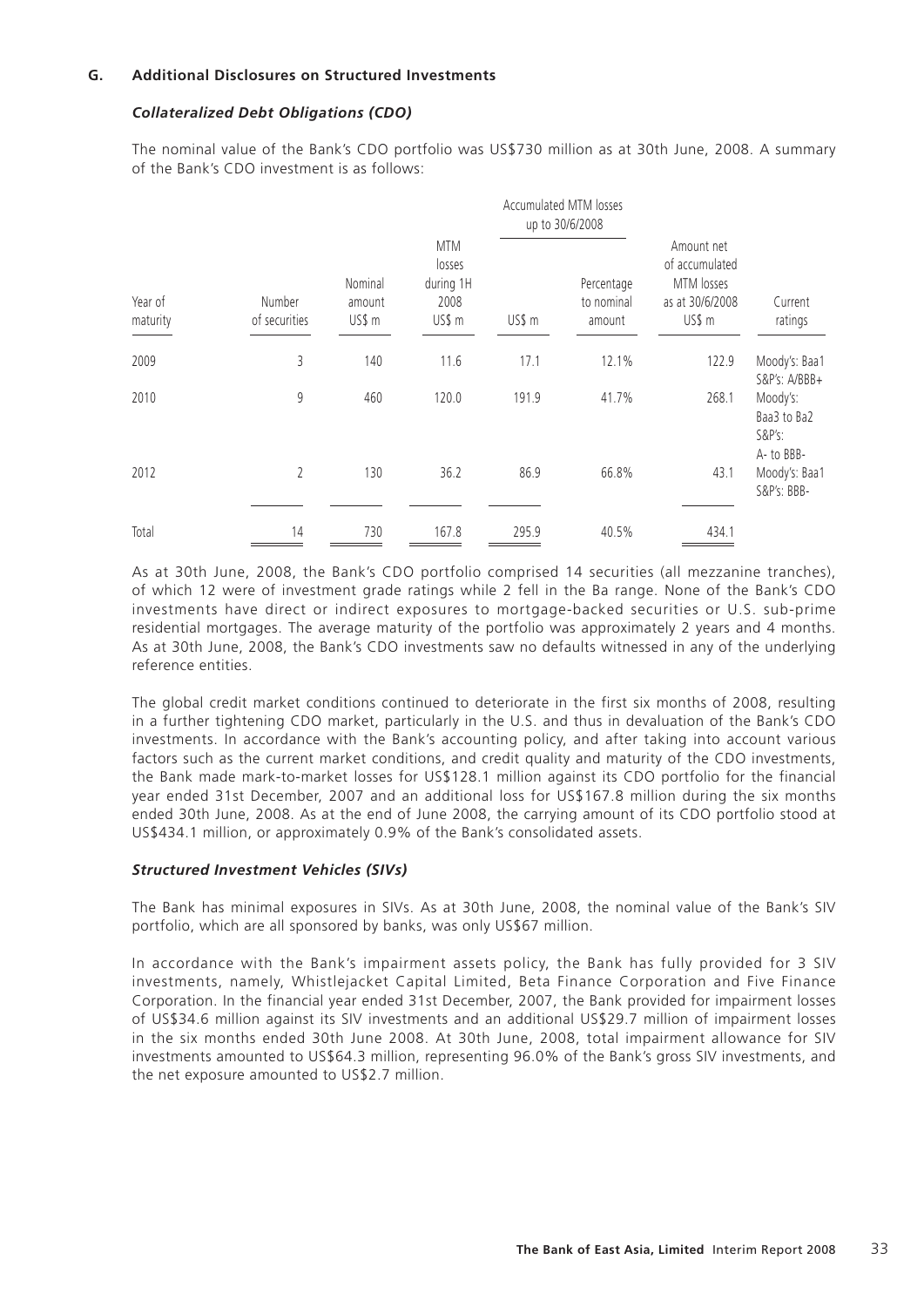## **G. Additional Disclosures on Structured Investments**

## *Collateralized Debt Obligations (CDO)*

The nominal value of the Bank's CDO portfolio was US\$730 million as at 30th June, 2008. A summary of the Bank's CDO investment is as follows:

|                     |                         |                                                                                    |        |                                    | Accumulated MTM losses<br>up to 30/6/2008                               |                    |                                                    |
|---------------------|-------------------------|------------------------------------------------------------------------------------|--------|------------------------------------|-------------------------------------------------------------------------|--------------------|----------------------------------------------------|
| Year of<br>maturity | Number<br>of securities | <b>MTM</b><br>losses<br>during 1H<br>Nominal<br>2008<br>amount<br>US\$ m<br>US\$ m | US\$ m | Percentage<br>to nominal<br>amount | Amount net<br>of accumulated<br>MTM losses<br>as at 30/6/2008<br>US\$ m | Current<br>ratings |                                                    |
| 2009                | 3                       | 140                                                                                | 11.6   | 17.1                               | 12.1%                                                                   | 122.9              | Moody's: Baa1<br>S&P's: A/BBB+                     |
| 2010                | 9                       | 460                                                                                | 120.0  | 191.9                              | 41.7%                                                                   | 268.1              | Moody's:<br>Baa3 to Ba2<br>$S&P's$ :<br>A- to BBB- |
| 2012                | $\overline{2}$          | 130                                                                                | 36.2   | 86.9                               | 66.8%                                                                   | 43.1               | Moody's: Baa1<br>S&P's: BBB-                       |
| Total               | 14                      | 730                                                                                | 167.8  | 295.9                              | 40.5%                                                                   | 434.1              |                                                    |

As at 30th June, 2008, the Bank's CDO portfolio comprised 14 securities (all mezzanine tranches), of which 12 were of investment grade ratings while 2 fell in the Ba range. None of the Bank's CDO investments have direct or indirect exposures to mortgage-backed securities or U.S. sub-prime residential mortgages. The average maturity of the portfolio was approximately 2 years and 4 months. As at 30th June, 2008, the Bank's CDO investments saw no defaults witnessed in any of the underlying reference entities.

The global credit market conditions continued to deteriorate in the first six months of 2008, resulting in a further tightening CDO market, particularly in the U.S. and thus in devaluation of the Bank's CDO investments. In accordance with the Bank's accounting policy, and after taking into account various factors such as the current market conditions, and credit quality and maturity of the CDO investments, the Bank made mark-to-market losses for US\$128.1 million against its CDO portfolio for the financial year ended 31st December, 2007 and an additional loss for US\$167.8 million during the six months ended 30th June, 2008. As at the end of June 2008, the carrying amount of its CDO portfolio stood at US\$434.1 million, or approximately 0.9% of the Bank's consolidated assets.

#### *Structured Investment Vehicles (SIVs)*

The Bank has minimal exposures in SIVs. As at 30th June, 2008, the nominal value of the Bank's SIV portfolio, which are all sponsored by banks, was only US\$67 million.

In accordance with the Bank's impairment assets policy, the Bank has fully provided for 3 SIV investments, namely, Whistlejacket Capital Limited, Beta Finance Corporation and Five Finance Corporation. In the financial year ended 31st December, 2007, the Bank provided for impairment losses of US\$34.6 million against its SIV investments and an additional US\$29.7 million of impairment losses in the six months ended 30th June 2008. At 30th June, 2008, total impairment allowance for SIV investments amounted to US\$64.3 million, representing 96.0% of the Bank's gross SIV investments, and the net exposure amounted to US\$2.7 million.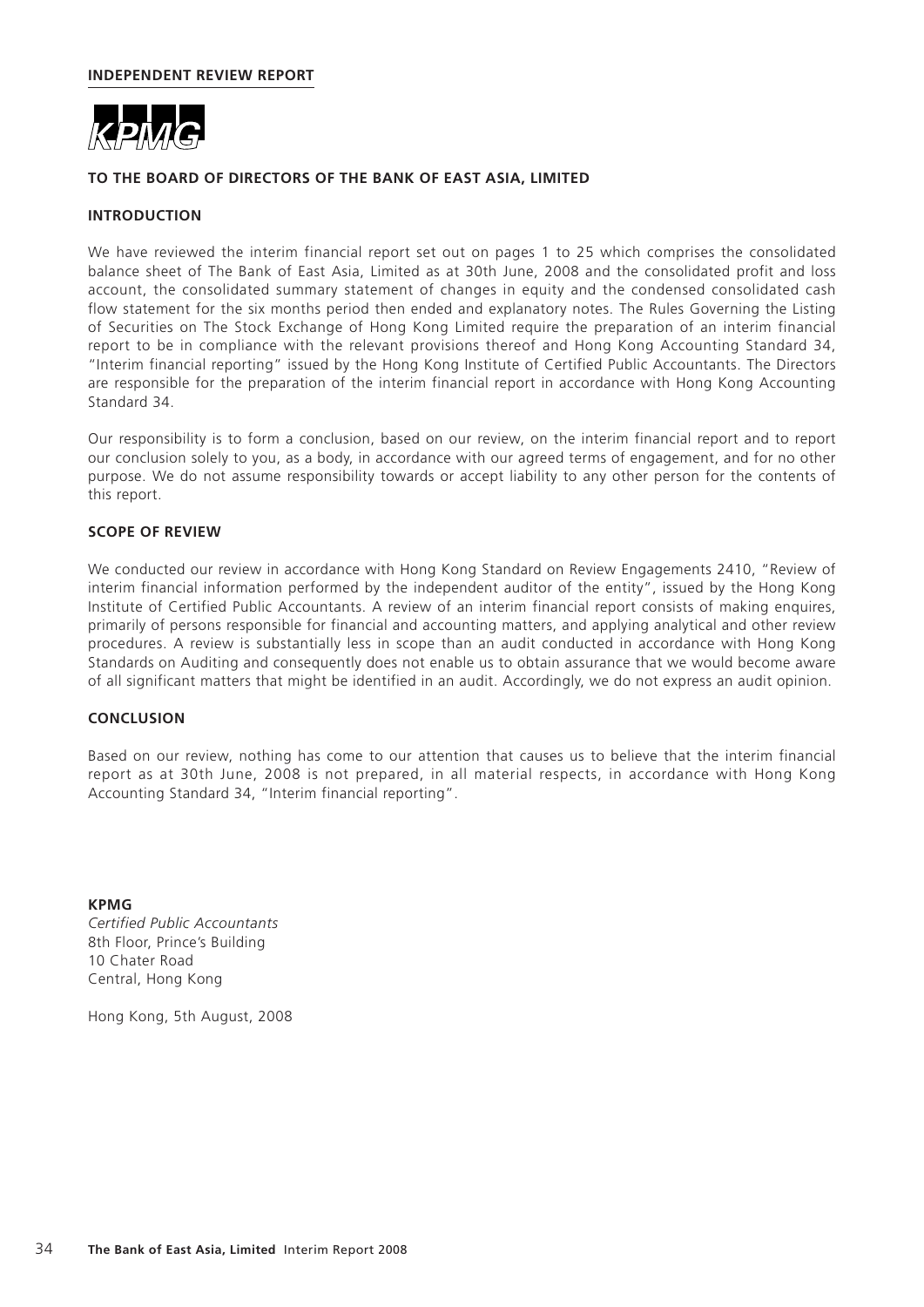

## **TO THE BOARD OF DIRECTORS OF THE BANK OF EAST ASIA, LIMITED**

## **INTRODUCTION**

We have reviewed the interim financial report set out on pages 1 to 25 which comprises the consolidated balance sheet of The Bank of East Asia, Limited as at 30th June, 2008 and the consolidated profit and loss account, the consolidated summary statement of changes in equity and the condensed consolidated cash flow statement for the six months period then ended and explanatory notes. The Rules Governing the Listing of Securities on The Stock Exchange of Hong Kong Limited require the preparation of an interim financial report to be in compliance with the relevant provisions thereof and Hong Kong Accounting Standard 34, "Interim financial reporting" issued by the Hong Kong Institute of Certified Public Accountants. The Directors are responsible for the preparation of the interim financial report in accordance with Hong Kong Accounting Standard 34.

Our responsibility is to form a conclusion, based on our review, on the interim financial report and to report our conclusion solely to you, as a body, in accordance with our agreed terms of engagement, and for no other purpose. We do not assume responsibility towards or accept liability to any other person for the contents of this report.

#### **SCOPE OF REVIEW**

We conducted our review in accordance with Hong Kong Standard on Review Engagements 2410, "Review of interim financial information performed by the independent auditor of the entity", issued by the Hong Kong Institute of Certified Public Accountants. A review of an interim financial report consists of making enquires, primarily of persons responsible for financial and accounting matters, and applying analytical and other review procedures. A review is substantially less in scope than an audit conducted in accordance with Hong Kong Standards on Auditing and consequently does not enable us to obtain assurance that we would become aware of all significant matters that might be identified in an audit. Accordingly, we do not express an audit opinion.

#### **CONCLUSION**

Based on our review, nothing has come to our attention that causes us to believe that the interim financial report as at 30th June, 2008 is not prepared, in all material respects, in accordance with Hong Kong Accounting Standard 34, "Interim financial reporting".

**KPMG** *Certified Public Accountants* 8th Floor, Prince's Building 10 Chater Road Central, Hong Kong

Hong Kong, 5th August, 2008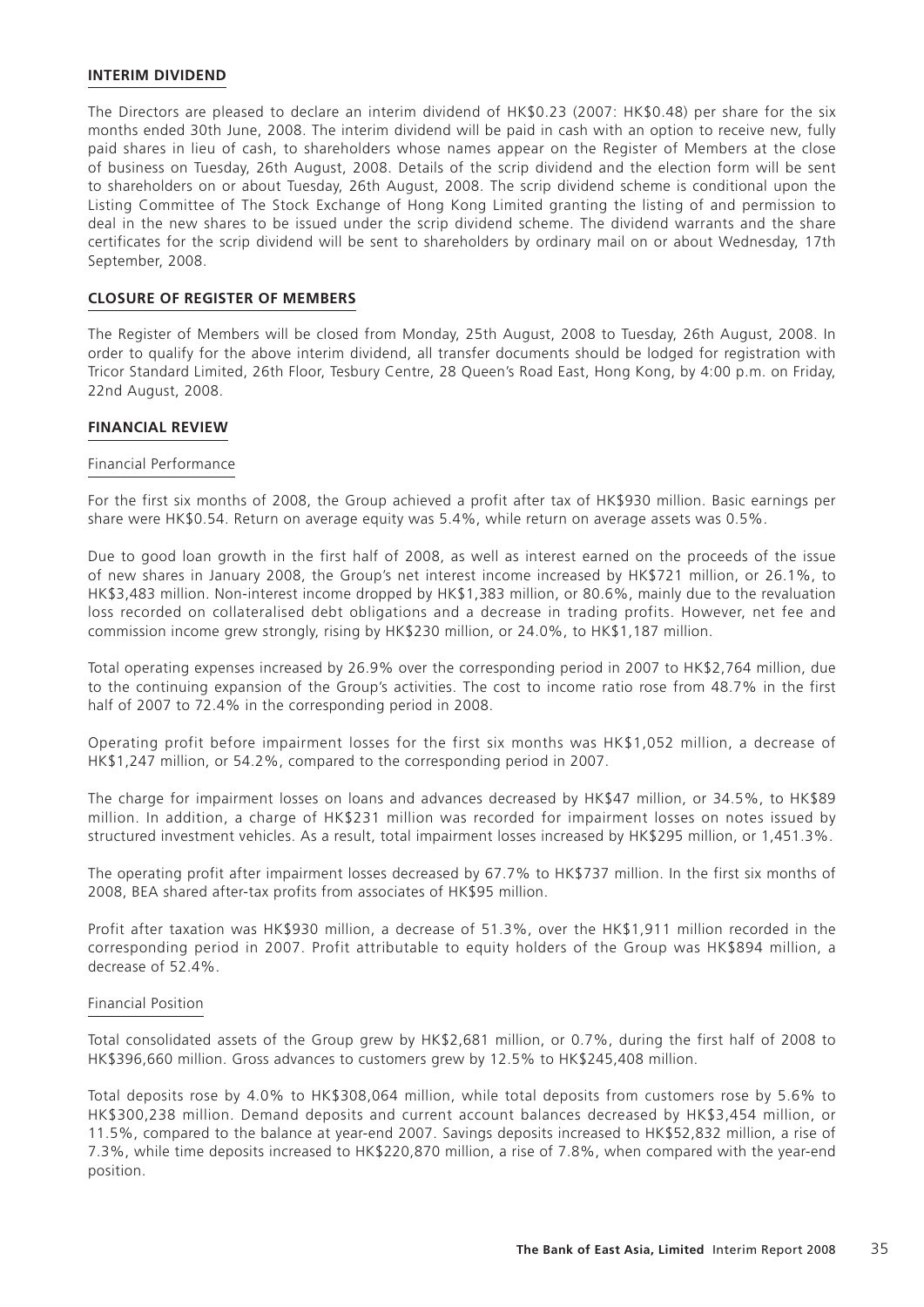#### **INTERIM DIVIDEND**

The Directors are pleased to declare an interim dividend of HK\$0.23 (2007: HK\$0.48) per share for the six months ended 30th June, 2008. The interim dividend will be paid in cash with an option to receive new, fully paid shares in lieu of cash, to shareholders whose names appear on the Register of Members at the close of business on Tuesday, 26th August, 2008. Details of the scrip dividend and the election form will be sent to shareholders on or about Tuesday, 26th August, 2008. The scrip dividend scheme is conditional upon the Listing Committee of The Stock Exchange of Hong Kong Limited granting the listing of and permission to deal in the new shares to be issued under the scrip dividend scheme. The dividend warrants and the share certificates for the scrip dividend will be sent to shareholders by ordinary mail on or about Wednesday, 17th September, 2008.

#### **CLOSURE OF REGISTER OF MEMBERS**

The Register of Members will be closed from Monday, 25th August, 2008 to Tuesday, 26th August, 2008. In order to qualify for the above interim dividend, all transfer documents should be lodged for registration with Tricor Standard Limited, 26th Floor, Tesbury Centre, 28 Queen's Road East, Hong Kong, by 4:00 p.m. on Friday, 22nd August, 2008.

#### **FINANCIAL REVIEW**

#### Financial Performance

For the first six months of 2008, the Group achieved a profit after tax of HK\$930 million. Basic earnings per share were HK\$0.54. Return on average equity was 5.4%, while return on average assets was 0.5%.

Due to good loan growth in the first half of 2008, as well as interest earned on the proceeds of the issue of new shares in January 2008, the Group's net interest income increased by HK\$721 million, or 26.1%, to HK\$3,483 million. Non-interest income dropped by HK\$1,383 million, or 80.6%, mainly due to the revaluation loss recorded on collateralised debt obligations and a decrease in trading profits. However, net fee and commission income grew strongly, rising by HK\$230 million, or 24.0%, to HK\$1,187 million.

Total operating expenses increased by 26.9% over the corresponding period in 2007 to HK\$2,764 million, due to the continuing expansion of the Group's activities. The cost to income ratio rose from 48.7% in the first half of 2007 to 72.4% in the corresponding period in 2008.

Operating profit before impairment losses for the first six months was HK\$1,052 million, a decrease of HK\$1,247 million, or 54.2%, compared to the corresponding period in 2007.

The charge for impairment losses on loans and advances decreased by HK\$47 million, or 34.5%, to HK\$89 million. In addition, a charge of HK\$231 million was recorded for impairment losses on notes issued by structured investment vehicles. As a result, total impairment losses increased by HK\$295 million, or 1,451.3%.

The operating profit after impairment losses decreased by 67.7% to HK\$737 million. In the first six months of 2008, BEA shared after-tax profits from associates of HK\$95 million.

Profit after taxation was HK\$930 million, a decrease of 51.3%, over the HK\$1,911 million recorded in the corresponding period in 2007. Profit attributable to equity holders of the Group was HK\$894 million, a decrease of 52.4%.

#### Financial Position

Total consolidated assets of the Group grew by HK\$2,681 million, or 0.7%, during the first half of 2008 to HK\$396,660 million. Gross advances to customers grew by 12.5% to HK\$245,408 million.

Total deposits rose by 4.0% to HK\$308,064 million, while total deposits from customers rose by 5.6% to HK\$300,238 million. Demand deposits and current account balances decreased by HK\$3,454 million, or 11.5%, compared to the balance at year-end 2007. Savings deposits increased to HK\$52,832 million, a rise of 7.3%, while time deposits increased to HK\$220,870 million, a rise of 7.8%, when compared with the year-end position.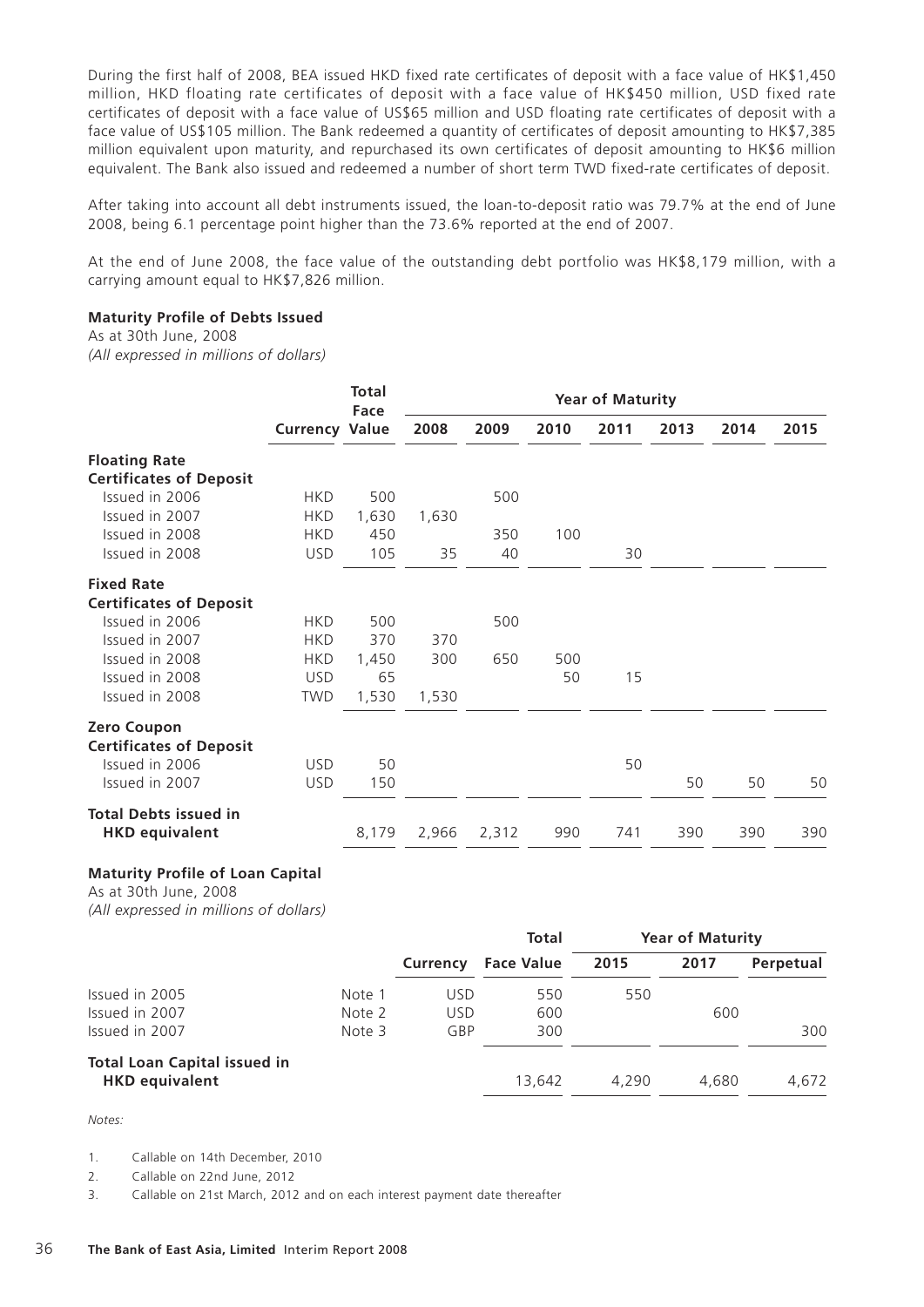During the first half of 2008, BEA issued HKD fixed rate certificates of deposit with a face value of HK\$1,450 million, HKD floating rate certificates of deposit with a face value of HK\$450 million, USD fixed rate certificates of deposit with a face value of US\$65 million and USD floating rate certificates of deposit with a face value of US\$105 million. The Bank redeemed a quantity of certificates of deposit amounting to HK\$7,385 million equivalent upon maturity, and repurchased its own certificates of deposit amounting to HK\$6 million equivalent. The Bank also issued and redeemed a number of short term TWD fixed-rate certificates of deposit.

After taking into account all debt instruments issued, the loan-to-deposit ratio was 79.7% at the end of June 2008, being 6.1 percentage point higher than the 73.6% reported at the end of 2007.

At the end of June 2008, the face value of the outstanding debt portfolio was HK\$8,179 million, with a carrying amount equal to HK\$7,826 million.

#### **Maturity Profile of Debts Issued**

As at 30th June, 2008

*(All expressed in millions of dollars)*

|                                |                       |       |       |       |      |      | <b>Year of Maturity</b> |      |      |  |
|--------------------------------|-----------------------|-------|-------|-------|------|------|-------------------------|------|------|--|
|                                | <b>Currency Value</b> | Face  | 2008  | 2009  | 2010 | 2011 | 2013                    | 2014 | 2015 |  |
| <b>Floating Rate</b>           |                       |       |       |       |      |      |                         |      |      |  |
| <b>Certificates of Deposit</b> |                       |       |       |       |      |      |                         |      |      |  |
| Issued in 2006                 | <b>HKD</b>            | 500   |       | 500   |      |      |                         |      |      |  |
| Issued in 2007                 | <b>HKD</b>            | 1,630 | 1,630 |       |      |      |                         |      |      |  |
| Issued in 2008                 | <b>HKD</b>            | 450   |       | 350   | 100  |      |                         |      |      |  |
| Issued in 2008                 | <b>USD</b>            | 105   | 35    | 40    |      | 30   |                         |      |      |  |
| <b>Fixed Rate</b>              |                       |       |       |       |      |      |                         |      |      |  |
| <b>Certificates of Deposit</b> |                       |       |       |       |      |      |                         |      |      |  |
| Issued in 2006                 | <b>HKD</b>            | 500   |       | 500   |      |      |                         |      |      |  |
| Issued in 2007                 | <b>HKD</b>            | 370   | 370   |       |      |      |                         |      |      |  |
| Issued in 2008                 | <b>HKD</b>            | 1,450 | 300   | 650   | 500  |      |                         |      |      |  |
| Issued in 2008                 | <b>USD</b>            | 65    |       |       | 50   | 15   |                         |      |      |  |
| Issued in 2008                 | <b>TWD</b>            | 1,530 | 1,530 |       |      |      |                         |      |      |  |
| <b>Zero Coupon</b>             |                       |       |       |       |      |      |                         |      |      |  |
| <b>Certificates of Deposit</b> |                       |       |       |       |      |      |                         |      |      |  |
| Issued in 2006                 | <b>USD</b>            | 50    |       |       |      | 50   |                         |      |      |  |
| Issued in 2007                 | <b>USD</b>            | 150   |       |       |      |      | 50                      | 50   | 50   |  |
| <b>Total Debts issued in</b>   |                       |       |       |       |      |      |                         |      |      |  |
| <b>HKD equivalent</b>          |                       | 8,179 | 2,966 | 2,312 | 990  | 741  | 390                     | 390  | 390  |  |
|                                |                       |       |       |       |      |      |                         |      |      |  |

# **Maturity Profile of Loan Capital**

As at 30th June, 2008 *(All expressed in millions of dollars)*

|                                     |        |            | <b>Total</b>      |       | <b>Year of Maturity</b> |           |
|-------------------------------------|--------|------------|-------------------|-------|-------------------------|-----------|
|                                     |        | Currency   | <b>Face Value</b> | 2015  | 2017                    | Perpetual |
| Issued in 2005                      | Note 1 | <b>USD</b> | 550               | 550   |                         |           |
| Issued in 2007                      | Note 2 | <b>USD</b> | 600               |       | 600                     |           |
| Issued in 2007                      | Note 3 | GBP        | 300               |       |                         | 300       |
| <b>Total Loan Capital issued in</b> |        |            |                   |       |                         |           |
| <b>HKD equivalent</b>               |        |            | 13.642            | 4.290 | 4.680                   | 4,672     |

*Notes:*

1. Callable on 14th December, 2010

2. Callable on 22nd June, 2012

3. Callable on 21st March, 2012 and on each interest payment date thereafter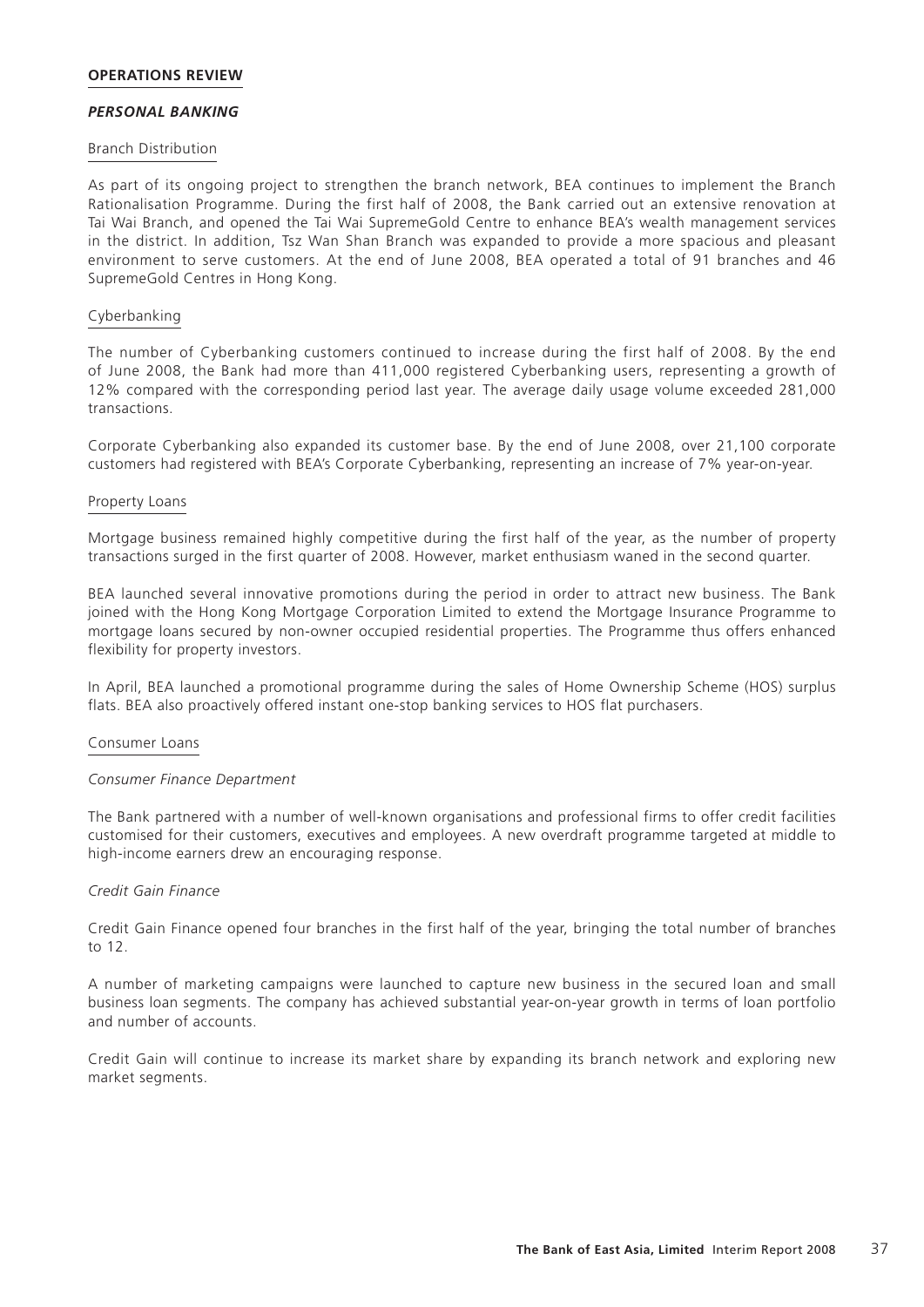#### **OPERATIONS REVIEW**

#### *PERSONAL BANKING*

#### Branch Distribution

As part of its ongoing project to strengthen the branch network, BEA continues to implement the Branch Rationalisation Programme. During the first half of 2008, the Bank carried out an extensive renovation at Tai Wai Branch, and opened the Tai Wai SupremeGold Centre to enhance BEA's wealth management services in the district. In addition, Tsz Wan Shan Branch was expanded to provide a more spacious and pleasant environment to serve customers. At the end of June 2008, BEA operated a total of 91 branches and 46 SupremeGold Centres in Hong Kong.

#### Cyberbanking

The number of Cyberbanking customers continued to increase during the first half of 2008. By the end of June 2008, the Bank had more than 411,000 registered Cyberbanking users, representing a growth of 12% compared with the corresponding period last year. The average daily usage volume exceeded 281,000 transactions.

Corporate Cyberbanking also expanded its customer base. By the end of June 2008, over 21,100 corporate customers had registered with BEA's Corporate Cyberbanking, representing an increase of 7% year-on-year.

#### Property Loans

Mortgage business remained highly competitive during the first half of the year, as the number of property transactions surged in the first quarter of 2008. However, market enthusiasm waned in the second quarter.

BEA launched several innovative promotions during the period in order to attract new business. The Bank joined with the Hong Kong Mortgage Corporation Limited to extend the Mortgage Insurance Programme to mortgage loans secured by non-owner occupied residential properties. The Programme thus offers enhanced flexibility for property investors.

In April, BEA launched a promotional programme during the sales of Home Ownership Scheme (HOS) surplus flats. BEA also proactively offered instant one-stop banking services to HOS flat purchasers.

#### Consumer Loans

#### *Consumer Finance Department*

The Bank partnered with a number of well-known organisations and professional firms to offer credit facilities customised for their customers, executives and employees. A new overdraft programme targeted at middle to high-income earners drew an encouraging response.

## *Credit Gain Finance*

Credit Gain Finance opened four branches in the first half of the year, bringing the total number of branches to 12.

A number of marketing campaigns were launched to capture new business in the secured loan and small business loan segments. The company has achieved substantial year-on-year growth in terms of loan portfolio and number of accounts.

Credit Gain will continue to increase its market share by expanding its branch network and exploring new market segments.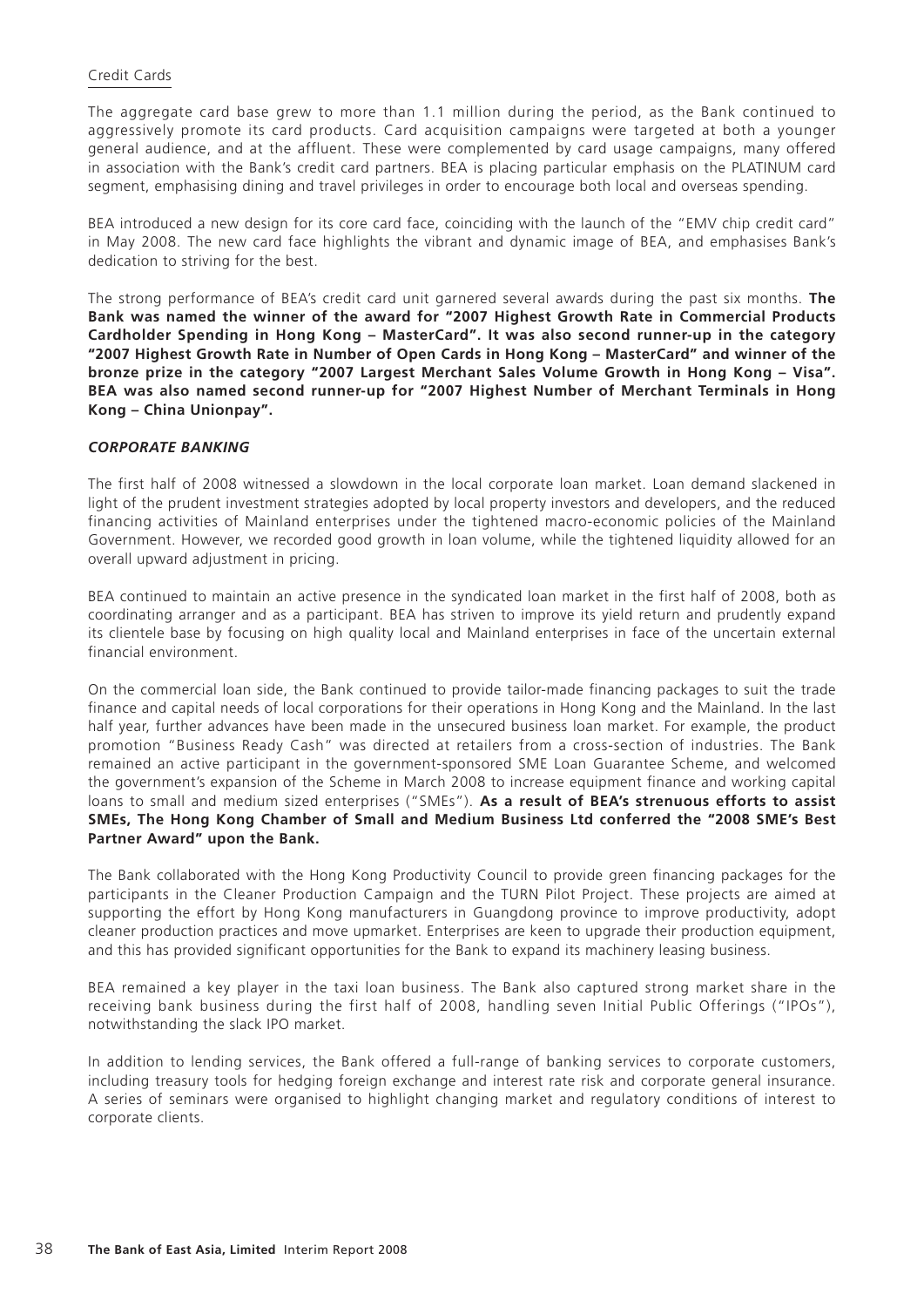## Credit Cards

The aggregate card base grew to more than 1.1 million during the period, as the Bank continued to aggressively promote its card products. Card acquisition campaigns were targeted at both a younger general audience, and at the affluent. These were complemented by card usage campaigns, many offered in association with the Bank's credit card partners. BEA is placing particular emphasis on the PLATINUM card segment, emphasising dining and travel privileges in order to encourage both local and overseas spending.

BEA introduced a new design for its core card face, coinciding with the launch of the "EMV chip credit card" in May 2008. The new card face highlights the vibrant and dynamic image of BEA, and emphasises Bank's dedication to striving for the best.

The strong performance of BEA's credit card unit garnered several awards during the past six months. **The Bank was named the winner of the award for "2007 Highest Growth Rate in Commercial Products Cardholder Spending in Hong Kong – MasterCard". It was also second runner-up in the category "2007 Highest Growth Rate in Number of Open Cards in Hong Kong – MasterCard" and winner of the bronze prize in the category "2007 Largest Merchant Sales Volume Growth in Hong Kong – Visa". BEA was also named second runner-up for "2007 Highest Number of Merchant Terminals in Hong Kong – China Unionpay".**

## *CORPORATE BANKING*

The first half of 2008 witnessed a slowdown in the local corporate loan market. Loan demand slackened in light of the prudent investment strategies adopted by local property investors and developers, and the reduced financing activities of Mainland enterprises under the tightened macro-economic policies of the Mainland Government. However, we recorded good growth in loan volume, while the tightened liquidity allowed for an overall upward adjustment in pricing.

BEA continued to maintain an active presence in the syndicated loan market in the first half of 2008, both as coordinating arranger and as a participant. BEA has striven to improve its yield return and prudently expand its clientele base by focusing on high quality local and Mainland enterprises in face of the uncertain external financial environment.

On the commercial loan side, the Bank continued to provide tailor-made financing packages to suit the trade finance and capital needs of local corporations for their operations in Hong Kong and the Mainland. In the last half year, further advances have been made in the unsecured business loan market. For example, the product promotion "Business Ready Cash" was directed at retailers from a cross-section of industries. The Bank remained an active participant in the government-sponsored SME Loan Guarantee Scheme, and welcomed the government's expansion of the Scheme in March 2008 to increase equipment finance and working capital loans to small and medium sized enterprises ("SMEs"). **As a result of BEA's strenuous efforts to assist SMEs, The Hong Kong Chamber of Small and Medium Business Ltd conferred the "2008 SME's Best Partner Award" upon the Bank.**

The Bank collaborated with the Hong Kong Productivity Council to provide green financing packages for the participants in the Cleaner Production Campaign and the TURN Pilot Project. These projects are aimed at supporting the effort by Hong Kong manufacturers in Guangdong province to improve productivity, adopt cleaner production practices and move upmarket. Enterprises are keen to upgrade their production equipment, and this has provided significant opportunities for the Bank to expand its machinery leasing business.

BEA remained a key player in the taxi loan business. The Bank also captured strong market share in the receiving bank business during the first half of 2008, handling seven Initial Public Offerings ("IPOs"), notwithstanding the slack IPO market.

In addition to lending services, the Bank offered a full-range of banking services to corporate customers, including treasury tools for hedging foreign exchange and interest rate risk and corporate general insurance. A series of seminars were organised to highlight changing market and regulatory conditions of interest to corporate clients.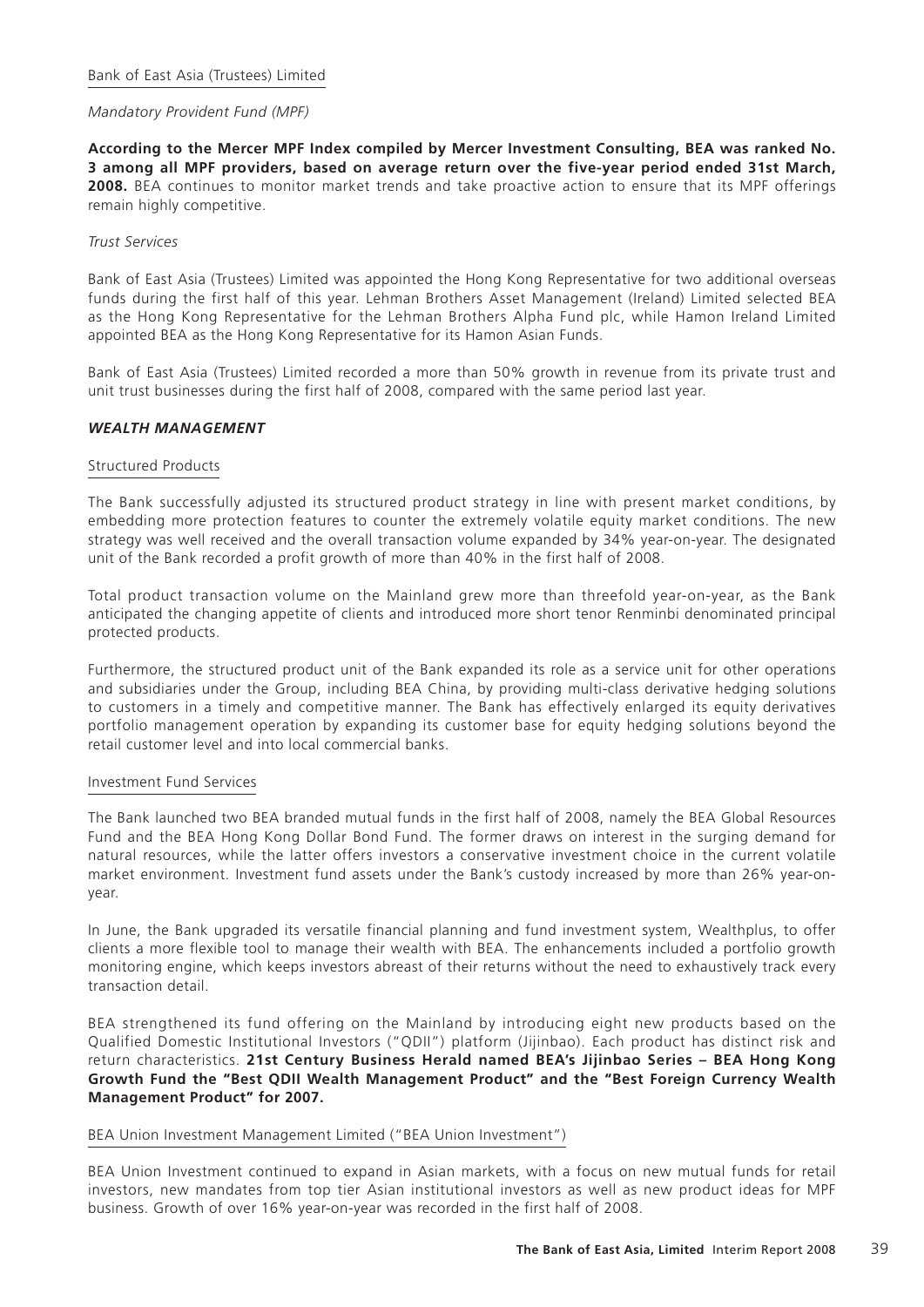## *Mandatory Provident Fund (MPF)*

**According to the Mercer MPF Index compiled by Mercer Investment Consulting, BEA was ranked No. 3 among all MPF providers, based on average return over the five-year period ended 31st March, 2008.** BEA continues to monitor market trends and take proactive action to ensure that its MPF offerings remain highly competitive.

## *Trust Services*

Bank of East Asia (Trustees) Limited was appointed the Hong Kong Representative for two additional overseas funds during the first half of this year. Lehman Brothers Asset Management (Ireland) Limited selected BEA as the Hong Kong Representative for the Lehman Brothers Alpha Fund plc, while Hamon Ireland Limited appointed BEA as the Hong Kong Representative for its Hamon Asian Funds.

Bank of East Asia (Trustees) Limited recorded a more than 50% growth in revenue from its private trust and unit trust businesses during the first half of 2008, compared with the same period last year.

## *WEALTH MANAGEMENT*

#### Structured Products

The Bank successfully adjusted its structured product strategy in line with present market conditions, by embedding more protection features to counter the extremely volatile equity market conditions. The new strategy was well received and the overall transaction volume expanded by 34% year-on-year. The designated unit of the Bank recorded a profit growth of more than 40% in the first half of 2008.

Total product transaction volume on the Mainland grew more than threefold year-on-year, as the Bank anticipated the changing appetite of clients and introduced more short tenor Renminbi denominated principal protected products.

Furthermore, the structured product unit of the Bank expanded its role as a service unit for other operations and subsidiaries under the Group, including BEA China, by providing multi-class derivative hedging solutions to customers in a timely and competitive manner. The Bank has effectively enlarged its equity derivatives portfolio management operation by expanding its customer base for equity hedging solutions beyond the retail customer level and into local commercial banks.

#### Investment Fund Services

The Bank launched two BEA branded mutual funds in the first half of 2008, namely the BEA Global Resources Fund and the BEA Hong Kong Dollar Bond Fund. The former draws on interest in the surging demand for natural resources, while the latter offers investors a conservative investment choice in the current volatile market environment. Investment fund assets under the Bank's custody increased by more than 26% year-onyear.

In June, the Bank upgraded its versatile financial planning and fund investment system, Wealthplus, to offer clients a more flexible tool to manage their wealth with BEA. The enhancements included a portfolio growth monitoring engine, which keeps investors abreast of their returns without the need to exhaustively track every transaction detail.

BEA strengthened its fund offering on the Mainland by introducing eight new products based on the Qualified Domestic Institutional Investors ("QDII") platform (Jijinbao). Each product has distinct risk and return characteristics. **21st Century Business Herald named BEA's Jijinbao Series – BEA Hong Kong Growth Fund the "Best QDII Wealth Management Product" and the "Best Foreign Currency Wealth Management Product" for 2007.**

#### BEA Union Investment Management Limited ("BEA Union Investment")

BEA Union Investment continued to expand in Asian markets, with a focus on new mutual funds for retail investors, new mandates from top tier Asian institutional investors as well as new product ideas for MPF business. Growth of over 16% year-on-year was recorded in the first half of 2008.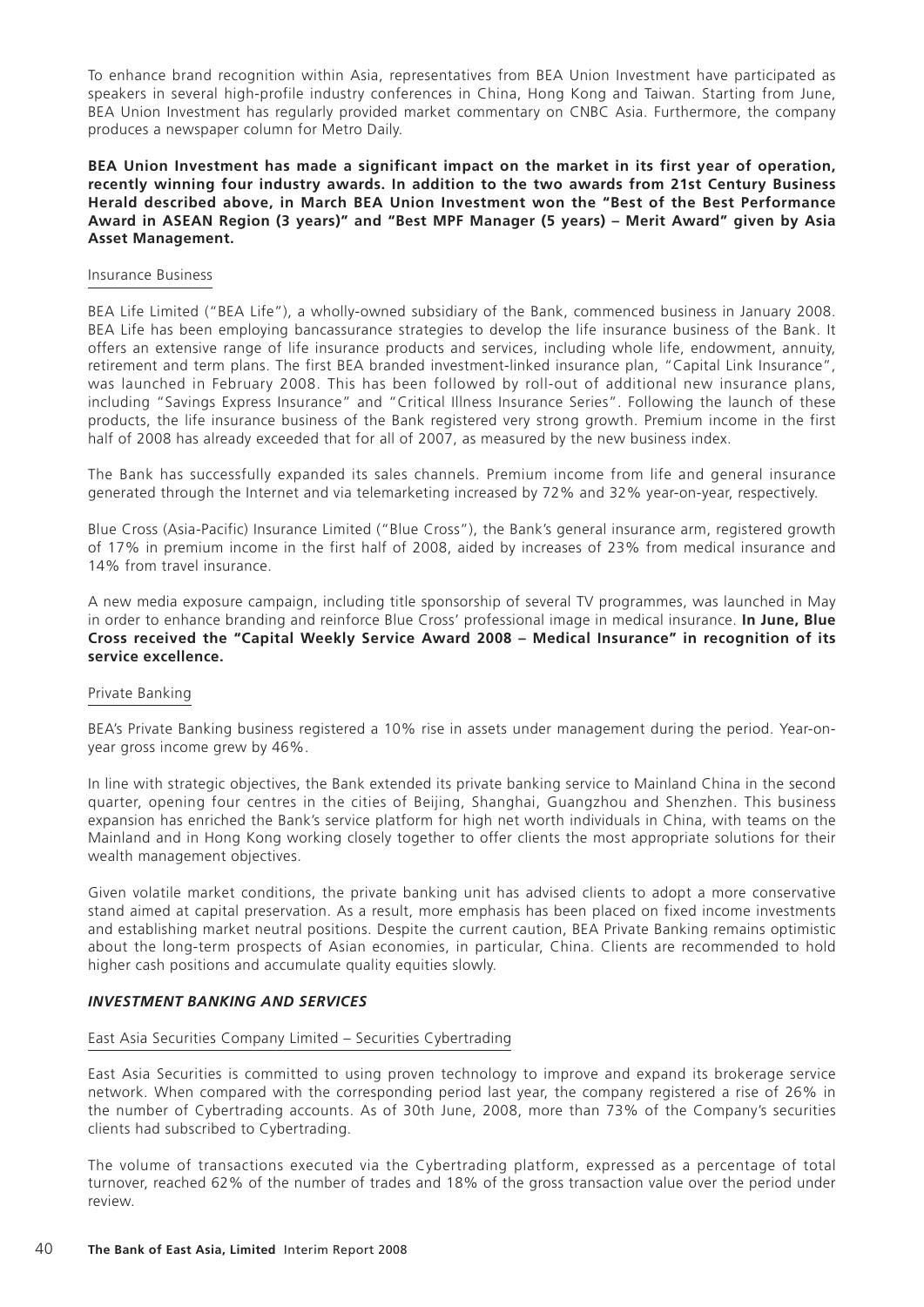To enhance brand recognition within Asia, representatives from BEA Union Investment have participated as speakers in several high-profile industry conferences in China, Hong Kong and Taiwan. Starting from June, BEA Union Investment has regularly provided market commentary on CNBC Asia. Furthermore, the company produces a newspaper column for Metro Daily.

## **BEA Union Investment has made a significant impact on the market in its first year of operation, recently winning four industry awards. In addition to the two awards from 21st Century Business Herald described above, in March BEA Union Investment won the "Best of the Best Performance Award in ASEAN Region (3 years)" and "Best MPF Manager (5 years) – Merit Award" given by Asia Asset Management.**

#### Insurance Business

BEA Life Limited ("BEA Life"), a wholly-owned subsidiary of the Bank, commenced business in January 2008. BEA Life has been employing bancassurance strategies to develop the life insurance business of the Bank. It offers an extensive range of life insurance products and services, including whole life, endowment, annuity, retirement and term plans. The first BEA branded investment-linked insurance plan, "Capital Link Insurance", was launched in February 2008. This has been followed by roll-out of additional new insurance plans, including "Savings Express Insurance" and "Critical Illness Insurance Series". Following the launch of these products, the life insurance business of the Bank registered very strong growth. Premium income in the first half of 2008 has already exceeded that for all of 2007, as measured by the new business index.

The Bank has successfully expanded its sales channels. Premium income from life and general insurance generated through the Internet and via telemarketing increased by 72% and 32% year-on-year, respectively.

Blue Cross (Asia-Pacific) Insurance Limited ("Blue Cross"), the Bank's general insurance arm, registered growth of 17% in premium income in the first half of 2008, aided by increases of 23% from medical insurance and 14% from travel insurance.

A new media exposure campaign, including title sponsorship of several TV programmes, was launched in May in order to enhance branding and reinforce Blue Cross' professional image in medical insurance. **In June, Blue Cross received the "Capital Weekly Service Award 2008 – Medical Insurance" in recognition of its service excellence.**

#### Private Banking

BEA's Private Banking business registered a 10% rise in assets under management during the period. Year-onyear gross income grew by 46%.

In line with strategic objectives, the Bank extended its private banking service to Mainland China in the second quarter, opening four centres in the cities of Beijing, Shanghai, Guangzhou and Shenzhen. This business expansion has enriched the Bank's service platform for high net worth individuals in China, with teams on the Mainland and in Hong Kong working closely together to offer clients the most appropriate solutions for their wealth management objectives.

Given volatile market conditions, the private banking unit has advised clients to adopt a more conservative stand aimed at capital preservation. As a result, more emphasis has been placed on fixed income investments and establishing market neutral positions. Despite the current caution, BEA Private Banking remains optimistic about the long-term prospects of Asian economies, in particular, China. Clients are recommended to hold higher cash positions and accumulate quality equities slowly.

#### *INVESTMENT BANKING AND SERVICES*

#### East Asia Securities Company Limited – Securities Cybertrading

East Asia Securities is committed to using proven technology to improve and expand its brokerage service network. When compared with the corresponding period last year, the company registered a rise of 26% in the number of Cybertrading accounts. As of 30th June, 2008, more than 73% of the Company's securities clients had subscribed to Cybertrading.

The volume of transactions executed via the Cybertrading platform, expressed as a percentage of total turnover, reached 62% of the number of trades and 18% of the gross transaction value over the period under review.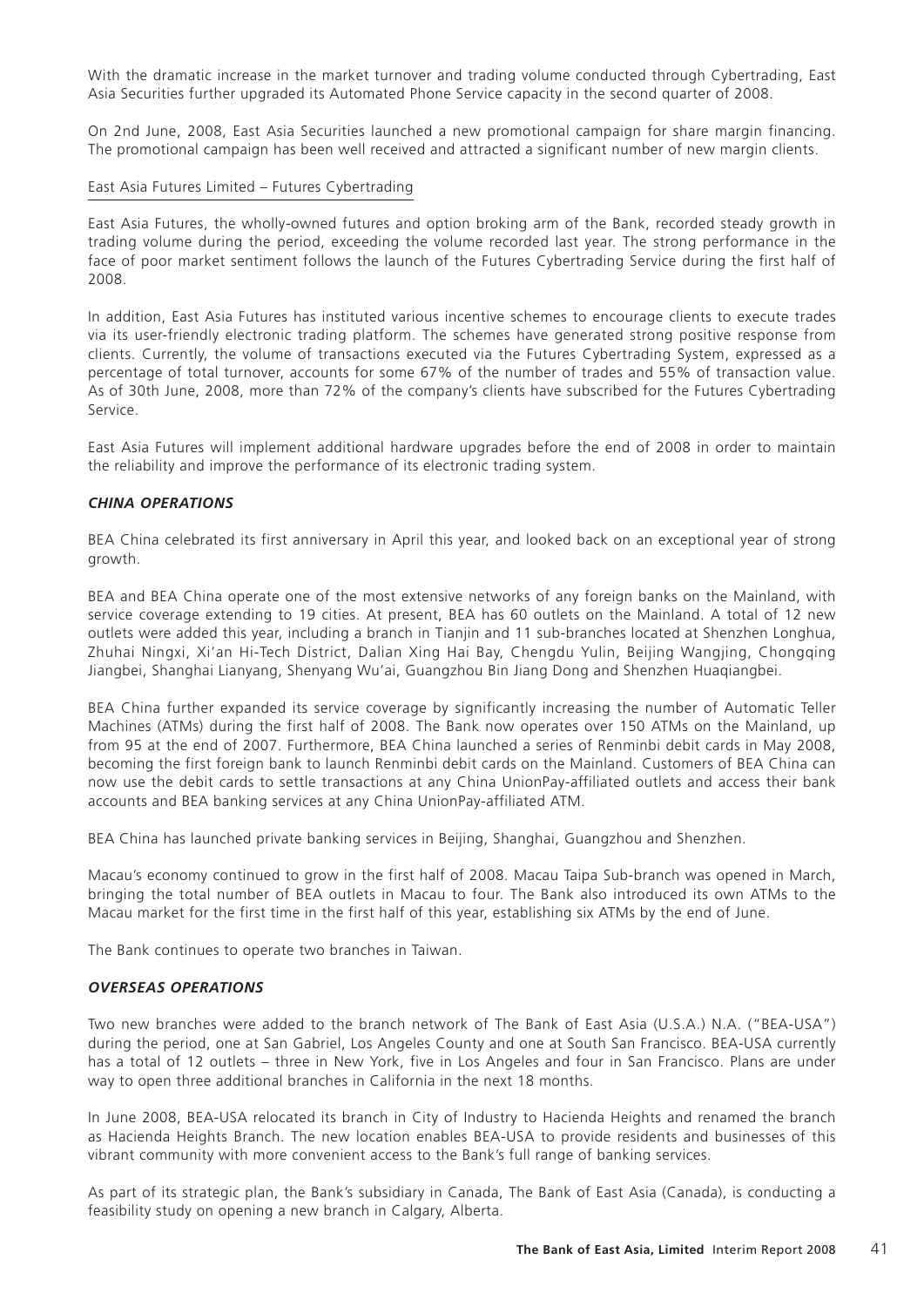With the dramatic increase in the market turnover and trading volume conducted through Cybertrading, East Asia Securities further upgraded its Automated Phone Service capacity in the second quarter of 2008.

On 2nd June, 2008, East Asia Securities launched a new promotional campaign for share margin financing. The promotional campaign has been well received and attracted a significant number of new margin clients.

#### East Asia Futures Limited – Futures Cybertrading

East Asia Futures, the wholly-owned futures and option broking arm of the Bank, recorded steady growth in trading volume during the period, exceeding the volume recorded last year. The strong performance in the face of poor market sentiment follows the launch of the Futures Cybertrading Service during the first half of 2008.

In addition, East Asia Futures has instituted various incentive schemes to encourage clients to execute trades via its user-friendly electronic trading platform. The schemes have generated strong positive response from clients. Currently, the volume of transactions executed via the Futures Cybertrading System, expressed as a percentage of total turnover, accounts for some 67% of the number of trades and 55% of transaction value. As of 30th June, 2008, more than 72% of the company's clients have subscribed for the Futures Cybertrading Service.

East Asia Futures will implement additional hardware upgrades before the end of 2008 in order to maintain the reliability and improve the performance of its electronic trading system.

## *CHINA OPERATIONS*

BEA China celebrated its first anniversary in April this year, and looked back on an exceptional year of strong growth.

BEA and BEA China operate one of the most extensive networks of any foreign banks on the Mainland, with service coverage extending to 19 cities. At present, BEA has 60 outlets on the Mainland. A total of 12 new outlets were added this year, including a branch in Tianjin and 11 sub-branches located at Shenzhen Longhua, Zhuhai Ningxi, Xi'an Hi-Tech District, Dalian Xing Hai Bay, Chengdu Yulin, Beijing Wangjing, Chongqing Jiangbei, Shanghai Lianyang, Shenyang Wu'ai, Guangzhou Bin Jiang Dong and Shenzhen Huaqiangbei.

BEA China further expanded its service coverage by significantly increasing the number of Automatic Teller Machines (ATMs) during the first half of 2008. The Bank now operates over 150 ATMs on the Mainland, up from 95 at the end of 2007. Furthermore, BEA China launched a series of Renminbi debit cards in May 2008, becoming the first foreign bank to launch Renminbi debit cards on the Mainland. Customers of BEA China can now use the debit cards to settle transactions at any China UnionPay-affiliated outlets and access their bank accounts and BEA banking services at any China UnionPay-affiliated ATM.

BEA China has launched private banking services in Beijing, Shanghai, Guangzhou and Shenzhen.

Macau's economy continued to grow in the first half of 2008. Macau Taipa Sub-branch was opened in March, bringing the total number of BEA outlets in Macau to four. The Bank also introduced its own ATMs to the Macau market for the first time in the first half of this year, establishing six ATMs by the end of June.

The Bank continues to operate two branches in Taiwan.

#### *OVERSEAS OPERATIONS*

Two new branches were added to the branch network of The Bank of East Asia (U.S.A.) N.A. ("BEA-USA") during the period, one at San Gabriel, Los Angeles County and one at South San Francisco. BEA-USA currently has a total of 12 outlets – three in New York, five in Los Angeles and four in San Francisco. Plans are under way to open three additional branches in California in the next 18 months.

In June 2008, BEA-USA relocated its branch in City of Industry to Hacienda Heights and renamed the branch as Hacienda Heights Branch. The new location enables BEA-USA to provide residents and businesses of this vibrant community with more convenient access to the Bank's full range of banking services.

As part of its strategic plan, the Bank's subsidiary in Canada, The Bank of East Asia (Canada), is conducting a feasibility study on opening a new branch in Calgary, Alberta.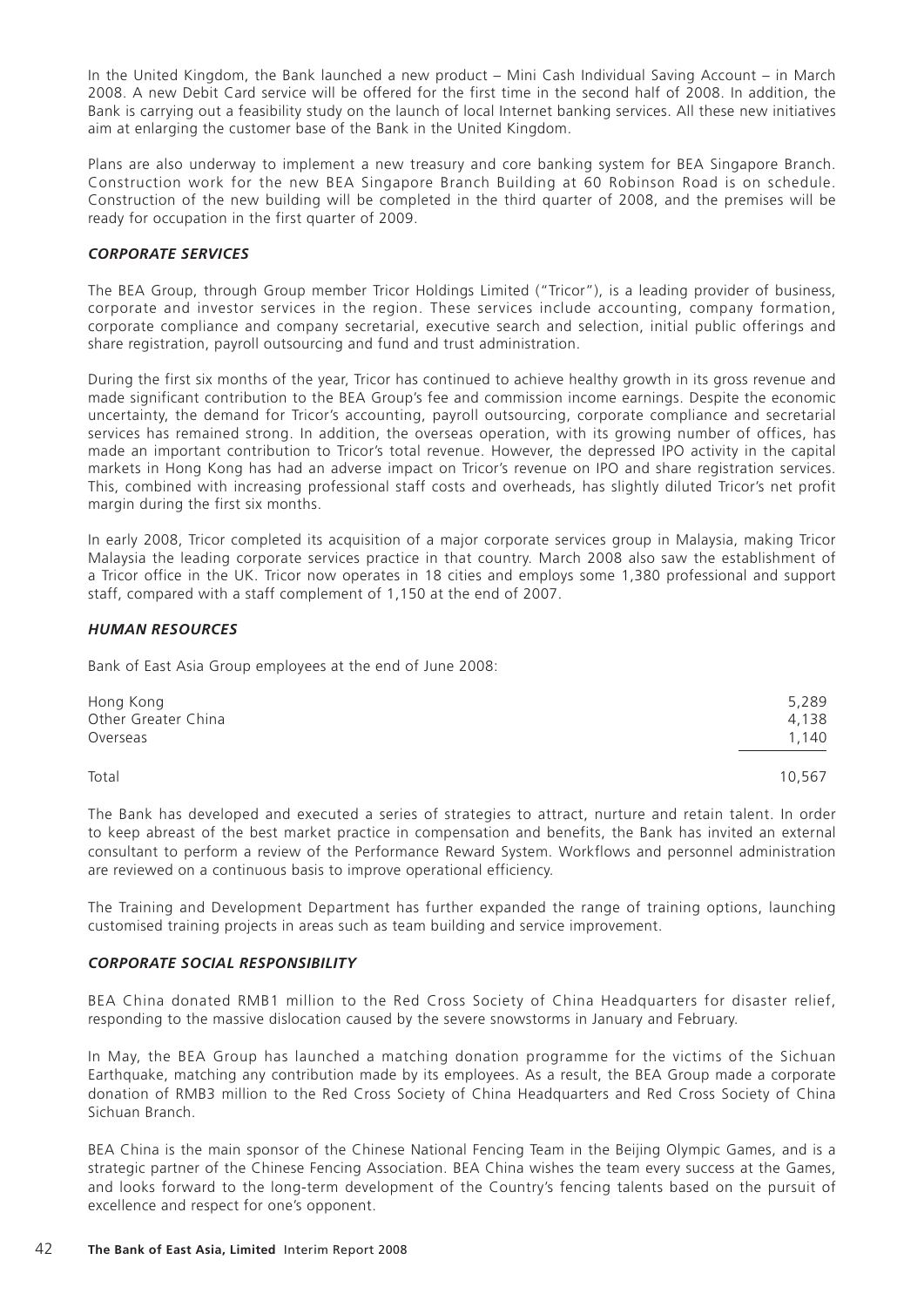In the United Kingdom, the Bank launched a new product – Mini Cash Individual Saving Account – in March 2008. A new Debit Card service will be offered for the first time in the second half of 2008. In addition, the Bank is carrying out a feasibility study on the launch of local Internet banking services. All these new initiatives aim at enlarging the customer base of the Bank in the United Kingdom.

Plans are also underway to implement a new treasury and core banking system for BEA Singapore Branch. Construction work for the new BEA Singapore Branch Building at 60 Robinson Road is on schedule. Construction of the new building will be completed in the third quarter of 2008, and the premises will be ready for occupation in the first quarter of 2009.

## *CORPORATE SERVICES*

The BEA Group, through Group member Tricor Holdings Limited ("Tricor"), is a leading provider of business, corporate and investor services in the region. These services include accounting, company formation, corporate compliance and company secretarial, executive search and selection, initial public offerings and share registration, payroll outsourcing and fund and trust administration.

During the first six months of the year, Tricor has continued to achieve healthy growth in its gross revenue and made significant contribution to the BEA Group's fee and commission income earnings. Despite the economic uncertainty, the demand for Tricor's accounting, payroll outsourcing, corporate compliance and secretarial services has remained strong. In addition, the overseas operation, with its growing number of offices, has made an important contribution to Tricor's total revenue. However, the depressed IPO activity in the capital markets in Hong Kong has had an adverse impact on Tricor's revenue on IPO and share registration services. This, combined with increasing professional staff costs and overheads, has slightly diluted Tricor's net profit margin during the first six months.

In early 2008, Tricor completed its acquisition of a major corporate services group in Malaysia, making Tricor Malaysia the leading corporate services practice in that country. March 2008 also saw the establishment of a Tricor office in the UK. Tricor now operates in 18 cities and employs some 1,380 professional and support staff, compared with a staff complement of 1,150 at the end of 2007.

## *HUMAN RESOURCES*

Bank of East Asia Group employees at the end of June 2008:

| Hong Kong           | 5,289 |
|---------------------|-------|
| Other Greater China | 4.138 |
| Overseas            | 1.140 |
|                     |       |

Total 10,567

The Bank has developed and executed a series of strategies to attract, nurture and retain talent. In order to keep abreast of the best market practice in compensation and benefits, the Bank has invited an external consultant to perform a review of the Performance Reward System. Workflows and personnel administration are reviewed on a continuous basis to improve operational efficiency.

The Training and Development Department has further expanded the range of training options, launching customised training projects in areas such as team building and service improvement.

#### *CORPORATE SOCIAL RESPONSIBILITY*

BEA China donated RMB1 million to the Red Cross Society of China Headquarters for disaster relief, responding to the massive dislocation caused by the severe snowstorms in January and February.

In May, the BEA Group has launched a matching donation programme for the victims of the Sichuan Earthquake, matching any contribution made by its employees. As a result, the BEA Group made a corporate donation of RMB3 million to the Red Cross Society of China Headquarters and Red Cross Society of China Sichuan Branch.

BEA China is the main sponsor of the Chinese National Fencing Team in the Beijing Olympic Games, and is a strategic partner of the Chinese Fencing Association. BEA China wishes the team every success at the Games, and looks forward to the long-term development of the Country's fencing talents based on the pursuit of excellence and respect for one's opponent.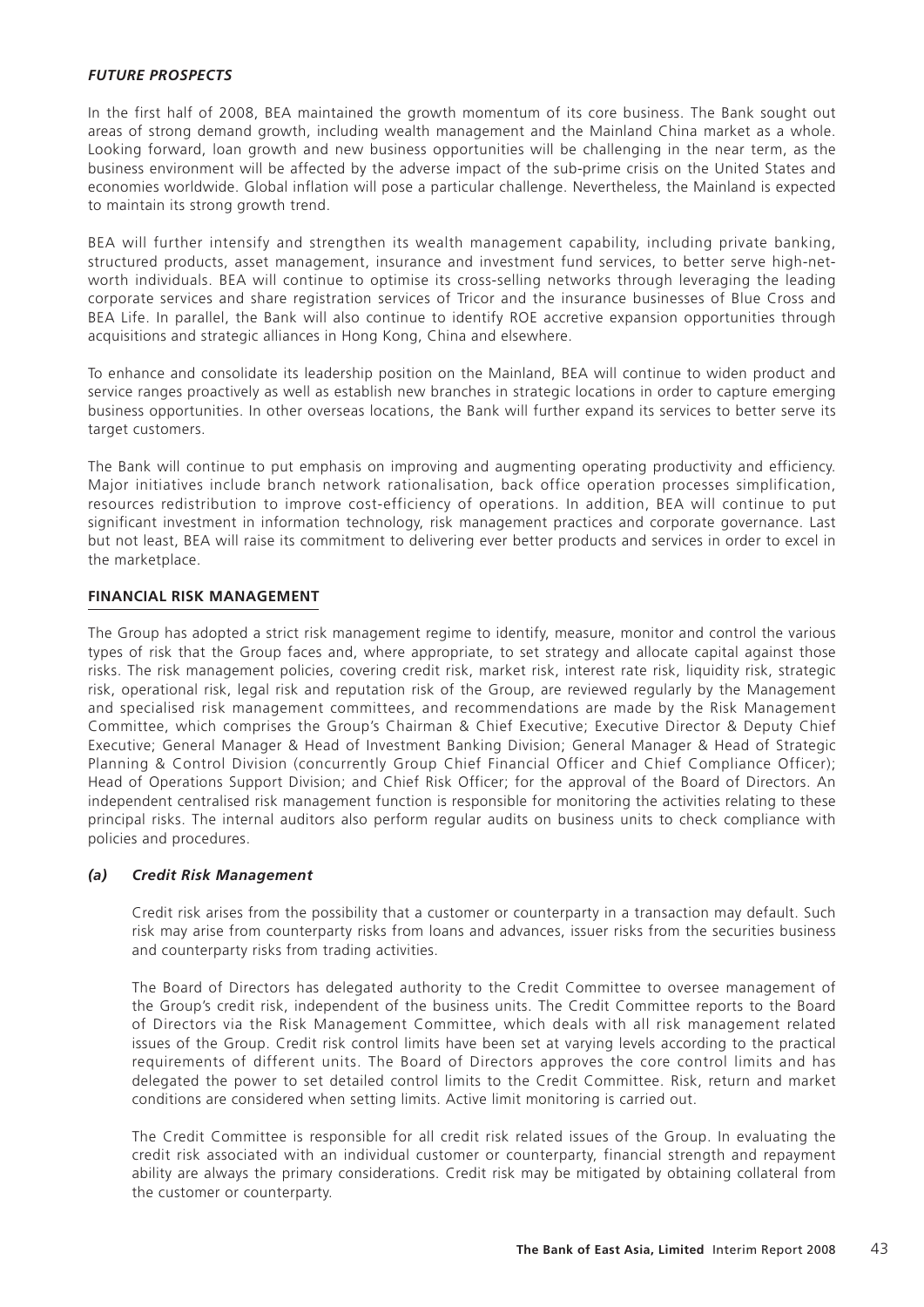## *FUTURE PROSPECTS*

In the first half of 2008, BEA maintained the growth momentum of its core business. The Bank sought out areas of strong demand growth, including wealth management and the Mainland China market as a whole. Looking forward, loan growth and new business opportunities will be challenging in the near term, as the business environment will be affected by the adverse impact of the sub-prime crisis on the United States and economies worldwide. Global inflation will pose a particular challenge. Nevertheless, the Mainland is expected to maintain its strong growth trend.

BEA will further intensify and strengthen its wealth management capability, including private banking, structured products, asset management, insurance and investment fund services, to better serve high-networth individuals. BEA will continue to optimise its cross-selling networks through leveraging the leading corporate services and share registration services of Tricor and the insurance businesses of Blue Cross and BEA Life. In parallel, the Bank will also continue to identify ROE accretive expansion opportunities through acquisitions and strategic alliances in Hong Kong, China and elsewhere.

To enhance and consolidate its leadership position on the Mainland, BEA will continue to widen product and service ranges proactively as well as establish new branches in strategic locations in order to capture emerging business opportunities. In other overseas locations, the Bank will further expand its services to better serve its target customers.

The Bank will continue to put emphasis on improving and augmenting operating productivity and efficiency. Major initiatives include branch network rationalisation, back office operation processes simplification, resources redistribution to improve cost-efficiency of operations. In addition, BEA will continue to put significant investment in information technology, risk management practices and corporate governance. Last but not least, BEA will raise its commitment to delivering ever better products and services in order to excel in the marketplace.

#### **FINANCIAL RISK MANAGEMENT**

The Group has adopted a strict risk management regime to identify, measure, monitor and control the various types of risk that the Group faces and, where appropriate, to set strategy and allocate capital against those risks. The risk management policies, covering credit risk, market risk, interest rate risk, liquidity risk, strategic risk, operational risk, legal risk and reputation risk of the Group, are reviewed regularly by the Management and specialised risk management committees, and recommendations are made by the Risk Management Committee, which comprises the Group's Chairman & Chief Executive; Executive Director & Deputy Chief Executive; General Manager & Head of Investment Banking Division; General Manager & Head of Strategic Planning & Control Division (concurrently Group Chief Financial Officer and Chief Compliance Officer); Head of Operations Support Division; and Chief Risk Officer; for the approval of the Board of Directors. An independent centralised risk management function is responsible for monitoring the activities relating to these principal risks. The internal auditors also perform regular audits on business units to check compliance with policies and procedures.

### *(a) Credit Risk Management*

Credit risk arises from the possibility that a customer or counterparty in a transaction may default. Such risk may arise from counterparty risks from loans and advances, issuer risks from the securities business and counterparty risks from trading activities.

The Board of Directors has delegated authority to the Credit Committee to oversee management of the Group's credit risk, independent of the business units. The Credit Committee reports to the Board of Directors via the Risk Management Committee, which deals with all risk management related issues of the Group. Credit risk control limits have been set at varying levels according to the practical requirements of different units. The Board of Directors approves the core control limits and has delegated the power to set detailed control limits to the Credit Committee. Risk, return and market conditions are considered when setting limits. Active limit monitoring is carried out.

The Credit Committee is responsible for all credit risk related issues of the Group. In evaluating the credit risk associated with an individual customer or counterparty, financial strength and repayment ability are always the primary considerations. Credit risk may be mitigated by obtaining collateral from the customer or counterparty.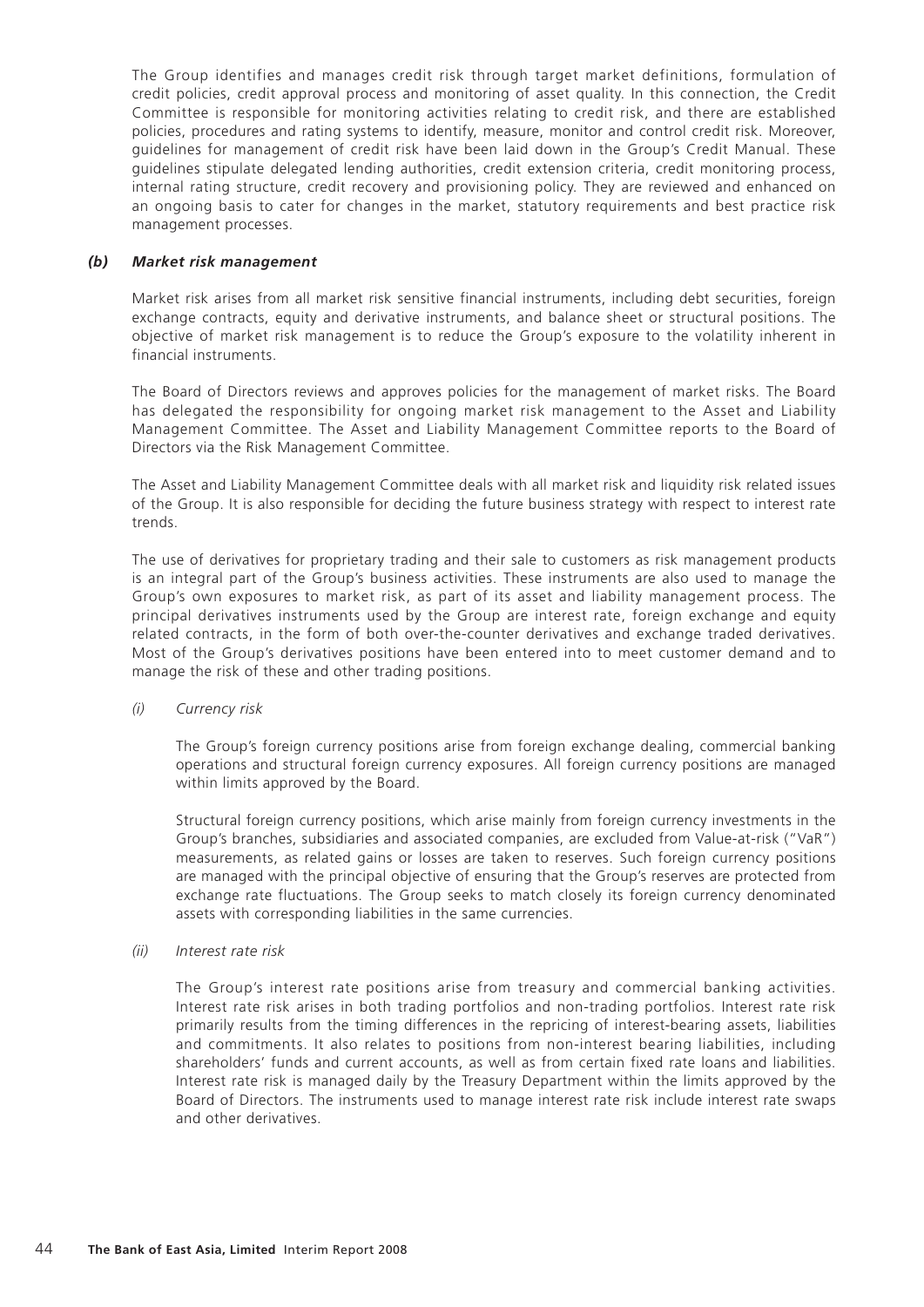The Group identifies and manages credit risk through target market definitions, formulation of credit policies, credit approval process and monitoring of asset quality. In this connection, the Credit Committee is responsible for monitoring activities relating to credit risk, and there are established policies, procedures and rating systems to identify, measure, monitor and control credit risk. Moreover, guidelines for management of credit risk have been laid down in the Group's Credit Manual. These guidelines stipulate delegated lending authorities, credit extension criteria, credit monitoring process, internal rating structure, credit recovery and provisioning policy. They are reviewed and enhanced on an ongoing basis to cater for changes in the market, statutory requirements and best practice risk management processes.

## *(b) Market risk management*

Market risk arises from all market risk sensitive financial instruments, including debt securities, foreign exchange contracts, equity and derivative instruments, and balance sheet or structural positions. The objective of market risk management is to reduce the Group's exposure to the volatility inherent in financial instruments.

The Board of Directors reviews and approves policies for the management of market risks. The Board has delegated the responsibility for ongoing market risk management to the Asset and Liability Management Committee. The Asset and Liability Management Committee reports to the Board of Directors via the Risk Management Committee.

The Asset and Liability Management Committee deals with all market risk and liquidity risk related issues of the Group. It is also responsible for deciding the future business strategy with respect to interest rate trends.

The use of derivatives for proprietary trading and their sale to customers as risk management products is an integral part of the Group's business activities. These instruments are also used to manage the Group's own exposures to market risk, as part of its asset and liability management process. The principal derivatives instruments used by the Group are interest rate, foreign exchange and equity related contracts, in the form of both over-the-counter derivatives and exchange traded derivatives. Most of the Group's derivatives positions have been entered into to meet customer demand and to manage the risk of these and other trading positions.

## *(i) Currency risk*

The Group's foreign currency positions arise from foreign exchange dealing, commercial banking operations and structural foreign currency exposures. All foreign currency positions are managed within limits approved by the Board.

Structural foreign currency positions, which arise mainly from foreign currency investments in the Group's branches, subsidiaries and associated companies, are excluded from Value-at-risk ("VaR") measurements, as related gains or losses are taken to reserves. Such foreign currency positions are managed with the principal objective of ensuring that the Group's reserves are protected from exchange rate fluctuations. The Group seeks to match closely its foreign currency denominated assets with corresponding liabilities in the same currencies.

#### *(ii) Interest rate risk*

The Group's interest rate positions arise from treasury and commercial banking activities. Interest rate risk arises in both trading portfolios and non-trading portfolios. Interest rate risk primarily results from the timing differences in the repricing of interest-bearing assets, liabilities and commitments. It also relates to positions from non-interest bearing liabilities, including shareholders' funds and current accounts, as well as from certain fixed rate loans and liabilities. Interest rate risk is managed daily by the Treasury Department within the limits approved by the Board of Directors. The instruments used to manage interest rate risk include interest rate swaps and other derivatives.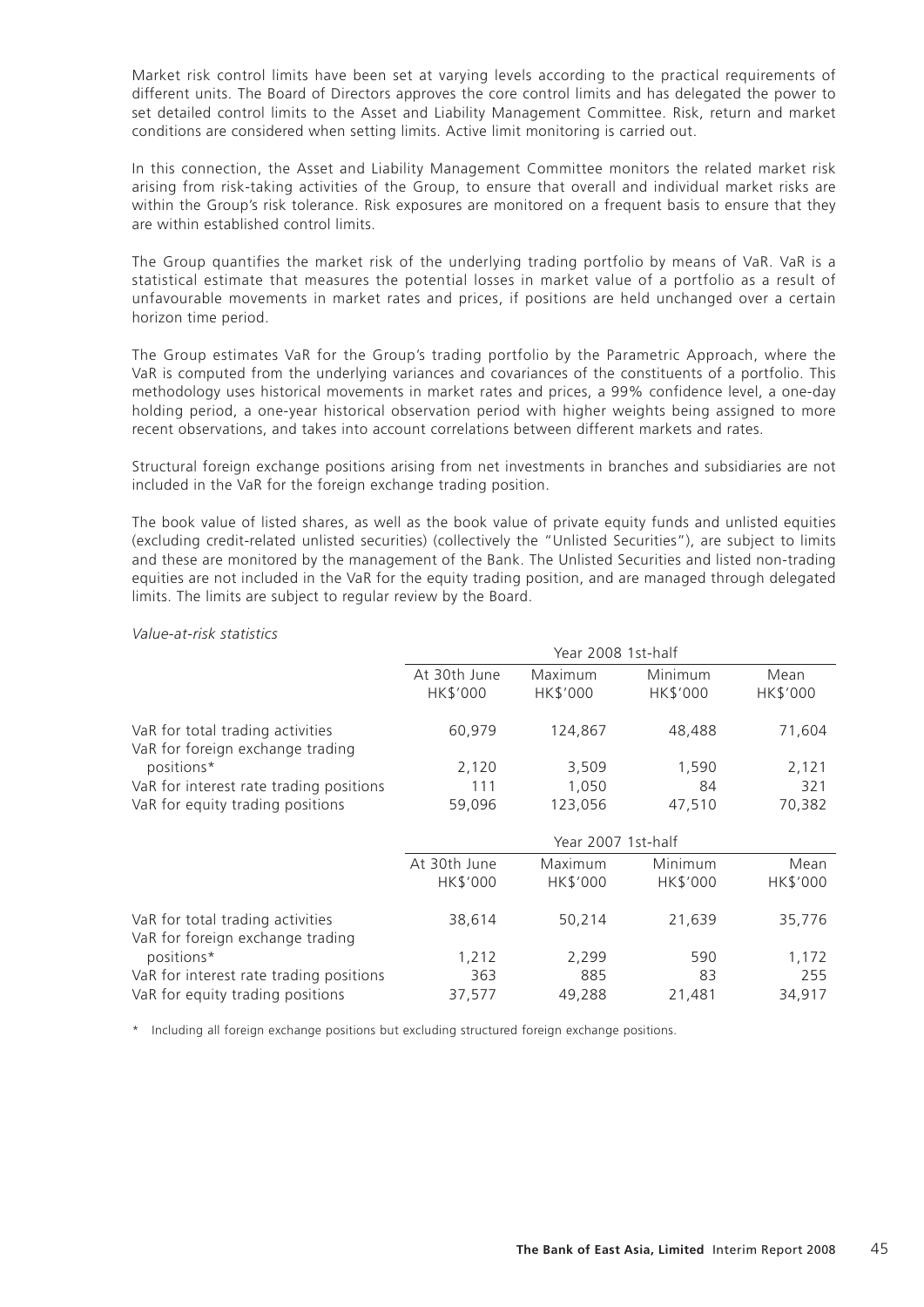Market risk control limits have been set at varying levels according to the practical requirements of different units. The Board of Directors approves the core control limits and has delegated the power to set detailed control limits to the Asset and Liability Management Committee. Risk, return and market conditions are considered when setting limits. Active limit monitoring is carried out.

In this connection, the Asset and Liability Management Committee monitors the related market risk arising from risk-taking activities of the Group, to ensure that overall and individual market risks are within the Group's risk tolerance. Risk exposures are monitored on a frequent basis to ensure that they are within established control limits.

The Group quantifies the market risk of the underlying trading portfolio by means of VaR. VaR is a statistical estimate that measures the potential losses in market value of a portfolio as a result of unfavourable movements in market rates and prices, if positions are held unchanged over a certain horizon time period.

The Group estimates VaR for the Group's trading portfolio by the Parametric Approach, where the VaR is computed from the underlying variances and covariances of the constituents of a portfolio. This methodology uses historical movements in market rates and prices, a 99% confidence level, a one-day holding period, a one-year historical observation period with higher weights being assigned to more recent observations, and takes into account correlations between different markets and rates.

Structural foreign exchange positions arising from net investments in branches and subsidiaries are not included in the VaR for the foreign exchange trading position.

The book value of listed shares, as well as the book value of private equity funds and unlisted equities (excluding credit-related unlisted securities) (collectively the "Unlisted Securities"), are subject to limits and these are monitored by the management of the Bank. The Unlisted Securities and listed non-trading equities are not included in the VaR for the equity trading position, and are managed through delegated limits. The limits are subject to regular review by the Board.

#### *Value-at-risk statistics*

|                                                                      |                          | Year 2008 1st-half  |                     |                  |
|----------------------------------------------------------------------|--------------------------|---------------------|---------------------|------------------|
|                                                                      | At 30th June<br>HK\$'000 | Maximum<br>HK\$'000 | Minimum<br>HK\$'000 | Mean<br>HK\$'000 |
|                                                                      |                          |                     |                     |                  |
| VaR for total trading activities<br>VaR for foreign exchange trading | 60,979                   | 124,867             | 48,488              | 71,604           |
| positions*                                                           | 2,120                    | 3,509               | 1,590               | 2,121            |
| VaR for interest rate trading positions                              | 111                      | 1,050               | 84                  | 321              |
| VaR for equity trading positions                                     | 59,096                   | 123,056             | 47,510              | 70,382           |
|                                                                      |                          | Year 2007 1st-half  |                     |                  |
|                                                                      | At 30th June             | Maximum             | Minimum             | Mean             |
|                                                                      | HK\$'000                 | HK\$'000            | HK\$'000            | HK\$'000         |
| VaR for total trading activities<br>VaR for foreign exchange trading | 38,614                   | 50,214              | 21,639              | 35,776           |
| positions*                                                           | 1,212                    | 2,299               | 590                 | 1,172            |
| VaR for interest rate trading positions                              | 363                      | 885                 | 83                  | 255              |
| VaR for equity trading positions                                     | 37,577                   | 49,288              | 21,481              | 34,917           |

\* Including all foreign exchange positions but excluding structured foreign exchange positions.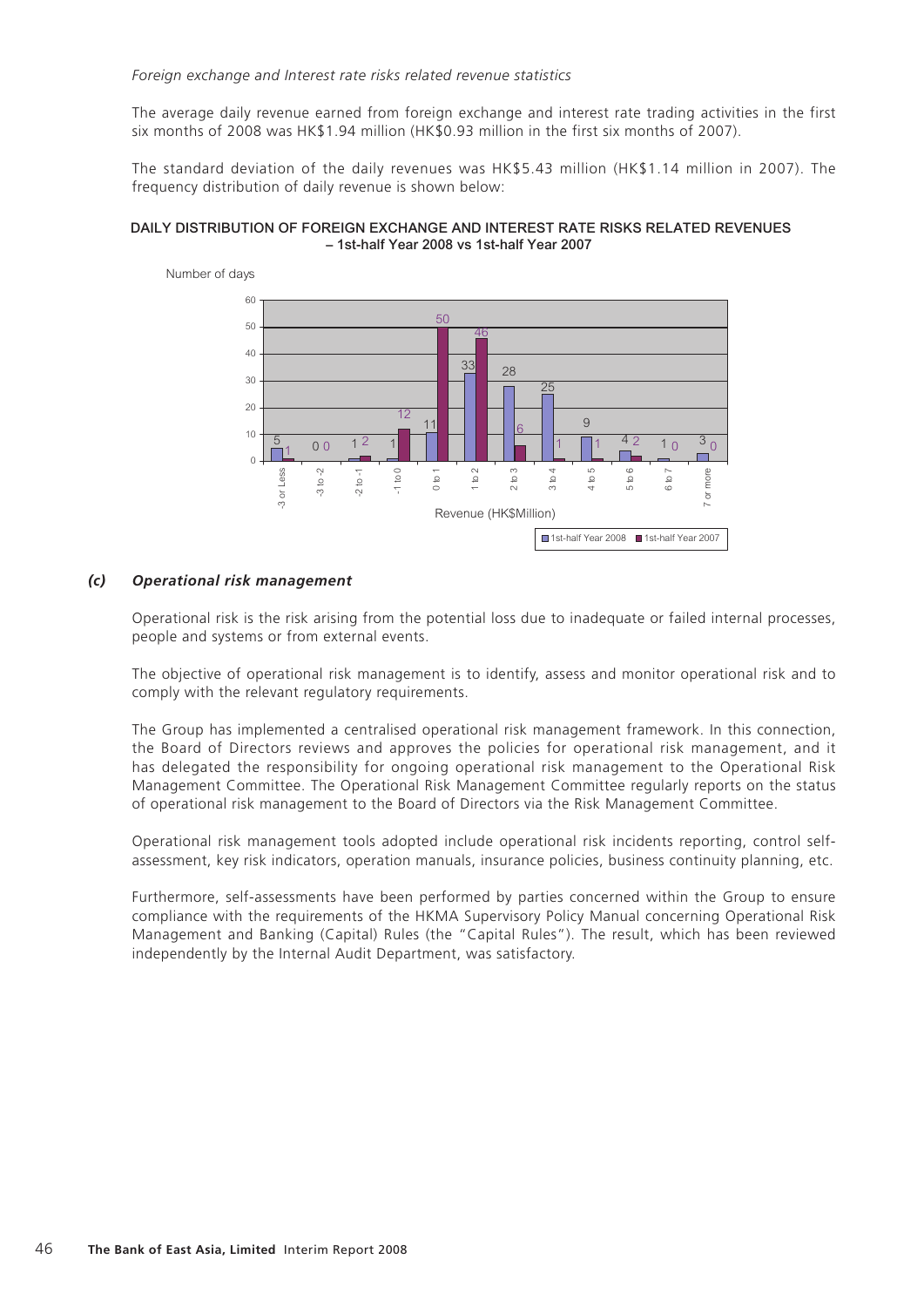#### *Foreign exchange and Interest rate risks related revenue statistics*

The average daily revenue earned from foreign exchange and interest rate trading activities in the first six months of 2008 was HK\$1.94 million (HK\$0.93 million in the first six months of 2007).

The standard deviation of the daily revenues was HK\$5.43 million (HK\$1.14 million in 2007). The frequency distribution of daily revenue is shown below:

#### DAILY DISTRIBUTION OF FOREIGN EXCHANGE AND INTEREST RATE RISKS RELATED REVENUES – 1st-half Year 2008 vs 1st-half Year 2007



#### *(c) Operational risk management*

Operational risk is the risk arising from the potential loss due to inadequate or failed internal processes, people and systems or from external events.

The objective of operational risk management is to identify, assess and monitor operational risk and to comply with the relevant regulatory requirements.

The Group has implemented a centralised operational risk management framework. In this connection, the Board of Directors reviews and approves the policies for operational risk management, and it has delegated the responsibility for ongoing operational risk management to the Operational Risk Management Committee. The Operational Risk Management Committee regularly reports on the status of operational risk management to the Board of Directors via the Risk Management Committee.

Operational risk management tools adopted include operational risk incidents reporting, control selfassessment, key risk indicators, operation manuals, insurance policies, business continuity planning, etc.

Furthermore, self-assessments have been performed by parties concerned within the Group to ensure compliance with the requirements of the HKMA Supervisory Policy Manual concerning Operational Risk Management and Banking (Capital) Rules (the "Capital Rules"). The result, which has been reviewed independently by the Internal Audit Department, was satisfactory.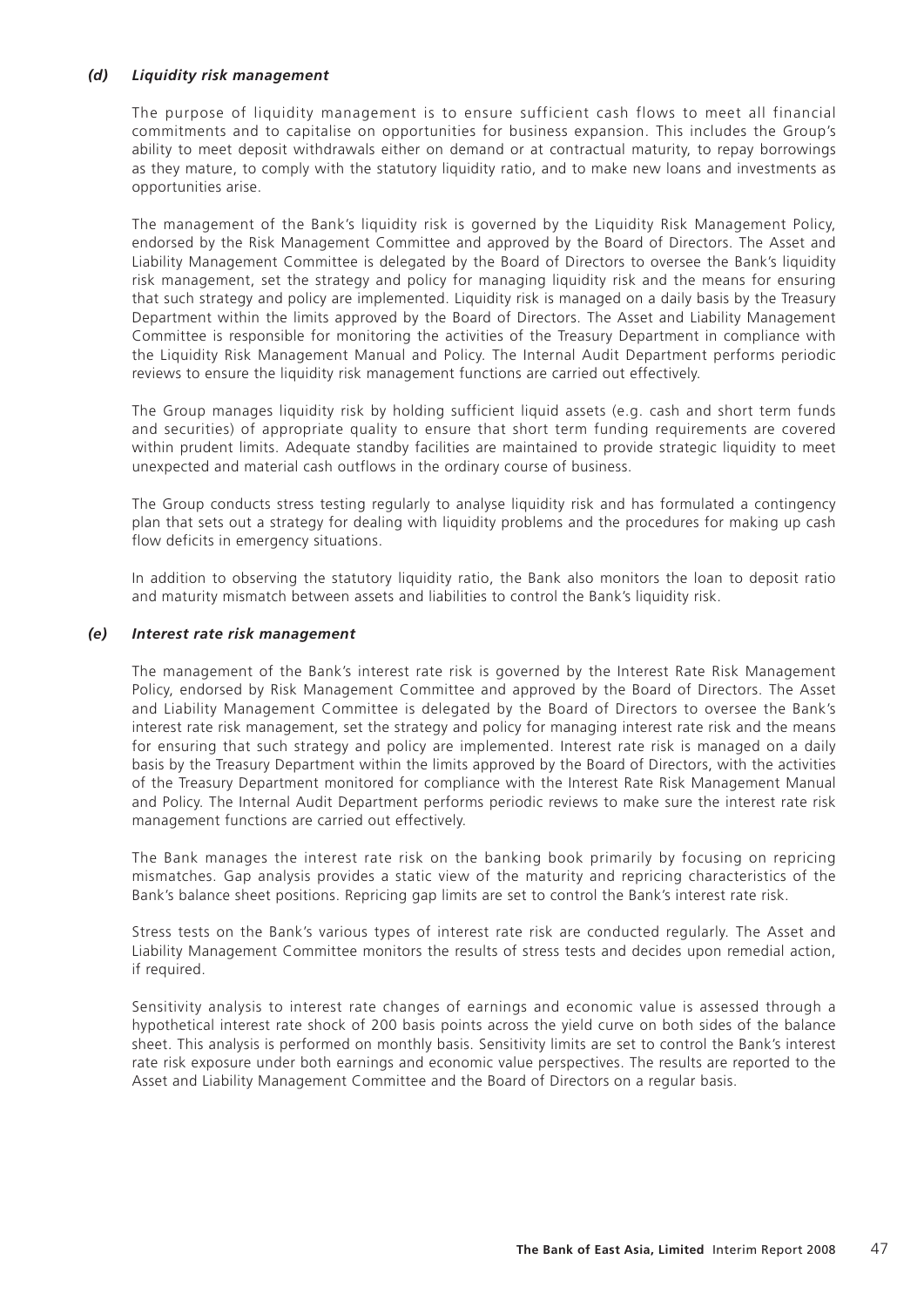## *(d) Liquidity risk management*

The purpose of liquidity management is to ensure sufficient cash flows to meet all financial commitments and to capitalise on opportunities for business expansion. This includes the Group's ability to meet deposit withdrawals either on demand or at contractual maturity, to repay borrowings as they mature, to comply with the statutory liquidity ratio, and to make new loans and investments as opportunities arise.

The management of the Bank's liquidity risk is governed by the Liquidity Risk Management Policy, endorsed by the Risk Management Committee and approved by the Board of Directors. The Asset and Liability Management Committee is delegated by the Board of Directors to oversee the Bank's liquidity risk management, set the strategy and policy for managing liquidity risk and the means for ensuring that such strategy and policy are implemented. Liquidity risk is managed on a daily basis by the Treasury Department within the limits approved by the Board of Directors. The Asset and Liability Management Committee is responsible for monitoring the activities of the Treasury Department in compliance with the Liquidity Risk Management Manual and Policy. The Internal Audit Department performs periodic reviews to ensure the liquidity risk management functions are carried out effectively.

The Group manages liquidity risk by holding sufficient liquid assets (e.g. cash and short term funds and securities) of appropriate quality to ensure that short term funding requirements are covered within prudent limits. Adequate standby facilities are maintained to provide strategic liquidity to meet unexpected and material cash outflows in the ordinary course of business.

The Group conducts stress testing regularly to analyse liquidity risk and has formulated a contingency plan that sets out a strategy for dealing with liquidity problems and the procedures for making up cash flow deficits in emergency situations.

In addition to observing the statutory liquidity ratio, the Bank also monitors the loan to deposit ratio and maturity mismatch between assets and liabilities to control the Bank's liquidity risk.

#### *(e) Interest rate risk management*

The management of the Bank's interest rate risk is governed by the Interest Rate Risk Management Policy, endorsed by Risk Management Committee and approved by the Board of Directors. The Asset and Liability Management Committee is delegated by the Board of Directors to oversee the Bank's interest rate risk management, set the strategy and policy for managing interest rate risk and the means for ensuring that such strategy and policy are implemented. Interest rate risk is managed on a daily basis by the Treasury Department within the limits approved by the Board of Directors, with the activities of the Treasury Department monitored for compliance with the Interest Rate Risk Management Manual and Policy. The Internal Audit Department performs periodic reviews to make sure the interest rate risk management functions are carried out effectively.

The Bank manages the interest rate risk on the banking book primarily by focusing on repricing mismatches. Gap analysis provides a static view of the maturity and repricing characteristics of the Bank's balance sheet positions. Repricing gap limits are set to control the Bank's interest rate risk.

Stress tests on the Bank's various types of interest rate risk are conducted regularly. The Asset and Liability Management Committee monitors the results of stress tests and decides upon remedial action, if required.

Sensitivity analysis to interest rate changes of earnings and economic value is assessed through a hypothetical interest rate shock of 200 basis points across the yield curve on both sides of the balance sheet. This analysis is performed on monthly basis. Sensitivity limits are set to control the Bank's interest rate risk exposure under both earnings and economic value perspectives. The results are reported to the Asset and Liability Management Committee and the Board of Directors on a regular basis.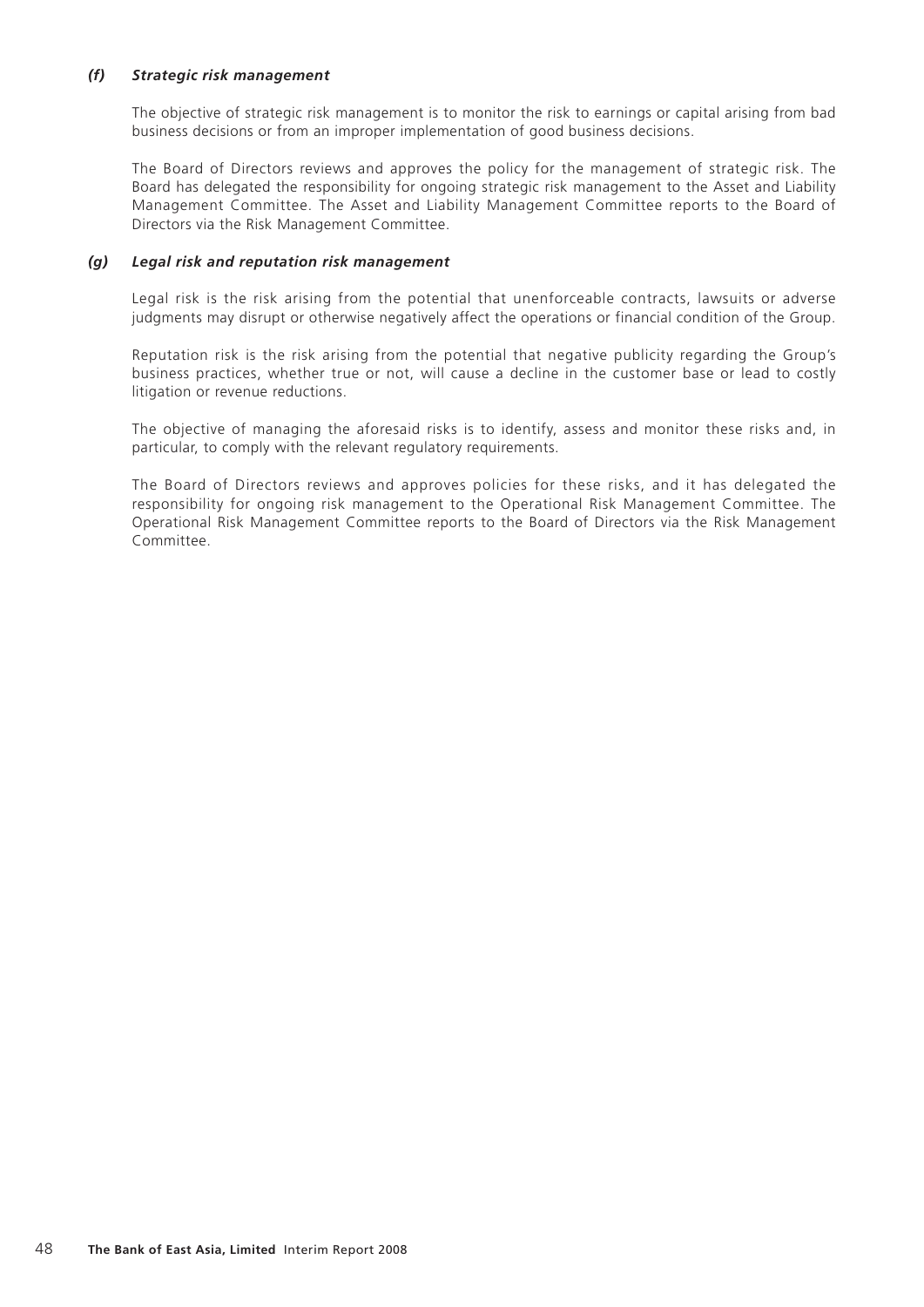## *(f) Strategic risk management*

The objective of strategic risk management is to monitor the risk to earnings or capital arising from bad business decisions or from an improper implementation of good business decisions.

The Board of Directors reviews and approves the policy for the management of strategic risk. The Board has delegated the responsibility for ongoing strategic risk management to the Asset and Liability Management Committee. The Asset and Liability Management Committee reports to the Board of Directors via the Risk Management Committee.

## *(g) Legal risk and reputation risk management*

Legal risk is the risk arising from the potential that unenforceable contracts, lawsuits or adverse judgments may disrupt or otherwise negatively affect the operations or financial condition of the Group.

Reputation risk is the risk arising from the potential that negative publicity regarding the Group's business practices, whether true or not, will cause a decline in the customer base or lead to costly litigation or revenue reductions.

The objective of managing the aforesaid risks is to identify, assess and monitor these risks and, in particular, to comply with the relevant regulatory requirements.

The Board of Directors reviews and approves policies for these risks, and it has delegated the responsibility for ongoing risk management to the Operational Risk Management Committee. The Operational Risk Management Committee reports to the Board of Directors via the Risk Management Committee.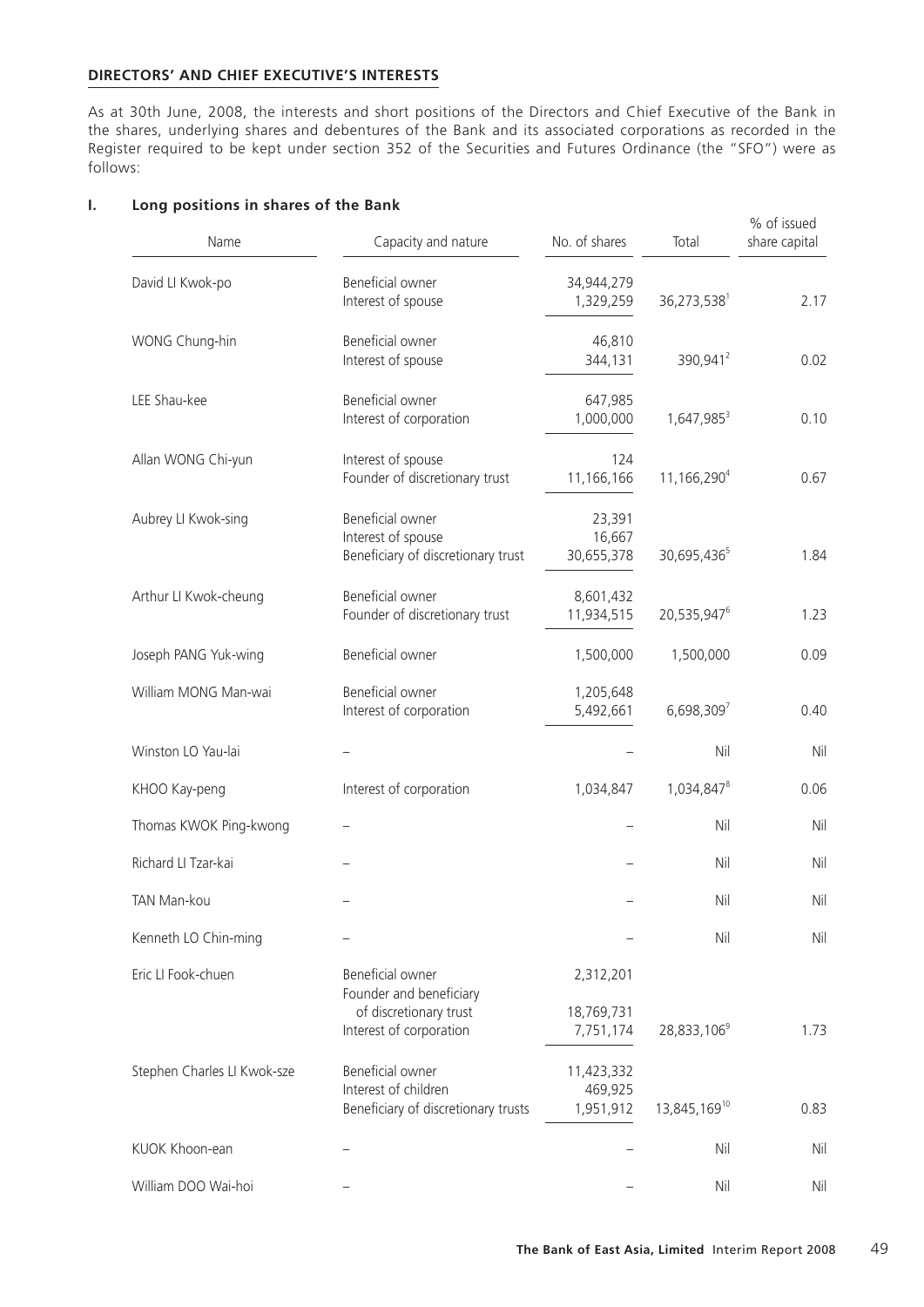## **DIRECTORS' AND CHIEF EXECUTIVE'S INTERESTS**

As at 30th June, 2008, the interests and short positions of the Directors and Chief Executive of the Bank in the shares, underlying shares and debentures of the Bank and its associated corporations as recorded in the Register required to be kept under section 352 of the Securities and Futures Ordinance (the "SFO") were as follows:

| Name                        | Capacity and nature                                                             | No. of shares                      | Total                    | % of issued<br>share capital |
|-----------------------------|---------------------------------------------------------------------------------|------------------------------------|--------------------------|------------------------------|
| David LI Kwok-po            | Beneficial owner<br>Interest of spouse                                          | 34,944,279<br>1,329,259            | 36,273,538               | 2.17                         |
| WONG Chung-hin              | Beneficial owner<br>Interest of spouse                                          | 46,810<br>344,131                  | 390,941 <sup>2</sup>     | 0.02                         |
| LEE Shau-kee                | Beneficial owner<br>Interest of corporation                                     | 647,985<br>1,000,000               | 1,647,985 <sup>3</sup>   | 0.10                         |
| Allan WONG Chi-yun          | Interest of spouse<br>Founder of discretionary trust                            | 124<br>11,166,166                  | 11,166,290 <sup>4</sup>  | 0.67                         |
| Aubrey LI Kwok-sing         | Beneficial owner<br>Interest of spouse<br>Beneficiary of discretionary trust    | 23,391<br>16,667<br>30,655,378     | 30,695,436 <sup>5</sup>  | 1.84                         |
| Arthur LI Kwok-cheung       | Beneficial owner<br>Founder of discretionary trust                              | 8,601,432<br>11,934,515            | 20,535,947 <sup>6</sup>  | 1.23                         |
| Joseph PANG Yuk-wing        | Beneficial owner                                                                | 1,500,000                          | 1,500,000                | 0.09                         |
| William MONG Man-wai        | Beneficial owner<br>Interest of corporation                                     | 1,205,648<br>5,492,661             | $6,698,309^{7}$          | 0.40                         |
| Winston LO Yau-lai          |                                                                                 |                                    | Nil                      | Nil                          |
| KHOO Kay-peng               | Interest of corporation                                                         | 1,034,847                          | 1,034,847 <sup>8</sup>   | 0.06                         |
| Thomas KWOK Ping-kwong      |                                                                                 |                                    | Nil                      | Nil                          |
| Richard LI Tzar-kai         |                                                                                 |                                    | Nil                      | Nil                          |
| TAN Man-kou                 |                                                                                 |                                    | Nil                      | Nil                          |
| Kenneth LO Chin-ming        |                                                                                 |                                    | Nil                      | Nil                          |
| Eric LI Fook-chuen          | Beneficial owner<br>Founder and beneficiary                                     | 2,312,201                          |                          |                              |
|                             | of discretionary trust<br>Interest of corporation                               | 18,769,731<br>7,751,174            | 28,833,106 <sup>9</sup>  | 1.73                         |
| Stephen Charles LI Kwok-sze | Beneficial owner<br>Interest of children<br>Beneficiary of discretionary trusts | 11,423,332<br>469,925<br>1,951,912 | 13,845,169 <sup>10</sup> | 0.83                         |
| KUOK Khoon-ean              |                                                                                 |                                    | Nil                      | Nil                          |
| William DOO Wai-hoi         |                                                                                 |                                    | Nil                      | Nil                          |

#### **I. Long positions in shares of the Bank**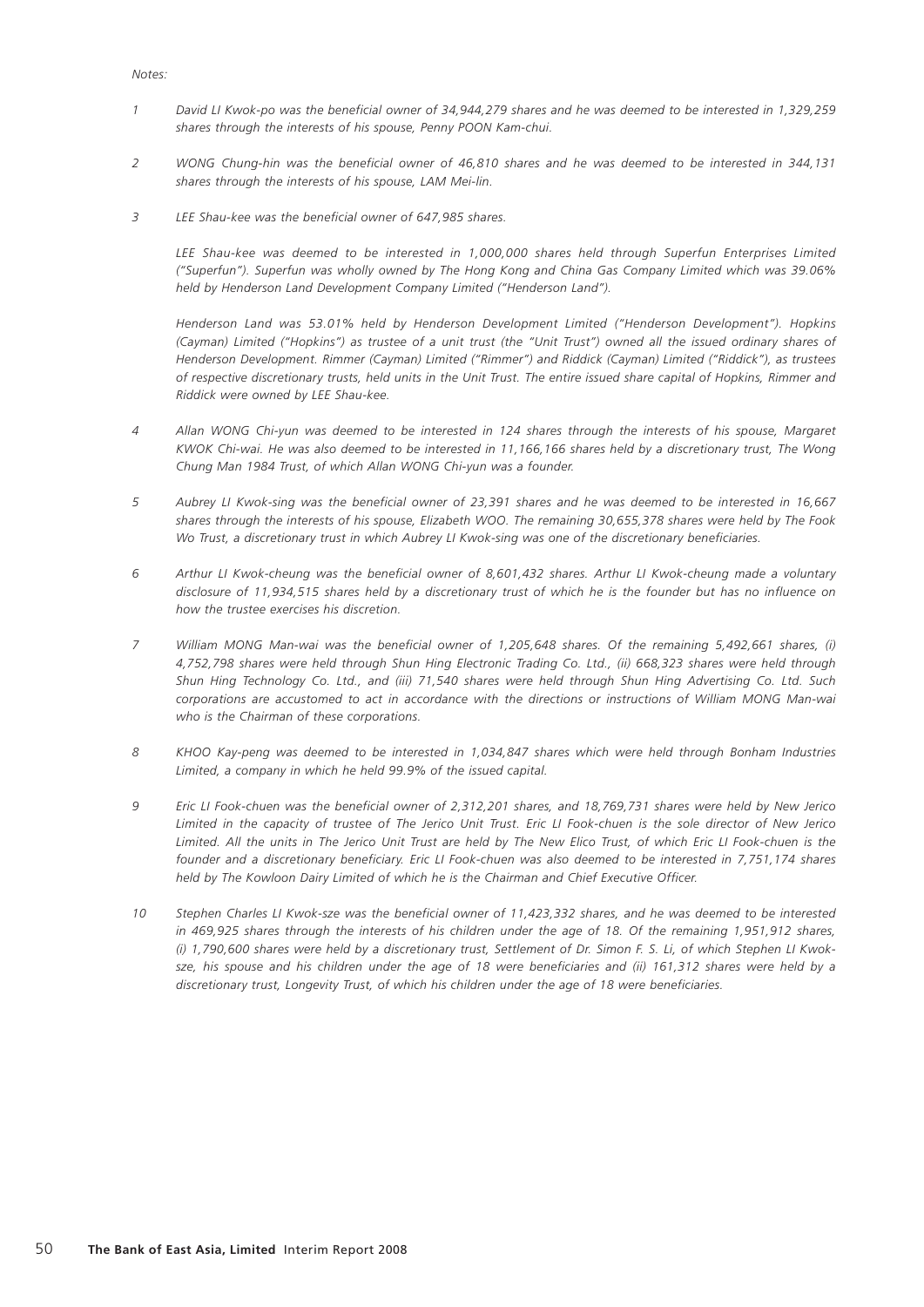#### *Notes:*

- *1 David LI Kwok-po was the beneficial owner of 34,944,279 shares and he was deemed to be interested in 1,329,259 shares through the interests of his spouse, Penny POON Kam-chui.*
- *2 WONG Chung-hin was the beneficial owner of 46,810 shares and he was deemed to be interested in 344,131 shares through the interests of his spouse, LAM Mei-lin.*
- *3 LEE Shau-kee was the beneficial owner of 647,985 shares.*

 *LEE Shau-kee was deemed to be interested in 1,000,000 shares held through Superfun Enterprises Limited ("Superfun"). Superfun was wholly owned by The Hong Kong and China Gas Company Limited which was 39.06% held by Henderson Land Development Company Limited ("Henderson Land").*

 *Henderson Land was 53.01% held by Henderson Development Limited ("Henderson Development"). Hopkins (Cayman) Limited ("Hopkins") as trustee of a unit trust (the "Unit Trust") owned all the issued ordinary shares of Henderson Development. Rimmer (Cayman) Limited ("Rimmer") and Riddick (Cayman) Limited ("Riddick"), as trustees of respective discretionary trusts, held units in the Unit Trust. The entire issued share capital of Hopkins, Rimmer and Riddick were owned by LEE Shau-kee.*

- *4 Allan WONG Chi-yun was deemed to be interested in 124 shares through the interests of his spouse, Margaret KWOK Chi-wai. He was also deemed to be interested in 11,166,166 shares held by a discretionary trust, The Wong Chung Man 1984 Trust, of which Allan WONG Chi-yun was a founder.*
- *5 Aubrey LI Kwok-sing was the beneficial owner of 23,391 shares and he was deemed to be interested in 16,667 shares through the interests of his spouse, Elizabeth WOO. The remaining 30,655,378 shares were held by The Fook Wo Trust, a discretionary trust in which Aubrey LI Kwok-sing was one of the discretionary beneficiaries.*
- *6 Arthur LI Kwok-cheung was the beneficial owner of 8,601,432 shares. Arthur LI Kwok-cheung made a voluntary disclosure of 11,934,515 shares held by a discretionary trust of which he is the founder but has no influence on how the trustee exercises his discretion.*
- *7 William MONG Man-wai was the beneficial owner of 1,205,648 shares. Of the remaining 5,492,661 shares, (i) 4,752,798 shares were held through Shun Hing Electronic Trading Co. Ltd., (ii) 668,323 shares were held through Shun Hing Technology Co. Ltd., and (iii) 71,540 shares were held through Shun Hing Advertising Co. Ltd. Such corporations are accustomed to act in accordance with the directions or instructions of William MONG Man-wai who is the Chairman of these corporations.*
- *8 KHOO Kay-peng was deemed to be interested in 1,034,847 shares which were held through Bonham Industries Limited, a company in which he held 99.9% of the issued capital.*
- *9 Eric LI Fook-chuen was the beneficial owner of 2,312,201 shares, and 18,769,731 shares were held by New Jerico Limited in the capacity of trustee of The Jerico Unit Trust. Eric LI Fook-chuen is the sole director of New Jerico Limited. All the units in The Jerico Unit Trust are held by The New Elico Trust, of which Eric LI Fook-chuen is the*  founder and a discretionary beneficiary. Eric LI Fook-chuen was also deemed to be interested in 7,751,174 shares *held by The Kowloon Dairy Limited of which he is the Chairman and Chief Executive Officer.*
- *10 Stephen Charles LI Kwok-sze was the beneficial owner of 11,423,332 shares, and he was deemed to be interested*  in 469,925 shares through the interests of his children under the age of 18. Of the remaining 1,951,912 shares, *(i) 1,790,600 shares were held by a discretionary trust, Settlement of Dr. Simon F. S. Li, of which Stephen LI Kwoksze, his spouse and his children under the age of 18 were beneficiaries and (ii) 161,312 shares were held by a discretionary trust, Longevity Trust, of which his children under the age of 18 were beneficiaries.*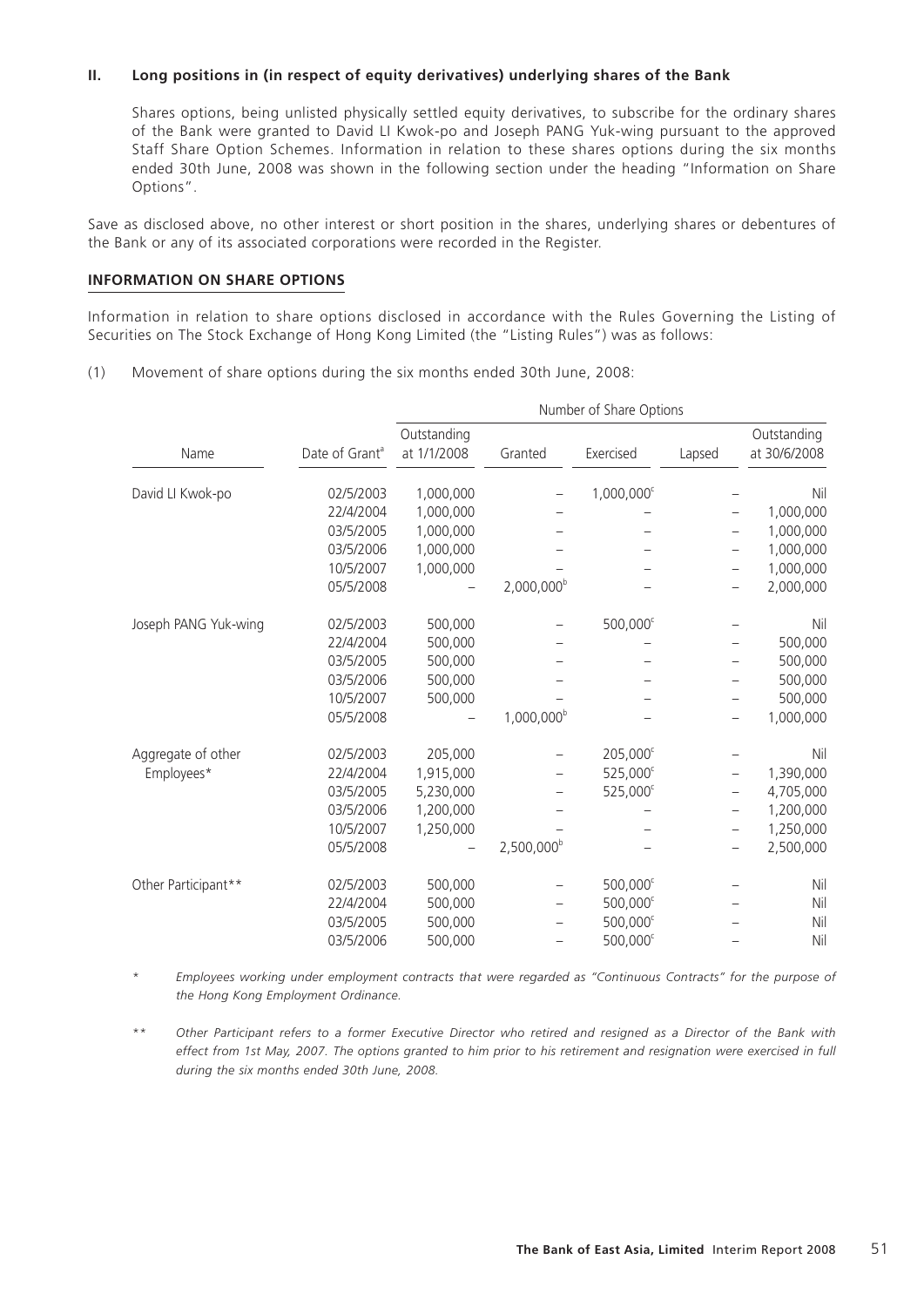## **II. Long positions in (in respect of equity derivatives) underlying shares of the Bank**

Shares options, being unlisted physically settled equity derivatives, to subscribe for the ordinary shares of the Bank were granted to David LI Kwok-po and Joseph PANG Yuk-wing pursuant to the approved Staff Share Option Schemes. Information in relation to these shares options during the six months ended 30th June, 2008 was shown in the following section under the heading "Information on Share Options".

Save as disclosed above, no other interest or short position in the shares, underlying shares or debentures of the Bank or any of its associated corporations were recorded in the Register.

## **INFORMATION ON SHARE OPTIONS**

Information in relation to share options disclosed in accordance with the Rules Governing the Listing of Securities on The Stock Exchange of Hong Kong Limited (the "Listing Rules") was as follows:

(1) Movement of share options during the six months ended 30th June, 2008:

|                      |                            | Number of Share Options    |                        |                        |        |                             |  |
|----------------------|----------------------------|----------------------------|------------------------|------------------------|--------|-----------------------------|--|
| Name                 | Date of Grant <sup>a</sup> | Outstanding<br>at 1/1/2008 | Granted                | Exercised              | Lapsed | Outstanding<br>at 30/6/2008 |  |
| David LI Kwok-po     | 02/5/2003                  | 1,000,000                  |                        | 1,000,000 <sup>c</sup> |        | Nil                         |  |
|                      | 22/4/2004                  | 1,000,000                  |                        |                        |        | 1,000,000                   |  |
|                      | 03/5/2005                  | 1,000,000                  |                        |                        |        | 1,000,000                   |  |
|                      | 03/5/2006                  | 1,000,000                  |                        |                        |        | 1,000,000                   |  |
|                      | 10/5/2007                  | 1,000,000                  |                        |                        |        | 1,000,000                   |  |
|                      | 05/5/2008                  |                            | $2,000,000^{\circ}$    |                        |        | 2,000,000                   |  |
| Joseph PANG Yuk-wing | 02/5/2003                  | 500,000                    |                        | 500,000 <sup>c</sup>   |        | Nil                         |  |
|                      | 22/4/2004                  | 500,000                    |                        |                        |        | 500,000                     |  |
|                      | 03/5/2005                  | 500,000                    |                        |                        |        | 500,000                     |  |
|                      | 03/5/2006                  | 500,000                    |                        |                        |        | 500,000                     |  |
|                      | 10/5/2007                  | 500,000                    |                        |                        |        | 500,000                     |  |
|                      | 05/5/2008                  |                            | $1,000,000^{\circ}$    |                        |        | 1,000,000                   |  |
| Aggregate of other   | 02/5/2003                  | 205,000                    |                        | 205,000 <sup>c</sup>   |        | Nil                         |  |
| Employees*           | 22/4/2004                  | 1,915,000                  |                        | 525,000 <sup>c</sup>   | -      | 1,390,000                   |  |
|                      | 03/5/2005                  | 5,230,000                  |                        | 525,000 <sup>c</sup>   |        | 4,705,000                   |  |
|                      | 03/5/2006                  | 1,200,000                  |                        |                        |        | 1,200,000                   |  |
|                      | 10/5/2007                  | 1,250,000                  |                        |                        |        | 1,250,000                   |  |
|                      | 05/5/2008                  |                            | 2,500,000 <sup>b</sup> |                        |        | 2,500,000                   |  |
| Other Participant**  | 02/5/2003                  | 500,000                    |                        | $500,000^{\circ}$      |        | Nil                         |  |
|                      | 22/4/2004                  | 500,000                    |                        | $500,000^c$            |        | Nil                         |  |
|                      | 03/5/2005                  | 500,000                    |                        | $500,000^c$            |        | Nil                         |  |
|                      | 03/5/2006                  | 500,000                    |                        | 500,000 <sup>c</sup>   |        | Nil                         |  |

*\* Employees working under employment contracts that were regarded as "Continuous Contracts" for the purpose of the Hong Kong Employment Ordinance.*

*\*\* Other Participant refers to a former Executive Director who retired and resigned as a Director of the Bank with effect from 1st May, 2007. The options granted to him prior to his retirement and resignation were exercised in full during the six months ended 30th June, 2008.*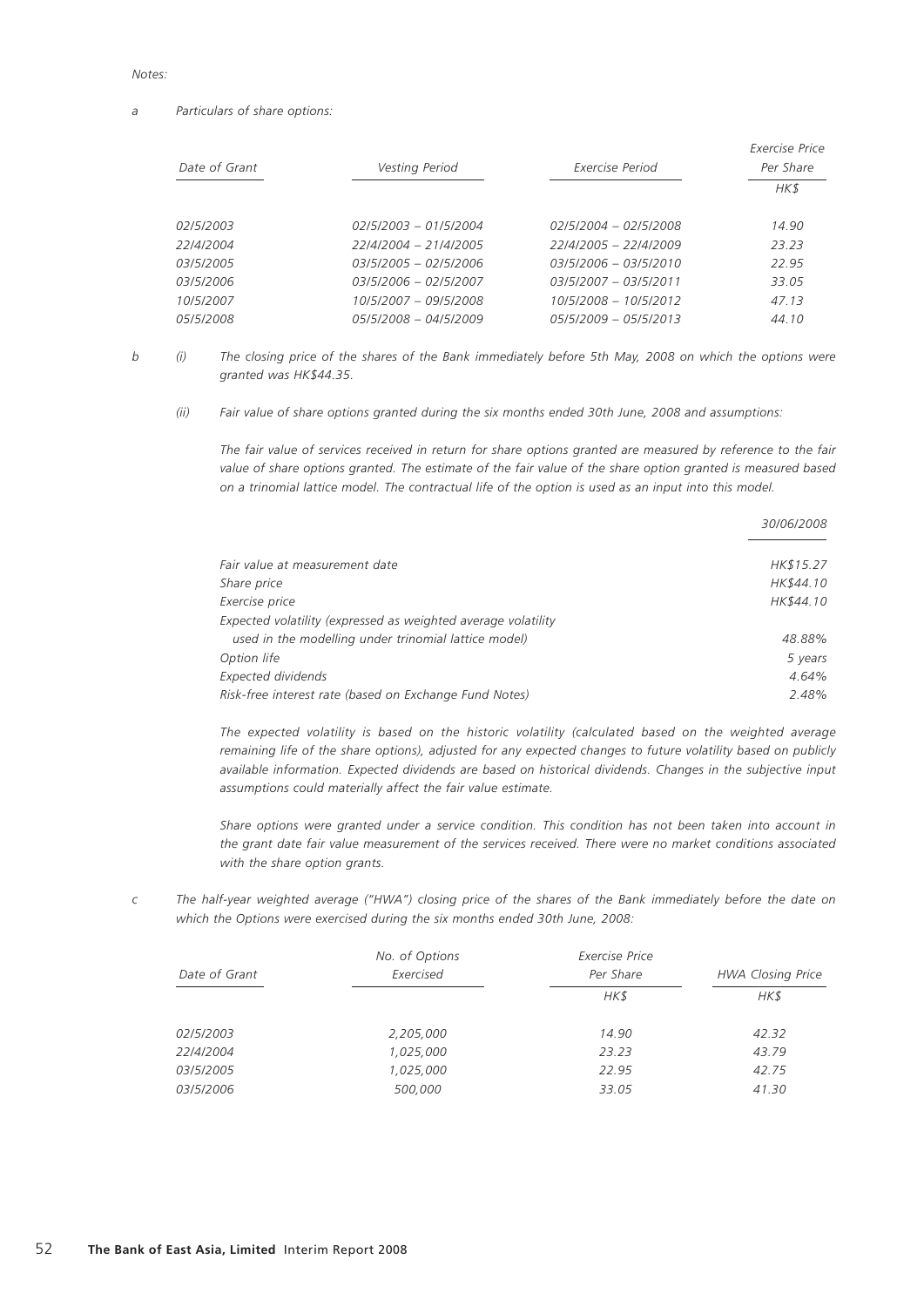#### *Notes:*

#### *a Particulars of share options:*

|                  |                         |                         | Exercise Price |
|------------------|-------------------------|-------------------------|----------------|
| Date of Grant    | Vesting Period          | Exercise Period         | Per Share      |
|                  |                         |                         | HK\$           |
| <i>02/5/2003</i> | $02/5/2003 - 01/5/2004$ | $02/5/2004 - 02/5/2008$ | 14.90          |
| 22/4/2004        | 22/4/2004 - 21/4/2005   | 22/4/2005 - 22/4/2009   | 23.23          |
| <i>03/5/2005</i> | 03/5/2005 - 02/5/2006   | $03/5/2006 - 03/5/2010$ | 22.95          |
| 03/5/2006        | 03/5/2006 - 02/5/2007   | $03/5/2007 - 03/5/2011$ | 33.05          |
| 10/5/2007        | 10/5/2007 - 09/5/2008   | 10/5/2008 - 10/5/2012   | 47.13          |
| <i>05/5/2008</i> | 05/5/2008 - 04/5/2009   | $05/5/2009 - 05/5/2013$ | 44.10          |

*b (i) The closing price of the shares of the Bank immediately before 5th May, 2008 on which the options were granted was HK\$44.35.*

*(ii) Fair value of share options granted during the six months ended 30th June, 2008 and assumptions:*

*The fair value of services received in return for share options granted are measured by reference to the fair value of share options granted. The estimate of the fair value of the share option granted is measured based on a trinomial lattice model. The contractual life of the option is used as an input into this model.*

*30/06/2008*

|                                                               | <i>3010012000</i> |
|---------------------------------------------------------------|-------------------|
|                                                               |                   |
| Fair value at measurement date                                | HK\$15.27         |
| <i><b>Share price</b></i>                                     | HK\$44.10         |
| Exercise price                                                | HK\$44.10         |
| Expected volatility (expressed as weighted average volatility |                   |
| used in the modelling under trinomial lattice model)          | 48.88%            |
| Option life                                                   | 5 years           |
| Expected dividends                                            | 4.64%             |
| Risk-free interest rate (based on Exchange Fund Notes)        | 2.48%             |
|                                                               |                   |

*The expected volatility is based on the historic volatility (calculated based on the weighted average remaining life of the share options), adjusted for any expected changes to future volatility based on publicly available information. Expected dividends are based on historical dividends. Changes in the subjective input assumptions could materially affect the fair value estimate.*

*Share options were granted under a service condition. This condition has not been taken into account in the grant date fair value measurement of the services received. There were no market conditions associated with the share option grants.*

*c The half-year weighted average ("HWA") closing price of the shares of the Bank immediately before the date on which the Options were exercised during the six months ended 30th June, 2008:*

|                  | No. of Options | Exercise Price |                          |
|------------------|----------------|----------------|--------------------------|
| Date of Grant    | Exercised      | Per Share      | <b>HWA Closing Price</b> |
|                  |                | HK\$           | HK\$                     |
| <i>02/5/2003</i> | 2,205,000      | 14.90          | 42.32                    |
| 22/4/2004        | 1,025,000      | 23.23          | 43.79                    |
| 03/5/2005        | 1,025,000      | 22.95          | 42.75                    |
| 03/5/2006        | 500,000        | 33.05          | 41.30                    |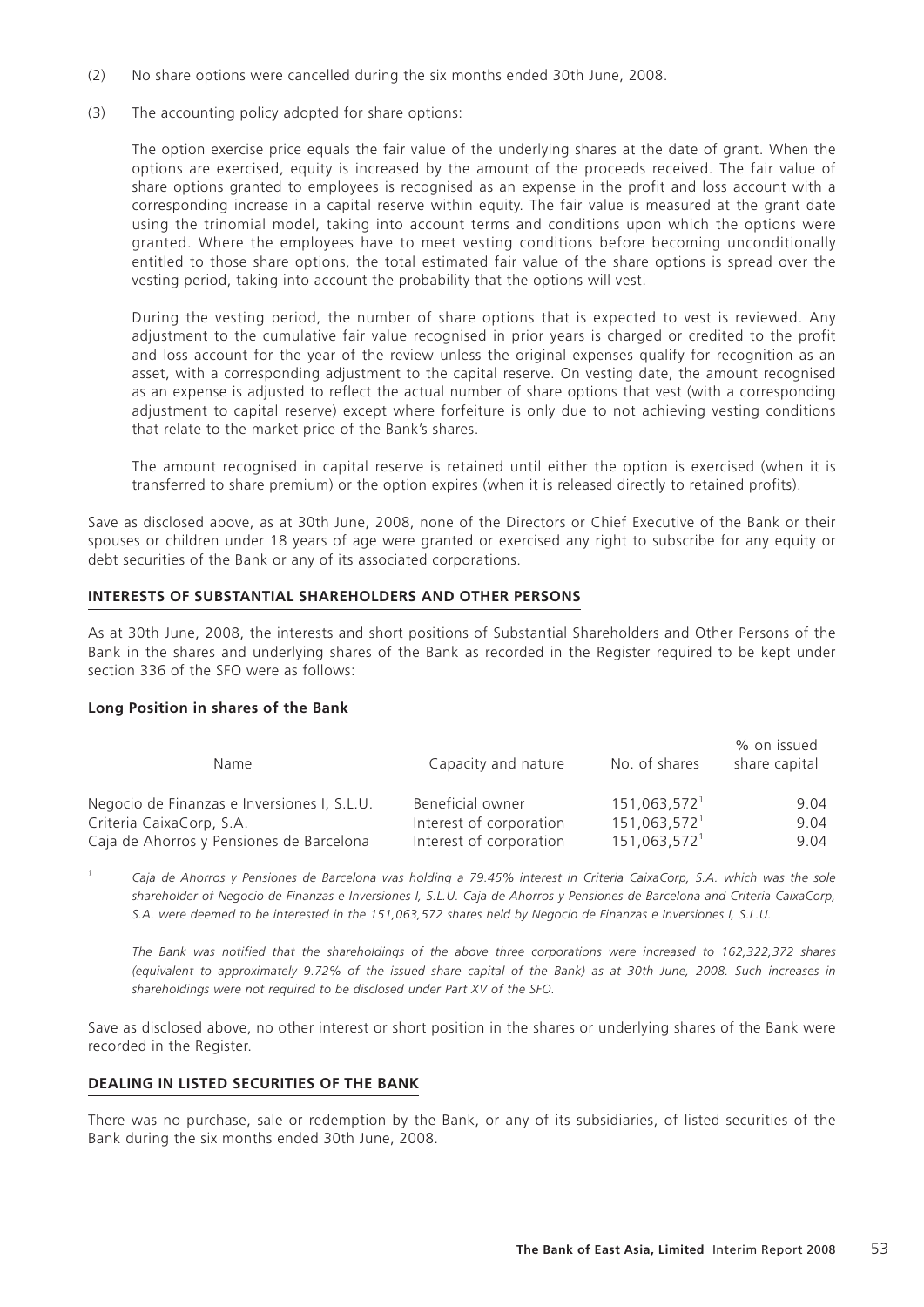- (2) No share options were cancelled during the six months ended 30th June, 2008.
- (3) The accounting policy adopted for share options:

The option exercise price equals the fair value of the underlying shares at the date of grant. When the options are exercised, equity is increased by the amount of the proceeds received. The fair value of share options granted to employees is recognised as an expense in the profit and loss account with a corresponding increase in a capital reserve within equity. The fair value is measured at the grant date using the trinomial model, taking into account terms and conditions upon which the options were granted. Where the employees have to meet vesting conditions before becoming unconditionally entitled to those share options, the total estimated fair value of the share options is spread over the vesting period, taking into account the probability that the options will vest.

During the vesting period, the number of share options that is expected to vest is reviewed. Any adjustment to the cumulative fair value recognised in prior years is charged or credited to the profit and loss account for the year of the review unless the original expenses qualify for recognition as an asset, with a corresponding adjustment to the capital reserve. On vesting date, the amount recognised as an expense is adjusted to reflect the actual number of share options that vest (with a corresponding adjustment to capital reserve) except where forfeiture is only due to not achieving vesting conditions that relate to the market price of the Bank's shares.

The amount recognised in capital reserve is retained until either the option is exercised (when it is transferred to share premium) or the option expires (when it is released directly to retained profits).

Save as disclosed above, as at 30th June, 2008, none of the Directors or Chief Executive of the Bank or their spouses or children under 18 years of age were granted or exercised any right to subscribe for any equity or debt securities of the Bank or any of its associated corporations.

#### **INTERESTS OF SUBSTANTIAL SHAREHOLDERS AND OTHER PERSONS**

As at 30th June, 2008, the interests and short positions of Substantial Shareholders and Other Persons of the Bank in the shares and underlying shares of the Bank as recorded in the Register required to be kept under section 336 of the SFO were as follows:

#### **Long Position in shares of the Bank**

| Name                                        | Capacity and nature     | No. of shares   | % on issued<br>share capital |
|---------------------------------------------|-------------------------|-----------------|------------------------------|
| Negocio de Finanzas e Inversiones I, S.L.U. | Beneficial owner        | $151,063,572^1$ | 9.04                         |
| Criteria CaixaCorp, S.A.                    | Interest of corporation | $151,063,572^1$ | 9.04                         |
| Caja de Ahorros y Pensiones de Barcelona    | Interest of corporation | $151,063,572^1$ | 9.04                         |

*1 Caja de Ahorros y Pensiones de Barcelona was holding a 79.45% interest in Criteria CaixaCorp, S.A. which was the sole shareholder of Negocio de Finanzas e Inversiones I, S.L.U. Caja de Ahorros y Pensiones de Barcelona and Criteria CaixaCorp, S.A. were deemed to be interested in the 151,063,572 shares held by Negocio de Finanzas e Inversiones I, S.L.U.*

 *The Bank was notified that the shareholdings of the above three corporations were increased to 162,322,372 shares (equivalent to approximately 9.72% of the issued share capital of the Bank) as at 30th June, 2008. Such increases in shareholdings were not required to be disclosed under Part XV of the SFO.*

Save as disclosed above, no other interest or short position in the shares or underlying shares of the Bank were recorded in the Register.

#### **DEALING IN LISTED SECURITIES OF THE BANK**

There was no purchase, sale or redemption by the Bank, or any of its subsidiaries, of listed securities of the Bank during the six months ended 30th June, 2008.